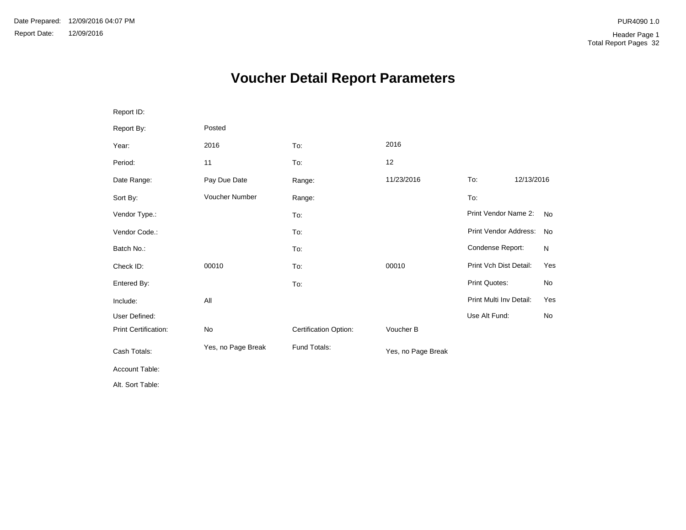# **Voucher Detail Report Parameters**

| Report ID:           |                    |                       |                    |                         |            |           |
|----------------------|--------------------|-----------------------|--------------------|-------------------------|------------|-----------|
| Report By:           | Posted             |                       |                    |                         |            |           |
| Year:                | 2016               | To:                   | 2016               |                         |            |           |
| Period:              | 11                 | To:                   | 12                 |                         |            |           |
| Date Range:          | Pay Due Date       | Range:                | 11/23/2016         | To:                     | 12/13/2016 |           |
| Sort By:             | Voucher Number     | Range:                |                    | To:                     |            |           |
| Vendor Type.:        |                    | To:                   |                    | Print Vendor Name 2:    |            | <b>No</b> |
| Vendor Code.:        |                    | To:                   |                    | Print Vendor Address:   |            | No        |
| Batch No.:           |                    | To:                   |                    | Condense Report:        |            | N         |
| Check ID:            | 00010              | To:                   | 00010              | Print Vch Dist Detail:  |            | Yes       |
| Entered By:          |                    | To:                   |                    | Print Quotes:           |            | No        |
| Include:             | All                |                       |                    | Print Multi Inv Detail: |            | Yes       |
| User Defined:        |                    |                       |                    | Use Alt Fund:           |            | No        |
| Print Certification: | No                 | Certification Option: | Voucher B          |                         |            |           |
| Cash Totals:         | Yes, no Page Break | Fund Totals:          | Yes, no Page Break |                         |            |           |
| Account Table:       |                    |                       |                    |                         |            |           |
| Alt. Sort Table:     |                    |                       |                    |                         |            |           |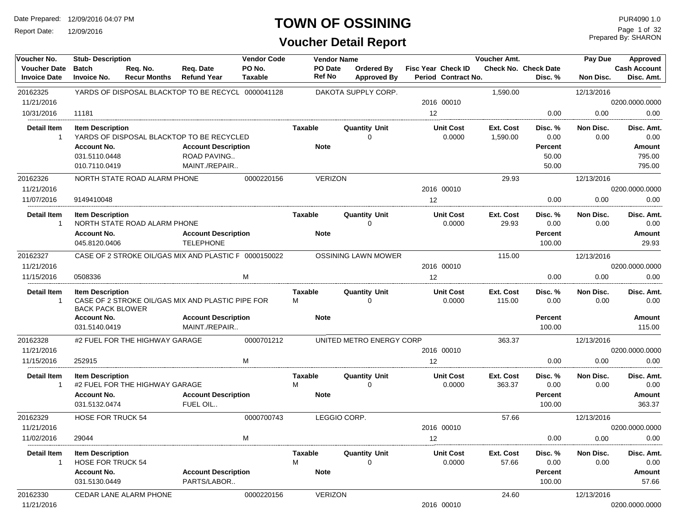Report Date: 12/09/2016

### **TOWN OF OSSINING**

**Voucher Detail Report**

Prepared By: SHARON Page 1 of 32

| Voucher No.                                | <b>Stub-Description</b>                             |                                 |                                                       | <b>Vendor Code</b>       | <b>Vendor Name</b> |                                  |                                           | Voucher Amt.        |                                 | Pay Due           | Approved                          |
|--------------------------------------------|-----------------------------------------------------|---------------------------------|-------------------------------------------------------|--------------------------|--------------------|----------------------------------|-------------------------------------------|---------------------|---------------------------------|-------------------|-----------------------------------|
| <b>Voucher Date</b><br><b>Invoice Date</b> | <b>Batch</b><br><b>Invoice No.</b>                  | Req. No.<br><b>Recur Months</b> | Req. Date<br><b>Refund Year</b>                       | PO No.<br><b>Taxable</b> | PO Date<br>Ref No  | Ordered By<br><b>Approved By</b> | Fisc Year Check ID<br>Period Contract No. |                     | Check No. Check Date<br>Disc. % | Non Disc.         | <b>Cash Account</b><br>Disc. Amt. |
| 20162325                                   |                                                     |                                 | YARDS OF DISPOSAL BLACKTOP TO BE RECYCL 0000041128    |                          |                    | DAKOTA SUPPLY CORP.              |                                           | 1,590.00            |                                 | 12/13/2016        |                                   |
| 11/21/2016                                 |                                                     |                                 |                                                       |                          |                    |                                  | 2016 00010                                |                     |                                 |                   | 0200.0000.0000                    |
| 10/31/2016                                 | 11181                                               |                                 |                                                       |                          |                    |                                  | 12                                        |                     | 0.00                            | 0.00              | 0.00                              |
| Detail Item                                | <b>Item Description</b>                             |                                 |                                                       |                          | <b>Taxable</b>     | <b>Quantity Unit</b>             | <b>Unit Cost</b>                          | Ext. Cost           | Disc. %                         | Non Disc.         | Disc. Amt.                        |
| $\mathbf{1}$                               |                                                     |                                 | YARDS OF DISPOSAL BLACKTOP TO BE RECYCLED             |                          |                    | $\Omega$                         | 0.0000                                    | 1,590.00            | 0.00                            | 0.00              | 0.00                              |
|                                            | <b>Account No.</b>                                  |                                 | <b>Account Description</b>                            |                          | <b>Note</b>        |                                  |                                           |                     | Percent                         |                   | <b>Amount</b>                     |
|                                            | 031.5110.0448                                       |                                 | <b>ROAD PAVING</b>                                    |                          |                    |                                  |                                           |                     | 50.00                           |                   | 795.00                            |
|                                            | 010.7110.0419                                       |                                 | MAINT./REPAIR                                         |                          |                    |                                  |                                           |                     | 50.00                           |                   | 795.00                            |
| 20162326                                   |                                                     | NORTH STATE ROAD ALARM PHONE    |                                                       | 0000220156               | <b>VERIZON</b>     |                                  |                                           | 29.93               |                                 | 12/13/2016        |                                   |
| 11/21/2016                                 |                                                     |                                 |                                                       |                          |                    |                                  | 2016 00010                                |                     |                                 |                   | 0200.0000.0000                    |
| 11/07/2016                                 | 9149410048                                          |                                 |                                                       |                          |                    |                                  | 12 <sup>2</sup>                           |                     | 0.00                            | 0.00              | 0.00                              |
| <b>Detail Item</b>                         | <b>Item Description</b>                             |                                 |                                                       |                          | <b>Taxable</b>     | <b>Quantity Unit</b>             | <b>Unit Cost</b>                          | Ext. Cost           | Disc. %                         | Non Disc.         | Disc. Amt.                        |
|                                            |                                                     | NORTH STATE ROAD ALARM PHONE    |                                                       |                          |                    | $\Omega$                         | 0.0000                                    | 29.93               | 0.00                            | 0.00              | 0.00                              |
|                                            | <b>Account No.</b>                                  |                                 | <b>Account Description</b>                            |                          | <b>Note</b>        |                                  |                                           |                     | Percent                         |                   | Amount                            |
|                                            | 045.8120.0406                                       |                                 | <b>TELEPHONE</b>                                      |                          |                    |                                  |                                           |                     | 100.00                          |                   | 29.93                             |
| 20162327                                   |                                                     |                                 | CASE OF 2 STROKE OIL/GAS MIX AND PLASTIC F 0000150022 |                          |                    | <b>OSSINING LAWN MOWER</b>       |                                           | 115.00              |                                 | 12/13/2016        |                                   |
| 11/21/2016                                 |                                                     |                                 |                                                       |                          |                    |                                  | 2016 00010                                |                     |                                 |                   | 0200.0000.0000                    |
| 11/15/2016                                 | 0508336                                             |                                 |                                                       | м                        |                    |                                  | 12                                        |                     | 0.00                            | 0.00              | 0.00                              |
| <b>Detail Item</b>                         | <b>Item Description</b><br><b>BACK PACK BLOWER</b>  |                                 | CASE OF 2 STROKE OIL/GAS MIX AND PLASTIC PIPE FOR     |                          | Taxable<br>м       | <b>Quantity Unit</b><br>0        | <b>Unit Cost</b><br>0.0000                | Ext. Cost<br>115.00 | Disc. %<br>0.00                 | Non Disc.<br>0.00 | Disc. Amt.<br>0.00                |
|                                            | <b>Account No.</b>                                  |                                 | <b>Account Description</b>                            |                          | <b>Note</b>        |                                  |                                           |                     | Percent                         |                   | Amount                            |
|                                            | 031.5140.0419                                       |                                 | MAINT./REPAIR                                         |                          |                    |                                  |                                           |                     | 100.00                          |                   | 115.00                            |
| 20162328                                   |                                                     | #2 FUEL FOR THE HIGHWAY GARAGE  |                                                       | 0000701212               |                    | UNITED METRO ENERGY CORP         |                                           | 363.37              |                                 | 12/13/2016        |                                   |
| 11/21/2016                                 |                                                     |                                 |                                                       |                          |                    |                                  | 2016 00010                                |                     |                                 |                   | 0200.0000.0000                    |
| 11/15/2016                                 | 252915                                              |                                 |                                                       | M                        |                    |                                  | 12                                        |                     | 0.00                            | 0.00              | 0.00                              |
| <b>Detail Item</b>                         | <b>Item Description</b>                             |                                 |                                                       |                          | Taxable            | <b>Quantity Unit</b>             | <b>Unit Cost</b>                          | Ext. Cost           | Disc. %                         | Non Disc.         | Disc. Amt.                        |
| -1                                         |                                                     | #2 FUEL FOR THE HIGHWAY GARAGE  |                                                       |                          | м                  | $\Omega$                         | 0.0000                                    | 363.37              | 0.00                            | 0.00              | 0.00                              |
|                                            | <b>Account No.</b>                                  |                                 | <b>Account Description</b>                            |                          | <b>Note</b>        |                                  |                                           |                     | Percent                         |                   | Amount                            |
|                                            | 031.5132.0474                                       |                                 | FUEL OIL                                              |                          |                    |                                  |                                           |                     | 100.00                          |                   | 363.37                            |
| 20162329                                   | <b>HOSE FOR TRUCK 54</b>                            |                                 |                                                       | 0000700743               |                    | LEGGIO CORP.                     |                                           | 57.66               |                                 | 12/13/2016        |                                   |
| 11/21/2016                                 |                                                     |                                 |                                                       |                          |                    |                                  | 2016 00010                                |                     |                                 |                   | 0200.0000.0000                    |
| 11/02/2016                                 | 29044                                               |                                 |                                                       | M                        |                    |                                  | 12                                        |                     | 0.00                            | 0.00              | 0.00                              |
| <b>Detail Item</b>                         | <b>Item Description</b><br><b>HOSE FOR TRUCK 54</b> |                                 |                                                       |                          | Taxable<br>М       | <b>Quantity Unit</b>             | <b>Unit Cost</b><br>0.0000                | Ext. Cost<br>57.66  | Disc. %<br>0.00                 | Non Disc.<br>0.00 | Disc. Amt.<br>0.00                |
|                                            | <b>Account No.</b>                                  |                                 | <b>Account Description</b>                            |                          | <b>Note</b>        |                                  |                                           |                     | Percent                         |                   | Amount                            |
|                                            | 031.5130.0449                                       |                                 | PARTS/LABOR                                           |                          |                    |                                  |                                           |                     | 100.00                          |                   | 57.66                             |
| 20162330                                   |                                                     | CEDAR LANE ALARM PHONE          |                                                       | 0000220156               | <b>VERIZON</b>     |                                  |                                           | 24.60               |                                 | 12/13/2016        |                                   |
| 11/21/2016                                 |                                                     |                                 |                                                       |                          |                    |                                  | 2016 00010                                |                     |                                 |                   | 0200.0000.0000                    |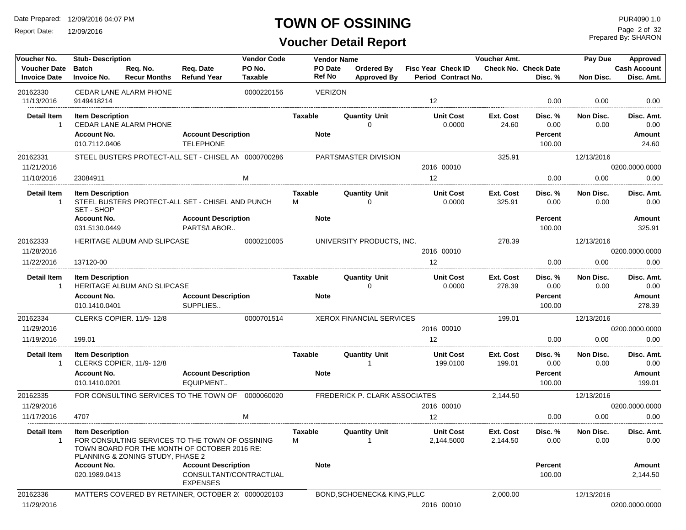Report Date: 12/09/2016

# **TOWN OF OSSINING**

Prepared By: SHARON Page 2 of 32

| Voucher No.                                | <b>Stub- Description</b>            |                                                                                                                                     |                                           | <b>Vendor Code</b>       |                                 | <b>Vendor Name</b>                     |                                                  | Voucher Amt.          |                                        | Pay Due           | Approved                          |
|--------------------------------------------|-------------------------------------|-------------------------------------------------------------------------------------------------------------------------------------|-------------------------------------------|--------------------------|---------------------------------|----------------------------------------|--------------------------------------------------|-----------------------|----------------------------------------|-------------------|-----------------------------------|
| <b>Voucher Date</b><br><b>Invoice Date</b> | Batch<br><b>Invoice No.</b>         | Req. No.<br><b>Recur Months</b>                                                                                                     | Req. Date<br><b>Refund Year</b>           | PO No.<br><b>Taxable</b> | <b>PO</b> Date<br><b>Ref No</b> | Ordered By<br><b>Approved By</b>       | <b>Fisc Year Check ID</b><br>Period Contract No. |                       | <b>Check No. Check Date</b><br>Disc. % | Non Disc.         | <b>Cash Account</b><br>Disc. Amt. |
| 20162330<br>11/13/2016                     | 9149418214                          | <b>CEDAR LANE ALARM PHONE</b>                                                                                                       |                                           | 0000220156               | <b>VERIZON</b>                  |                                        | $12 \overline{ }$                                |                       | 0.00                                   | 0.00              | 0.00                              |
| <b>Detail Item</b>                         | <b>Item Description</b>             |                                                                                                                                     |                                           |                          | Taxable                         | <b>Quantity Unit</b>                   | <b>Unit Cost</b>                                 | Ext. Cost             | Disc. %                                | Non Disc.         | Disc. Amt.                        |
| $\mathbf{1}$                               |                                     | CEDAR LANE ALARM PHONE                                                                                                              |                                           |                          |                                 | $\Omega$                               | 0.0000                                           | 24.60                 | 0.00                                   | 0.00              | 0.00                              |
|                                            | <b>Account No.</b>                  |                                                                                                                                     | <b>Account Description</b>                |                          | <b>Note</b>                     |                                        |                                                  |                       | Percent                                |                   | <b>Amount</b>                     |
|                                            | 010.7112.0406                       |                                                                                                                                     | <b>TELEPHONE</b>                          |                          |                                 |                                        |                                                  |                       | 100.00                                 |                   | 24.60                             |
| 20162331                                   |                                     | STEEL BUSTERS PROTECT-ALL SET - CHISEL AN 0000700286                                                                                |                                           |                          |                                 | PARTSMASTER DIVISION                   |                                                  | 325.91                |                                        | 12/13/2016        |                                   |
| 11/21/2016                                 |                                     |                                                                                                                                     |                                           |                          |                                 |                                        | 2016 00010                                       |                       |                                        |                   | 0200.0000.0000                    |
| 11/10/2016                                 | 23084911                            |                                                                                                                                     |                                           | M                        |                                 |                                        | 12                                               |                       | 0.00                                   | 0.00              | 0.00                              |
| <b>Detail Item</b>                         | <b>Item Description</b>             |                                                                                                                                     |                                           |                          | <b>Taxable</b>                  | <b>Quantity Unit</b>                   | <b>Unit Cost</b>                                 | Ext. Cost             | Disc. %                                | Non Disc.         | Disc. Amt.                        |
| $\mathbf{1}$                               | SET - SHOP                          | STEEL BUSTERS PROTECT-ALL SET - CHISEL AND PUNCH                                                                                    |                                           |                          | м                               | 0                                      | 0.0000                                           | 325.91                | 0.00                                   | 0.00              | 0.00                              |
|                                            | <b>Account No.</b>                  |                                                                                                                                     | <b>Account Description</b>                |                          | <b>Note</b>                     |                                        |                                                  |                       | Percent                                |                   | <b>Amount</b>                     |
|                                            | 031.5130.0449                       |                                                                                                                                     | PARTS/LABOR                               |                          |                                 |                                        |                                                  |                       | 100.00                                 |                   | 325.91                            |
| 20162333                                   |                                     | HERITAGE ALBUM AND SLIPCASE                                                                                                         |                                           | 0000210005               |                                 | UNIVERSITY PRODUCTS, INC.              |                                                  | 278.39                |                                        | 12/13/2016        |                                   |
| 11/28/2016                                 |                                     |                                                                                                                                     |                                           |                          |                                 |                                        | 2016 00010                                       |                       |                                        |                   | 0200.0000.0000                    |
| 11/22/2016                                 | 137120-00                           |                                                                                                                                     |                                           |                          |                                 |                                        | 12                                               |                       | 0.00                                   | 0.00              | 0.00                              |
| <b>Detail Item</b>                         | <b>Item Description</b>             |                                                                                                                                     |                                           |                          | Taxable                         | <b>Quantity Unit</b>                   | <b>Unit Cost</b>                                 | Ext. Cost             | Disc. %                                | Non Disc.         | Disc. Amt.                        |
| 1                                          |                                     | HERITAGE ALBUM AND SLIPCASE                                                                                                         |                                           |                          |                                 | 0                                      | 0.0000                                           | 278.39                | 0.00                                   | 0.00              | 0.00                              |
|                                            | <b>Account No.</b>                  |                                                                                                                                     | <b>Account Description</b>                |                          | <b>Note</b>                     |                                        |                                                  |                       | Percent                                |                   | <b>Amount</b>                     |
|                                            | 010.1410.0401                       |                                                                                                                                     | SUPPLIES                                  |                          |                                 |                                        |                                                  |                       | 100.00                                 |                   | 278.39                            |
| 20162334                                   |                                     | CLERKS COPIER, 11/9-12/8                                                                                                            |                                           | 0000701514               |                                 | <b>XEROX FINANCIAL SERVICES</b>        |                                                  | 199.01                |                                        | 12/13/2016        |                                   |
| 11/29/2016                                 |                                     |                                                                                                                                     |                                           |                          |                                 |                                        | 2016 00010                                       |                       |                                        |                   | 0200.0000.0000                    |
| 11/19/2016                                 | 199.01                              |                                                                                                                                     |                                           |                          |                                 |                                        | 12                                               |                       | 0.00                                   | 0.00              | 0.00                              |
| <b>Detail Item</b>                         | <b>Item Description</b>             |                                                                                                                                     |                                           |                          | <b>Taxable</b>                  | <b>Quantity Unit</b>                   | <b>Unit Cost</b>                                 | Ext. Cost             | Disc. %                                | Non Disc.         | Disc. Amt.                        |
| $\mathbf{1}$                               |                                     | CLERKS COPIER, 11/9-12/8                                                                                                            |                                           |                          |                                 |                                        | 199.0100                                         | 199.01                | 0.00                                   | 0.00              | 0.00                              |
|                                            | <b>Account No.</b><br>010.1410.0201 |                                                                                                                                     | <b>Account Description</b><br>EQUIPMENT   |                          | <b>Note</b>                     |                                        |                                                  |                       | Percent<br>100.00                      |                   | <b>Amount</b><br>199.01           |
| 20162335                                   |                                     | FOR CONSULTING SERVICES TO THE TOWN OF 0000060020                                                                                   |                                           |                          |                                 | FREDERICK P. CLARK ASSOCIATES          |                                                  | 2,144.50              |                                        | 12/13/2016        |                                   |
| 11/29/2016                                 |                                     |                                                                                                                                     |                                           |                          |                                 |                                        | 2016 00010                                       |                       |                                        |                   | 0200.0000.0000                    |
| 11/17/2016                                 | 4707                                |                                                                                                                                     |                                           |                          |                                 |                                        | 12 <sup>°</sup>                                  |                       | 0.00                                   | 0.00              | 0.00                              |
|                                            |                                     |                                                                                                                                     |                                           |                          |                                 |                                        |                                                  |                       |                                        |                   |                                   |
| Detail Item<br>$\overline{1}$              | <b>Item Description</b>             | FOR CONSULTING SERVICES TO THE TOWN OF OSSINING<br>TOWN BOARD FOR THE MONTH OF OCTOBER 2016 RE:<br>PLANNING & ZONING STUDY, PHASE 2 |                                           |                          | Taxable<br>м                    | <b>Quantity Unit</b><br>$\mathbf{1}$   | <b>Unit Cost</b><br>2,144.5000                   | Ext. Cost<br>2.144.50 | Disc. %<br>0.00                        | Non Disc.<br>0.00 | Disc. Amt.<br>0.00                |
|                                            | <b>Account No.</b>                  |                                                                                                                                     | <b>Account Description</b>                |                          | <b>Note</b>                     |                                        |                                                  |                       | Percent                                |                   | Amount                            |
|                                            | 020.1989.0413                       |                                                                                                                                     | CONSULTANT/CONTRACTUAL<br><b>EXPENSES</b> |                          |                                 |                                        |                                                  |                       | 100.00                                 |                   | 2,144.50                          |
| 20162336                                   |                                     | MATTERS COVERED BY RETAINER, OCTOBER 2( 0000020103                                                                                  |                                           |                          |                                 | <b>BOND, SCHOENECK&amp; KING, PLLC</b> |                                                  | 2,000.00              |                                        | 12/13/2016        |                                   |
| 11/29/2016                                 |                                     |                                                                                                                                     |                                           |                          |                                 |                                        | 2016 00010                                       |                       |                                        |                   | 0200.0000.0000                    |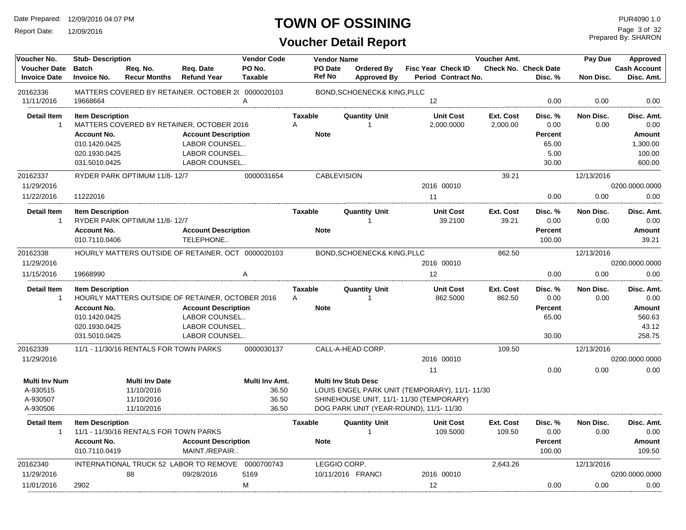Report Date: 12/09/2016

# **TOWN OF OSSINING**

Prepared By: SHARON Page 3 of 32

| Voucher No.<br><b>Stub-Description</b>     |                                     |                                        |                                                    |                          |                          |                                         |                                               |                     |                                        |                   | Approved                          |
|--------------------------------------------|-------------------------------------|----------------------------------------|----------------------------------------------------|--------------------------|--------------------------|-----------------------------------------|-----------------------------------------------|---------------------|----------------------------------------|-------------------|-----------------------------------|
| <b>Voucher Date</b><br><b>Invoice Date</b> | <b>Batch</b><br>Invoice No.         | Req. No.<br><b>Recur Months</b>        | Reg. Date<br><b>Refund Year</b>                    | PO No.<br><b>Taxable</b> | <b>PO</b> Date<br>Ref No | <b>Ordered By</b><br><b>Approved By</b> | Fisc Year Check ID<br>Period Contract No.     |                     | <b>Check No. Check Date</b><br>Disc. % | Non Disc.         | <b>Cash Account</b><br>Disc. Amt. |
| 20162336                                   |                                     |                                        | MATTERS COVERED BY RETAINER, OCTOBER 2( 0000020103 |                          |                          | BOND, SCHOENECK& KING, PLLC             |                                               |                     |                                        |                   |                                   |
| 11/11/2016                                 | 19668664                            |                                        |                                                    | A                        |                          |                                         | 12                                            |                     | 0.00                                   | 0.00              | 0.00                              |
| <b>Detail Item</b>                         | <b>Item Description</b>             |                                        |                                                    |                          | <b>Taxable</b>           | <b>Quantity Unit</b>                    | <b>Unit Cost</b>                              | Ext. Cost           | Disc. %                                | Non Disc.         | Disc. Amt.                        |
| $\overline{1}$                             |                                     |                                        | MATTERS COVERED BY RETAINER, OCTOBER 2016          |                          | Α                        | $\overline{1}$                          | 2,000.0000                                    | 2,000.00            | 0.00                                   | 0.00              | 0.00                              |
|                                            | <b>Account No.</b>                  |                                        | <b>Account Description</b>                         |                          | <b>Note</b>              |                                         |                                               |                     | <b>Percent</b>                         |                   | Amount                            |
|                                            | 010.1420.0425                       |                                        | <b>LABOR COUNSEL</b>                               |                          |                          |                                         |                                               |                     | 65.00                                  |                   | 1,300.00                          |
|                                            | 020.1930.0425                       |                                        | LABOR COUNSEL                                      |                          |                          |                                         |                                               |                     | 5.00                                   |                   | 100.00                            |
|                                            | 031.5010.0425                       |                                        | LABOR COUNSEL                                      |                          |                          |                                         |                                               |                     | 30.00                                  |                   | 600.00                            |
| 20162337                                   |                                     | RYDER PARK OPTIMUM 11/8-12/7           |                                                    | 0000031654               |                          | <b>CABLEVISION</b>                      |                                               | 39.21               |                                        | 12/13/2016        |                                   |
| 11/29/2016                                 |                                     |                                        |                                                    |                          |                          |                                         | 2016 00010                                    |                     |                                        |                   | 0200.0000.0000                    |
| 11/22/2016                                 | 11222016                            |                                        |                                                    |                          |                          |                                         | 11                                            |                     | 0.00                                   | 0.00              | 0.00                              |
| <b>Detail Item</b><br>$\overline{1}$       | <b>Item Description</b>             | RYDER PARK OPTIMUM 11/8-12/7           |                                                    |                          | <b>Taxable</b>           | <b>Quantity Unit</b><br>$\mathbf 1$     | <b>Unit Cost</b><br>39.2100                   | Ext. Cost<br>39.21  | Disc.%<br>0.00                         | Non Disc.<br>0.00 | Disc. Amt.<br>0.00                |
|                                            | <b>Account No.</b><br>010.7110.0406 |                                        | <b>Account Description</b><br>TELEPHONE            |                          | <b>Note</b>              |                                         |                                               |                     | <b>Percent</b><br>100.00               |                   | Amount<br>39.21                   |
| 20162338                                   |                                     |                                        | HOURLY MATTERS OUTSIDE OF RETAINER. OCT 0000020103 |                          |                          | BOND, SCHOENECK& KING, PLLC             |                                               | 862.50              |                                        | 12/13/2016        |                                   |
| 11/29/2016                                 |                                     |                                        |                                                    |                          |                          |                                         | 2016 00010                                    |                     |                                        |                   | 0200.0000.0000                    |
| 11/15/2016                                 | 19668990                            |                                        |                                                    | Α                        |                          |                                         | 12                                            |                     | 0.00                                   | 0.00              | 0.00                              |
| <b>Detail Item</b>                         | <b>Item Description</b>             |                                        |                                                    |                          | <b>Taxable</b>           | <b>Quantity Unit</b>                    | <b>Unit Cost</b>                              | Ext. Cost           | Disc. %                                | Non Disc.         | Disc. Amt.                        |
| -1                                         |                                     |                                        | HOURLY MATTERS OUTSIDE OF RETAINER, OCTOBER 2016   |                          | Α                        |                                         | 862.5000                                      | 862.50              | 0.00                                   | 0.00              | 0.00                              |
|                                            | <b>Account No.</b>                  |                                        | <b>Account Description</b>                         |                          | <b>Note</b>              |                                         |                                               |                     | <b>Percent</b>                         |                   | Amount                            |
|                                            | 010.1420.0425                       |                                        | LABOR COUNSEL                                      |                          |                          |                                         |                                               |                     | 65.00                                  |                   | 560.63                            |
|                                            | 020.1930.0425                       |                                        | LABOR COUNSEL                                      |                          |                          |                                         |                                               |                     |                                        |                   | 43.12                             |
|                                            | 031.5010.0425                       |                                        | LABOR COUNSEL                                      |                          |                          |                                         |                                               |                     | 30.00                                  |                   | 258.75                            |
| 20162339                                   |                                     | 11/1 - 11/30/16 RENTALS FOR TOWN PARKS |                                                    | 0000030137               |                          | CALL-A-HEAD CORP.                       |                                               | 109.50              |                                        | 12/13/2016        |                                   |
| 11/29/2016                                 |                                     |                                        |                                                    |                          |                          |                                         | 2016 00010                                    |                     |                                        |                   | 0200.0000.0000                    |
|                                            |                                     |                                        |                                                    |                          |                          |                                         | 11                                            |                     | 0.00                                   | 0.00              | 0.00                              |
| <b>Multi Inv Num</b>                       |                                     | <b>Multi Inv Date</b>                  |                                                    | Multi Inv Amt.           |                          | <b>Multi Inv Stub Desc</b>              |                                               |                     |                                        |                   |                                   |
| A-930515                                   |                                     | 11/10/2016                             |                                                    | 36.50                    |                          |                                         | LOUIS ENGEL PARK UNIT (TEMPORARY), 11/1-11/30 |                     |                                        |                   |                                   |
| A-930507                                   |                                     | 11/10/2016                             |                                                    | 36.50                    |                          |                                         | SHINEHOUSE UNIT, 11/1-11/30 (TEMPORARY)       |                     |                                        |                   |                                   |
| A-930506                                   |                                     | 11/10/2016                             |                                                    | 36.50                    |                          | DOG PARK UNIT (YEAR-ROUND), 11/1-11/30  |                                               |                     |                                        |                   |                                   |
| <b>Detail Item</b><br>$\mathbf{1}$         | <b>Item Description</b>             | 11/1 - 11/30/16 RENTALS FOR TOWN PARKS |                                                    |                          | <b>Taxable</b>           | <b>Quantity Unit</b><br>$\overline{1}$  | <b>Unit Cost</b><br>109.5000                  | Ext. Cost<br>109.50 | Disc. %<br>0.00                        | Non Disc.<br>0.00 | Disc. Amt.<br>0.00                |
|                                            | <b>Account No.</b><br>010.7110.0419 |                                        | <b>Account Description</b><br>MAINT./REPAIR        |                          | <b>Note</b>              |                                         |                                               |                     | <b>Percent</b><br>100.00               |                   | Amount<br>109.50                  |
| 20162340                                   |                                     |                                        | INTERNATIONAL TRUCK 52 LABOR TO REMOVE             | 0000700743               |                          | LEGGIO CORP.                            |                                               | 2,643.26            |                                        | 12/13/2016        |                                   |
| 11/29/2016                                 |                                     | 88                                     | 09/28/2016                                         | 5169                     |                          | 10/11/2016 FRANCI                       | 2016 00010                                    |                     |                                        |                   | 0200.0000.0000                    |
| 11/01/2016                                 | 2902                                |                                        |                                                    | M                        |                          |                                         | 12                                            |                     | 0.00                                   | 0.00              | 0.00                              |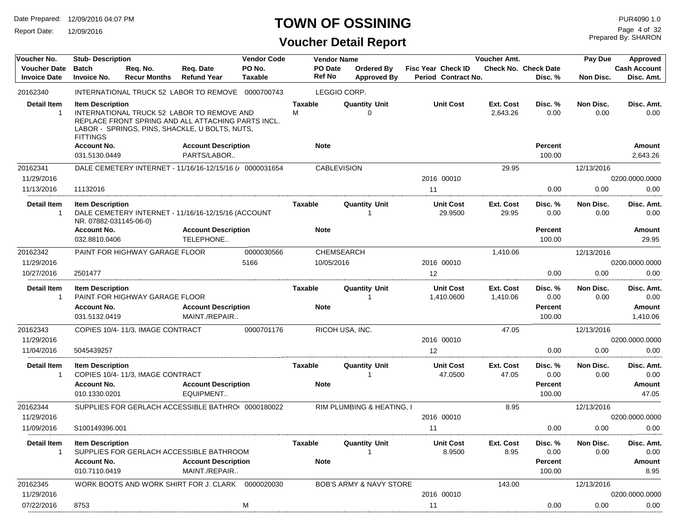Report Date: 12/09/2016

# **TOWN OF OSSINING**

# **Voucher Detail Report**

Prepared By: SHARON Page 4 of 32

| Voucher No.                                | <b>Stub- Description</b>                          |                                  |                                                                                                                                                    | <b>Vendor Code</b>       |                     | <b>Vendor Name</b>       |                                    |                                                  | Voucher Amt.          |                                        | Pay Due           | Approved                          |
|--------------------------------------------|---------------------------------------------------|----------------------------------|----------------------------------------------------------------------------------------------------------------------------------------------------|--------------------------|---------------------|--------------------------|------------------------------------|--------------------------------------------------|-----------------------|----------------------------------------|-------------------|-----------------------------------|
| <b>Voucher Date</b><br><b>Invoice Date</b> | <b>Batch</b><br><b>Invoice No.</b>                | Req. No.<br><b>Recur Months</b>  | Reg. Date<br><b>Refund Year</b>                                                                                                                    | PO No.<br><b>Taxable</b> | <b>Ref No</b>       | PO Date                  | Ordered By<br><b>Approved By</b>   | <b>Fisc Year Check ID</b><br>Period Contract No. |                       | <b>Check No. Check Date</b><br>Disc. % | Non Disc.         | <b>Cash Account</b><br>Disc. Amt. |
| 20162340                                   |                                                   |                                  | INTERNATIONAL TRUCK 52 LABOR TO REMOVE 0000700743                                                                                                  |                          |                     | LEGGIO CORP.             |                                    |                                                  |                       |                                        |                   |                                   |
| <b>Detail Item</b><br>$\mathbf{1}$         | <b>Item Description</b><br><b>FITTINGS</b>        |                                  | INTERNATIONAL TRUCK 52 LABOR TO REMOVE AND<br>REPLACE FRONT SPRING AND ALL ATTACHING PARTS INCL.<br>LABOR - SPRINGS, PINS, SHACKLE, U BOLTS, NUTS, |                          | <b>Taxable</b><br>M |                          | <b>Quantity Unit</b><br>∩          | <b>Unit Cost</b>                                 | Ext. Cost<br>2,643.26 | Disc. %<br>0.00                        | Non Disc.<br>0.00 | Disc. Amt.<br>0.00                |
|                                            | <b>Account No.</b>                                |                                  | <b>Account Description</b>                                                                                                                         |                          | <b>Note</b>         |                          |                                    |                                                  |                       | <b>Percent</b>                         |                   | Amount                            |
|                                            | 031.5130.0449                                     |                                  | PARTS/LABOR                                                                                                                                        |                          |                     |                          |                                    |                                                  |                       | 100.00                                 |                   | 2,643.26                          |
| 20162341                                   |                                                   |                                  | DALE CEMETERY INTERNET - 11/16/16-12/15/16 (/ 0000031654                                                                                           |                          |                     | <b>CABLEVISION</b>       |                                    |                                                  | 29.95                 |                                        | 12/13/2016        |                                   |
| 11/29/2016                                 |                                                   |                                  |                                                                                                                                                    |                          |                     |                          |                                    | 2016 00010                                       |                       |                                        |                   | 0200.0000.0000                    |
| 11/13/2016                                 | 11132016                                          |                                  |                                                                                                                                                    |                          |                     |                          |                                    | 11                                               |                       | 0.00                                   | 0.00              | 0.00                              |
| <b>Detail Item</b><br>$\overline{1}$       | <b>Item Description</b><br>NR. 07882-031145-06-0) |                                  | DALE CEMETERY INTERNET - 11/16/16-12/15/16 (ACCOUNT                                                                                                |                          | Taxable             |                          | <b>Quantity Unit</b>               | <b>Unit Cost</b><br>29.9500                      | Ext. Cost<br>29.95    | Disc. %<br>0.00                        | Non Disc.<br>0.00 | Disc. Amt.<br>0.00                |
|                                            | <b>Account No.</b><br>032.8810.0406               |                                  | <b>Account Description</b><br>TELEPHONE                                                                                                            |                          | <b>Note</b>         |                          |                                    |                                                  |                       | Percent<br>100.00                      |                   | Amount<br>29.95                   |
| 20162342<br>11/29/2016                     |                                                   | PAINT FOR HIGHWAY GARAGE FLOOR   |                                                                                                                                                    | 0000030566<br>5166       |                     | CHEMSEARCH<br>10/05/2016 |                                    | 2016 00010                                       | 1,410.06              |                                        | 12/13/2016        | 0200.0000.0000                    |
| 10/27/2016                                 | 2501477                                           |                                  |                                                                                                                                                    |                          |                     |                          |                                    | 12                                               |                       | 0.00                                   | 0.00              | 0.00                              |
| <b>Detail Item</b><br>$\mathbf{1}$         | <b>Item Description</b>                           | PAINT FOR HIGHWAY GARAGE FLOOR   |                                                                                                                                                    |                          | <b>Taxable</b>      |                          | <b>Quantity Unit</b><br>1          | <b>Unit Cost</b><br>1,410.0600                   | Ext. Cost<br>1,410.06 | Disc. %<br>0.00                        | Non Disc.<br>0.00 | Disc. Amt.<br>0.00                |
|                                            | <b>Account No.</b><br>031.5132.0419               |                                  | <b>Account Description</b><br>MAINT./REPAIR                                                                                                        |                          | <b>Note</b>         |                          |                                    |                                                  |                       | Percent<br>100.00                      |                   | Amount<br>1,410.06                |
| 20162343                                   |                                                   | COPIES 10/4-11/3, IMAGE CONTRACT |                                                                                                                                                    | 0000701176               |                     |                          | RICOH USA, INC.                    |                                                  | 47.05                 |                                        | 12/13/2016        |                                   |
| 11/29/2016                                 |                                                   |                                  |                                                                                                                                                    |                          |                     |                          |                                    | 2016 00010                                       |                       |                                        |                   | 0200.0000.0000                    |
| 11/04/2016                                 | 5045439257                                        |                                  |                                                                                                                                                    |                          |                     |                          |                                    | 12                                               |                       | 0.00                                   | 0.00              | 0.00                              |
| Detail Item<br>$\overline{1}$              | <b>Item Description</b>                           | COPIES 10/4-11/3, IMAGE CONTRACT |                                                                                                                                                    |                          | Taxable             |                          | <b>Quantity Unit</b>               | <b>Unit Cost</b><br>47.0500                      | Ext. Cost<br>47.05    | Disc. %<br>0.00                        | Non Disc.<br>0.00 | Disc. Amt.<br>0.00                |
|                                            | <b>Account No.</b><br>010.1330.0201               |                                  | <b>Account Description</b><br>EQUIPMENT                                                                                                            |                          | <b>Note</b>         |                          |                                    |                                                  |                       | Percent<br>100.00                      |                   | Amount<br>47.05                   |
| 20162344                                   |                                                   |                                  | SUPPLIES FOR GERLACH ACCESSIBLE BATHRO  0000180022                                                                                                 |                          |                     |                          | RIM PLUMBING & HEATING, I          |                                                  | 8.95                  |                                        | 12/13/2016        |                                   |
| 11/29/2016                                 |                                                   |                                  |                                                                                                                                                    |                          |                     |                          |                                    | 2016 00010                                       |                       |                                        |                   | 0200.0000.0000                    |
| 11/09/2016                                 | S100149396.001                                    |                                  |                                                                                                                                                    |                          |                     |                          |                                    | 11                                               |                       | 0.00                                   | 0.00              | 0.00                              |
| Detail Item<br>-1                          | <b>Item Description</b>                           |                                  | SUPPLIES FOR GERLACH ACCESSIBLE BATHROOM                                                                                                           |                          | Taxable             |                          | <b>Quantity Unit</b>               | <b>Unit Cost</b><br>8.9500                       | Ext. Cost<br>8.95     | Disc. %<br>0.00                        | Non Disc.<br>0.00 | Disc. Amt.<br>0.00                |
|                                            | <b>Account No.</b><br>010.7110.0419               |                                  | <b>Account Description</b><br>MAINT./REPAIR                                                                                                        |                          | <b>Note</b>         |                          |                                    |                                                  |                       | <b>Percent</b><br>100.00               |                   | Amount<br>8.95                    |
| 20162345                                   |                                                   |                                  | WORK BOOTS AND WORK SHIRT FOR J. CLARK 0000020030                                                                                                  |                          |                     |                          | <b>BOB'S ARMY &amp; NAVY STORE</b> |                                                  | 143.00                |                                        | 12/13/2016        |                                   |
| 11/29/2016                                 |                                                   |                                  |                                                                                                                                                    |                          |                     |                          |                                    | 2016 00010                                       |                       |                                        |                   | 0200.0000.0000                    |
| 07/22/2016                                 | 8753                                              |                                  |                                                                                                                                                    | M                        |                     |                          |                                    | 11                                               |                       | 0.00                                   | 0.00              | 0.00                              |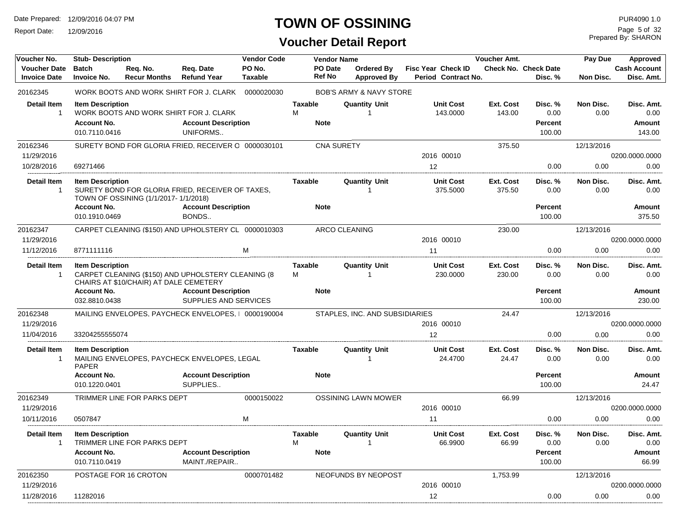Report Date: 12/09/2016

# **TOWN OF OSSINING** PURA090 1.0

Prepared By: SHARON Page 5 of 32

| <b>Voucher Date</b><br><b>Batch</b><br>PO No.<br>PO Date<br><b>Check No. Check Date</b><br><b>Cash Account</b><br>Reg. No.<br>Reg. Date<br>Ordered By<br><b>Fisc Year Check ID</b><br><b>Ref No</b><br>Disc. Amt.<br><b>Invoice Date</b><br><b>Invoice No.</b><br><b>Recur Months</b><br><b>Refund Year</b><br><b>Taxable</b><br><b>Approved By</b><br>Period Contract No.<br>Disc. %<br>Non Disc.<br>20162345<br>WORK BOOTS AND WORK SHIRT FOR J. CLARK 0000020030<br><b>BOB'S ARMY &amp; NAVY STORE</b><br><b>Detail Item</b><br><b>Unit Cost</b><br><b>Item Description</b><br><b>Taxable</b><br><b>Quantity Unit</b><br>Ext. Cost<br>Disc. %<br>Non Disc.<br>Disc. Amt.<br>M<br>WORK BOOTS AND WORK SHIRT FOR J. CLARK<br>143.0000<br>143.00<br>0.00<br>0.00<br>0.00<br>$\overline{1}$<br><b>Account Description</b><br><b>Account No.</b><br><b>Note</b><br>Percent<br>Amount<br>UNIFORMS<br>010.7110.0416<br>100.00<br>143.00<br>20162346<br>SURETY BOND FOR GLORIA FRIED, RECEIVER O 0000030101<br><b>CNA SURETY</b><br>375.50<br>12/13/2016<br>11/29/2016<br>2016 00010<br>0200.0000.0000<br>10/28/2016<br>12<br>69271466<br>0.00<br>0.00<br>0.00<br><b>Detail Item</b><br><b>Quantity Unit</b><br><b>Unit Cost</b><br>Ext. Cost<br><b>Item Description</b><br><b>Taxable</b><br>Disc. %<br>Non Disc.<br>Disc. Amt.<br>SURETY BOND FOR GLORIA FRIED, RECEIVER OF TAXES,<br>$\overline{1}$<br>375.5000<br>375.50<br>0.00<br>0.00<br>0.00<br>1<br>TOWN OF OSSINING (1/1/2017-1/1/2018)<br><b>Account Description</b><br><b>Account No.</b><br><b>Note</b><br>Percent<br>Amount<br>BONDS<br>010.1910.0469<br>100.00<br>375.50<br>CARPET CLEANING (\$150) AND UPHOLSTERY CL 0000010303<br>ARCO CLEANING<br>20162347<br>230.00<br>12/13/2016<br>2016 00010<br>0200.0000.0000<br>11/29/2016<br>11/12/2016<br>8771111116<br>м<br>0.00<br>0.00<br>0.00<br>11<br><b>Detail Item</b><br><b>Item Description</b><br><b>Taxable</b><br><b>Quantity Unit</b><br><b>Unit Cost</b><br>Ext. Cost<br>Disc. %<br>Non Disc.<br>Disc. Amt.<br>CARPET CLEANING (\$150) AND UPHOLSTERY CLEANING (8<br>M<br>$\overline{1}$<br>230.0000<br>230.00<br>0.00<br>0.00<br>0.00<br>$\mathbf{1}$<br>CHAIRS AT \$10/CHAIR) AT DALE CEMETERY<br><b>Account No.</b><br><b>Account Description</b><br><b>Note</b><br>Percent<br>Amount<br>032.8810.0438<br>SUPPLIES AND SERVICES<br>100.00<br>230.00<br>20162348<br>MAILING ENVELOPES. PAYCHECK ENVELOPES.   0000190004<br>24.47<br>STAPLES, INC. AND SUBSIDIARIES<br>12/13/2016<br>11/29/2016<br>0200.0000.0000<br>2016 00010<br>11/04/2016<br>0.00<br>0.00<br>0.00<br>33204255555074<br>12<br><b>Detail Item</b><br><b>Item Description</b><br><b>Taxable</b><br><b>Quantity Unit</b><br><b>Unit Cost</b><br>Ext. Cost<br>Disc. %<br>Non Disc.<br>Disc. Amt.<br>MAILING ENVELOPES, PAYCHECK ENVELOPES, LEGAL<br>24.4700<br>24.47<br>0.00<br>0.00<br>0.00<br>$\overline{1}$<br>$\mathbf{1}$<br><b>PAPER</b><br><b>Account No.</b><br><b>Account Description</b><br><b>Note</b><br>Percent<br>Amount<br>SUPPLIES<br>010.1220.0401<br>100.00<br>24.47<br>20162349<br>TRIMMER LINE FOR PARKS DEPT<br>0000150022<br><b>OSSINING LAWN MOWER</b><br>66.99<br>12/13/2016<br>11/29/2016<br>2016 00010<br>0200.0000.0000<br>10/11/2016<br>M<br>0.00<br>0.00<br>0.00<br>0507847<br>11<br><b>Detail Item</b><br><b>Item Description</b><br><b>Unit Cost</b><br>Ext. Cost<br>Non Disc.<br>Taxable<br><b>Quantity Unit</b><br>Disc. %<br>Disc. Amt.<br>TRIMMER LINE FOR PARKS DEPT<br>M<br>$\overline{1}$<br>66.9900<br>66.99<br>0.00<br>0.00<br>0.00<br>$\mathbf{1}$<br><b>Account No.</b><br><b>Account Description</b><br><b>Note</b><br><b>Percent</b><br>Amount<br>MAINT./REPAIR<br>100.00<br>66.99<br>010.7110.0419<br>20162350<br>0000701482<br>POSTAGE FOR 16 CROTON<br>NEOFUNDS BY NEOPOST<br>1,753.99<br>12/13/2016<br>11/29/2016<br>2016 00010<br>0200.0000.0000<br>11/28/2016<br>12<br>0.00<br>0.00<br>11282016<br>0.00 | Voucher No. | <b>Stub-Description</b> |  | <b>Vendor Code</b> | <b>Vendor Name</b> | Voucher Amt. | Pay Due | Approved |
|----------------------------------------------------------------------------------------------------------------------------------------------------------------------------------------------------------------------------------------------------------------------------------------------------------------------------------------------------------------------------------------------------------------------------------------------------------------------------------------------------------------------------------------------------------------------------------------------------------------------------------------------------------------------------------------------------------------------------------------------------------------------------------------------------------------------------------------------------------------------------------------------------------------------------------------------------------------------------------------------------------------------------------------------------------------------------------------------------------------------------------------------------------------------------------------------------------------------------------------------------------------------------------------------------------------------------------------------------------------------------------------------------------------------------------------------------------------------------------------------------------------------------------------------------------------------------------------------------------------------------------------------------------------------------------------------------------------------------------------------------------------------------------------------------------------------------------------------------------------------------------------------------------------------------------------------------------------------------------------------------------------------------------------------------------------------------------------------------------------------------------------------------------------------------------------------------------------------------------------------------------------------------------------------------------------------------------------------------------------------------------------------------------------------------------------------------------------------------------------------------------------------------------------------------------------------------------------------------------------------------------------------------------------------------------------------------------------------------------------------------------------------------------------------------------------------------------------------------------------------------------------------------------------------------------------------------------------------------------------------------------------------------------------------------------------------------------------------------------------------------------------------------------------------------------------------------------------------------------------------------------------------------------------------------------------------------------------------------------------------------------------------------------------------------------------------------------------------------------------------------------------------------------------------------------------------------------------------------------------------------------------------------------------------------------------------------------------------------------------------------------------------------------------------------------------------------------------------------------------------------------------------------------------------------------------------|-------------|-------------------------|--|--------------------|--------------------|--------------|---------|----------|
|                                                                                                                                                                                                                                                                                                                                                                                                                                                                                                                                                                                                                                                                                                                                                                                                                                                                                                                                                                                                                                                                                                                                                                                                                                                                                                                                                                                                                                                                                                                                                                                                                                                                                                                                                                                                                                                                                                                                                                                                                                                                                                                                                                                                                                                                                                                                                                                                                                                                                                                                                                                                                                                                                                                                                                                                                                                                                                                                                                                                                                                                                                                                                                                                                                                                                                                                                                                                                                                                                                                                                                                                                                                                                                                                                                                                                                                                                                                                              |             |                         |  |                    |                    |              |         |          |
|                                                                                                                                                                                                                                                                                                                                                                                                                                                                                                                                                                                                                                                                                                                                                                                                                                                                                                                                                                                                                                                                                                                                                                                                                                                                                                                                                                                                                                                                                                                                                                                                                                                                                                                                                                                                                                                                                                                                                                                                                                                                                                                                                                                                                                                                                                                                                                                                                                                                                                                                                                                                                                                                                                                                                                                                                                                                                                                                                                                                                                                                                                                                                                                                                                                                                                                                                                                                                                                                                                                                                                                                                                                                                                                                                                                                                                                                                                                                              |             |                         |  |                    |                    |              |         |          |
|                                                                                                                                                                                                                                                                                                                                                                                                                                                                                                                                                                                                                                                                                                                                                                                                                                                                                                                                                                                                                                                                                                                                                                                                                                                                                                                                                                                                                                                                                                                                                                                                                                                                                                                                                                                                                                                                                                                                                                                                                                                                                                                                                                                                                                                                                                                                                                                                                                                                                                                                                                                                                                                                                                                                                                                                                                                                                                                                                                                                                                                                                                                                                                                                                                                                                                                                                                                                                                                                                                                                                                                                                                                                                                                                                                                                                                                                                                                                              |             |                         |  |                    |                    |              |         |          |
|                                                                                                                                                                                                                                                                                                                                                                                                                                                                                                                                                                                                                                                                                                                                                                                                                                                                                                                                                                                                                                                                                                                                                                                                                                                                                                                                                                                                                                                                                                                                                                                                                                                                                                                                                                                                                                                                                                                                                                                                                                                                                                                                                                                                                                                                                                                                                                                                                                                                                                                                                                                                                                                                                                                                                                                                                                                                                                                                                                                                                                                                                                                                                                                                                                                                                                                                                                                                                                                                                                                                                                                                                                                                                                                                                                                                                                                                                                                                              |             |                         |  |                    |                    |              |         |          |
|                                                                                                                                                                                                                                                                                                                                                                                                                                                                                                                                                                                                                                                                                                                                                                                                                                                                                                                                                                                                                                                                                                                                                                                                                                                                                                                                                                                                                                                                                                                                                                                                                                                                                                                                                                                                                                                                                                                                                                                                                                                                                                                                                                                                                                                                                                                                                                                                                                                                                                                                                                                                                                                                                                                                                                                                                                                                                                                                                                                                                                                                                                                                                                                                                                                                                                                                                                                                                                                                                                                                                                                                                                                                                                                                                                                                                                                                                                                                              |             |                         |  |                    |                    |              |         |          |
|                                                                                                                                                                                                                                                                                                                                                                                                                                                                                                                                                                                                                                                                                                                                                                                                                                                                                                                                                                                                                                                                                                                                                                                                                                                                                                                                                                                                                                                                                                                                                                                                                                                                                                                                                                                                                                                                                                                                                                                                                                                                                                                                                                                                                                                                                                                                                                                                                                                                                                                                                                                                                                                                                                                                                                                                                                                                                                                                                                                                                                                                                                                                                                                                                                                                                                                                                                                                                                                                                                                                                                                                                                                                                                                                                                                                                                                                                                                                              |             |                         |  |                    |                    |              |         |          |
|                                                                                                                                                                                                                                                                                                                                                                                                                                                                                                                                                                                                                                                                                                                                                                                                                                                                                                                                                                                                                                                                                                                                                                                                                                                                                                                                                                                                                                                                                                                                                                                                                                                                                                                                                                                                                                                                                                                                                                                                                                                                                                                                                                                                                                                                                                                                                                                                                                                                                                                                                                                                                                                                                                                                                                                                                                                                                                                                                                                                                                                                                                                                                                                                                                                                                                                                                                                                                                                                                                                                                                                                                                                                                                                                                                                                                                                                                                                                              |             |                         |  |                    |                    |              |         |          |
|                                                                                                                                                                                                                                                                                                                                                                                                                                                                                                                                                                                                                                                                                                                                                                                                                                                                                                                                                                                                                                                                                                                                                                                                                                                                                                                                                                                                                                                                                                                                                                                                                                                                                                                                                                                                                                                                                                                                                                                                                                                                                                                                                                                                                                                                                                                                                                                                                                                                                                                                                                                                                                                                                                                                                                                                                                                                                                                                                                                                                                                                                                                                                                                                                                                                                                                                                                                                                                                                                                                                                                                                                                                                                                                                                                                                                                                                                                                                              |             |                         |  |                    |                    |              |         |          |
|                                                                                                                                                                                                                                                                                                                                                                                                                                                                                                                                                                                                                                                                                                                                                                                                                                                                                                                                                                                                                                                                                                                                                                                                                                                                                                                                                                                                                                                                                                                                                                                                                                                                                                                                                                                                                                                                                                                                                                                                                                                                                                                                                                                                                                                                                                                                                                                                                                                                                                                                                                                                                                                                                                                                                                                                                                                                                                                                                                                                                                                                                                                                                                                                                                                                                                                                                                                                                                                                                                                                                                                                                                                                                                                                                                                                                                                                                                                                              |             |                         |  |                    |                    |              |         |          |
|                                                                                                                                                                                                                                                                                                                                                                                                                                                                                                                                                                                                                                                                                                                                                                                                                                                                                                                                                                                                                                                                                                                                                                                                                                                                                                                                                                                                                                                                                                                                                                                                                                                                                                                                                                                                                                                                                                                                                                                                                                                                                                                                                                                                                                                                                                                                                                                                                                                                                                                                                                                                                                                                                                                                                                                                                                                                                                                                                                                                                                                                                                                                                                                                                                                                                                                                                                                                                                                                                                                                                                                                                                                                                                                                                                                                                                                                                                                                              |             |                         |  |                    |                    |              |         |          |
|                                                                                                                                                                                                                                                                                                                                                                                                                                                                                                                                                                                                                                                                                                                                                                                                                                                                                                                                                                                                                                                                                                                                                                                                                                                                                                                                                                                                                                                                                                                                                                                                                                                                                                                                                                                                                                                                                                                                                                                                                                                                                                                                                                                                                                                                                                                                                                                                                                                                                                                                                                                                                                                                                                                                                                                                                                                                                                                                                                                                                                                                                                                                                                                                                                                                                                                                                                                                                                                                                                                                                                                                                                                                                                                                                                                                                                                                                                                                              |             |                         |  |                    |                    |              |         |          |
|                                                                                                                                                                                                                                                                                                                                                                                                                                                                                                                                                                                                                                                                                                                                                                                                                                                                                                                                                                                                                                                                                                                                                                                                                                                                                                                                                                                                                                                                                                                                                                                                                                                                                                                                                                                                                                                                                                                                                                                                                                                                                                                                                                                                                                                                                                                                                                                                                                                                                                                                                                                                                                                                                                                                                                                                                                                                                                                                                                                                                                                                                                                                                                                                                                                                                                                                                                                                                                                                                                                                                                                                                                                                                                                                                                                                                                                                                                                                              |             |                         |  |                    |                    |              |         |          |
|                                                                                                                                                                                                                                                                                                                                                                                                                                                                                                                                                                                                                                                                                                                                                                                                                                                                                                                                                                                                                                                                                                                                                                                                                                                                                                                                                                                                                                                                                                                                                                                                                                                                                                                                                                                                                                                                                                                                                                                                                                                                                                                                                                                                                                                                                                                                                                                                                                                                                                                                                                                                                                                                                                                                                                                                                                                                                                                                                                                                                                                                                                                                                                                                                                                                                                                                                                                                                                                                                                                                                                                                                                                                                                                                                                                                                                                                                                                                              |             |                         |  |                    |                    |              |         |          |
|                                                                                                                                                                                                                                                                                                                                                                                                                                                                                                                                                                                                                                                                                                                                                                                                                                                                                                                                                                                                                                                                                                                                                                                                                                                                                                                                                                                                                                                                                                                                                                                                                                                                                                                                                                                                                                                                                                                                                                                                                                                                                                                                                                                                                                                                                                                                                                                                                                                                                                                                                                                                                                                                                                                                                                                                                                                                                                                                                                                                                                                                                                                                                                                                                                                                                                                                                                                                                                                                                                                                                                                                                                                                                                                                                                                                                                                                                                                                              |             |                         |  |                    |                    |              |         |          |
|                                                                                                                                                                                                                                                                                                                                                                                                                                                                                                                                                                                                                                                                                                                                                                                                                                                                                                                                                                                                                                                                                                                                                                                                                                                                                                                                                                                                                                                                                                                                                                                                                                                                                                                                                                                                                                                                                                                                                                                                                                                                                                                                                                                                                                                                                                                                                                                                                                                                                                                                                                                                                                                                                                                                                                                                                                                                                                                                                                                                                                                                                                                                                                                                                                                                                                                                                                                                                                                                                                                                                                                                                                                                                                                                                                                                                                                                                                                                              |             |                         |  |                    |                    |              |         |          |
|                                                                                                                                                                                                                                                                                                                                                                                                                                                                                                                                                                                                                                                                                                                                                                                                                                                                                                                                                                                                                                                                                                                                                                                                                                                                                                                                                                                                                                                                                                                                                                                                                                                                                                                                                                                                                                                                                                                                                                                                                                                                                                                                                                                                                                                                                                                                                                                                                                                                                                                                                                                                                                                                                                                                                                                                                                                                                                                                                                                                                                                                                                                                                                                                                                                                                                                                                                                                                                                                                                                                                                                                                                                                                                                                                                                                                                                                                                                                              |             |                         |  |                    |                    |              |         |          |
|                                                                                                                                                                                                                                                                                                                                                                                                                                                                                                                                                                                                                                                                                                                                                                                                                                                                                                                                                                                                                                                                                                                                                                                                                                                                                                                                                                                                                                                                                                                                                                                                                                                                                                                                                                                                                                                                                                                                                                                                                                                                                                                                                                                                                                                                                                                                                                                                                                                                                                                                                                                                                                                                                                                                                                                                                                                                                                                                                                                                                                                                                                                                                                                                                                                                                                                                                                                                                                                                                                                                                                                                                                                                                                                                                                                                                                                                                                                                              |             |                         |  |                    |                    |              |         |          |
|                                                                                                                                                                                                                                                                                                                                                                                                                                                                                                                                                                                                                                                                                                                                                                                                                                                                                                                                                                                                                                                                                                                                                                                                                                                                                                                                                                                                                                                                                                                                                                                                                                                                                                                                                                                                                                                                                                                                                                                                                                                                                                                                                                                                                                                                                                                                                                                                                                                                                                                                                                                                                                                                                                                                                                                                                                                                                                                                                                                                                                                                                                                                                                                                                                                                                                                                                                                                                                                                                                                                                                                                                                                                                                                                                                                                                                                                                                                                              |             |                         |  |                    |                    |              |         |          |
|                                                                                                                                                                                                                                                                                                                                                                                                                                                                                                                                                                                                                                                                                                                                                                                                                                                                                                                                                                                                                                                                                                                                                                                                                                                                                                                                                                                                                                                                                                                                                                                                                                                                                                                                                                                                                                                                                                                                                                                                                                                                                                                                                                                                                                                                                                                                                                                                                                                                                                                                                                                                                                                                                                                                                                                                                                                                                                                                                                                                                                                                                                                                                                                                                                                                                                                                                                                                                                                                                                                                                                                                                                                                                                                                                                                                                                                                                                                                              |             |                         |  |                    |                    |              |         |          |
|                                                                                                                                                                                                                                                                                                                                                                                                                                                                                                                                                                                                                                                                                                                                                                                                                                                                                                                                                                                                                                                                                                                                                                                                                                                                                                                                                                                                                                                                                                                                                                                                                                                                                                                                                                                                                                                                                                                                                                                                                                                                                                                                                                                                                                                                                                                                                                                                                                                                                                                                                                                                                                                                                                                                                                                                                                                                                                                                                                                                                                                                                                                                                                                                                                                                                                                                                                                                                                                                                                                                                                                                                                                                                                                                                                                                                                                                                                                                              |             |                         |  |                    |                    |              |         |          |
|                                                                                                                                                                                                                                                                                                                                                                                                                                                                                                                                                                                                                                                                                                                                                                                                                                                                                                                                                                                                                                                                                                                                                                                                                                                                                                                                                                                                                                                                                                                                                                                                                                                                                                                                                                                                                                                                                                                                                                                                                                                                                                                                                                                                                                                                                                                                                                                                                                                                                                                                                                                                                                                                                                                                                                                                                                                                                                                                                                                                                                                                                                                                                                                                                                                                                                                                                                                                                                                                                                                                                                                                                                                                                                                                                                                                                                                                                                                                              |             |                         |  |                    |                    |              |         |          |
|                                                                                                                                                                                                                                                                                                                                                                                                                                                                                                                                                                                                                                                                                                                                                                                                                                                                                                                                                                                                                                                                                                                                                                                                                                                                                                                                                                                                                                                                                                                                                                                                                                                                                                                                                                                                                                                                                                                                                                                                                                                                                                                                                                                                                                                                                                                                                                                                                                                                                                                                                                                                                                                                                                                                                                                                                                                                                                                                                                                                                                                                                                                                                                                                                                                                                                                                                                                                                                                                                                                                                                                                                                                                                                                                                                                                                                                                                                                                              |             |                         |  |                    |                    |              |         |          |
|                                                                                                                                                                                                                                                                                                                                                                                                                                                                                                                                                                                                                                                                                                                                                                                                                                                                                                                                                                                                                                                                                                                                                                                                                                                                                                                                                                                                                                                                                                                                                                                                                                                                                                                                                                                                                                                                                                                                                                                                                                                                                                                                                                                                                                                                                                                                                                                                                                                                                                                                                                                                                                                                                                                                                                                                                                                                                                                                                                                                                                                                                                                                                                                                                                                                                                                                                                                                                                                                                                                                                                                                                                                                                                                                                                                                                                                                                                                                              |             |                         |  |                    |                    |              |         |          |
|                                                                                                                                                                                                                                                                                                                                                                                                                                                                                                                                                                                                                                                                                                                                                                                                                                                                                                                                                                                                                                                                                                                                                                                                                                                                                                                                                                                                                                                                                                                                                                                                                                                                                                                                                                                                                                                                                                                                                                                                                                                                                                                                                                                                                                                                                                                                                                                                                                                                                                                                                                                                                                                                                                                                                                                                                                                                                                                                                                                                                                                                                                                                                                                                                                                                                                                                                                                                                                                                                                                                                                                                                                                                                                                                                                                                                                                                                                                                              |             |                         |  |                    |                    |              |         |          |
|                                                                                                                                                                                                                                                                                                                                                                                                                                                                                                                                                                                                                                                                                                                                                                                                                                                                                                                                                                                                                                                                                                                                                                                                                                                                                                                                                                                                                                                                                                                                                                                                                                                                                                                                                                                                                                                                                                                                                                                                                                                                                                                                                                                                                                                                                                                                                                                                                                                                                                                                                                                                                                                                                                                                                                                                                                                                                                                                                                                                                                                                                                                                                                                                                                                                                                                                                                                                                                                                                                                                                                                                                                                                                                                                                                                                                                                                                                                                              |             |                         |  |                    |                    |              |         |          |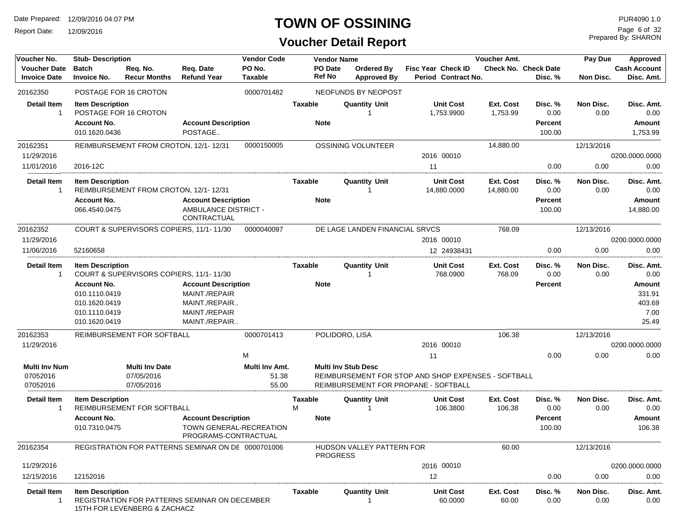Report Date: 12/09/2016

# **TOWN OF OSSINING**

# **Voucher Detail Report**

Prepared By: SHARON Page 6 of 32

| Voucher No.                                  | <b>Stub-Description</b>                                                                |                                                   |                                                                                                | <b>Vendor Code</b>               |                        | <b>Vendor Name</b> |                                         |                                                                                             | Voucher Amt.           |                                             | Pay Due           | Approved                                           |
|----------------------------------------------|----------------------------------------------------------------------------------------|---------------------------------------------------|------------------------------------------------------------------------------------------------|----------------------------------|------------------------|--------------------|-----------------------------------------|---------------------------------------------------------------------------------------------|------------------------|---------------------------------------------|-------------------|----------------------------------------------------|
| <b>Voucher Date</b><br><b>Invoice Date</b>   | <b>Batch</b><br><b>Invoice No.</b>                                                     | Req. No.<br><b>Recur Months</b>                   | Req. Date<br><b>Refund Year</b>                                                                | PO No.<br><b>Taxable</b>         | <b>Ref No</b>          | PO Date            | <b>Ordered By</b><br><b>Approved By</b> | <b>Fisc Year Check ID</b><br>Period Contract No.                                            |                        | <b>Check No. Check Date</b><br>Disc. %      | Non Disc.         | <b>Cash Account</b><br>Disc. Amt.                  |
| 20162350                                     |                                                                                        | POSTAGE FOR 16 CROTON                             |                                                                                                | 0000701482                       |                        |                    | NEOFUNDS BY NEOPOST                     |                                                                                             |                        |                                             |                   |                                                    |
| <b>Detail Item</b><br>-1                     | <b>Item Description</b><br>Account No.<br>010.1620.0436                                | POSTAGE FOR 16 CROTON                             | <b>Account Description</b><br>POSTAGE                                                          |                                  | Taxable<br><b>Note</b> |                    | <b>Quantity Unit</b>                    | <b>Unit Cost</b><br>1,753.9900                                                              | Ext. Cost<br>1,753.99  | Disc. %<br>0.00<br><b>Percent</b><br>100.00 | Non Disc.<br>0.00 | Disc. Amt.<br>0.00<br><b>Amount</b><br>1,753.99    |
| 20162351                                     |                                                                                        | REIMBURSEMENT FROM CROTON, 12/1-12/31             |                                                                                                | 0000150005                       |                        |                    | <b>OSSINING VOLUNTEER</b>               |                                                                                             | 14,880.00              |                                             | 12/13/2016        |                                                    |
| 11/29/2016                                   |                                                                                        |                                                   |                                                                                                |                                  |                        |                    |                                         | 2016 00010                                                                                  |                        |                                             |                   | 0200.0000.0000                                     |
| 11/01/2016                                   | 2016-12C                                                                               |                                                   |                                                                                                |                                  |                        |                    |                                         | 11                                                                                          |                        | 0.00                                        | 0.00              | 0.00                                               |
| Detail Item<br>-1                            | <b>Item Description</b>                                                                | REIMBURSEMENT FROM CROTON, 12/1-12/31             |                                                                                                |                                  | Taxable                |                    | <b>Quantity Unit</b>                    | <b>Unit Cost</b><br>14,880.0000                                                             | Ext. Cost<br>14,880.00 | Disc. %<br>0.00                             | Non Disc.<br>0.00 | Disc. Amt.<br>0.00                                 |
|                                              | Account No.<br>066.4540.0475                                                           |                                                   | <b>Account Description</b><br>AMBULANCE DISTRICT -<br>CONTRACTUAL                              |                                  | <b>Note</b>            |                    |                                         |                                                                                             |                        | <b>Percent</b><br>100.00                    |                   | <b>Amount</b><br>14,880.00                         |
| 20162352                                     |                                                                                        | COURT & SUPERVISORS COPIERS, 11/1-11/30           |                                                                                                | 0000040097                       |                        |                    | DE LAGE LANDEN FINANCIAL SRVCS          |                                                                                             | 768.09                 |                                             | 12/13/2016        |                                                    |
| 11/29/2016                                   |                                                                                        |                                                   |                                                                                                |                                  |                        |                    |                                         | 2016 00010                                                                                  |                        |                                             |                   | 0200.0000.0000                                     |
| 11/06/2016                                   | 52160658                                                                               |                                                   |                                                                                                |                                  |                        |                    |                                         | 12 24938431                                                                                 |                        | 0.00                                        | 0.00              | 0.00                                               |
| Detail Item<br>-1                            | <b>Item Description</b>                                                                | COURT & SUPERVISORS COPIERS, 11/1-11/30           |                                                                                                |                                  | Taxable                |                    | <b>Quantity Unit</b>                    | <b>Unit Cost</b><br>768.0900                                                                | Ext. Cost<br>768.09    | Disc. %<br>0.00                             | Non Disc.<br>0.00 | Disc. Amt.<br>0.00                                 |
|                                              | <b>Account No.</b><br>010.1110.0419<br>010.1620.0419<br>010.1110.0419<br>010.1620.0419 |                                                   | <b>Account Description</b><br>MAINT./REPAIR<br>MAINT./REPAIR<br>MAINT./REPAIR<br>MAINT./REPAIR |                                  | <b>Note</b>            |                    |                                         |                                                                                             |                        | <b>Percent</b>                              |                   | <b>Amount</b><br>331.91<br>403.69<br>7.00<br>25.49 |
| 20162353                                     |                                                                                        | REIMBURSEMENT FOR SOFTBALL                        |                                                                                                | 0000701413                       |                        |                    | POLIDORO, LISA                          |                                                                                             | 106.38                 |                                             | 12/13/2016        |                                                    |
| 11/29/2016                                   |                                                                                        |                                                   |                                                                                                |                                  |                        |                    |                                         | 2016 00010                                                                                  |                        |                                             |                   | 0200.0000.0000                                     |
|                                              |                                                                                        |                                                   |                                                                                                | м                                |                        |                    |                                         | 11                                                                                          |                        | 0.00                                        | 0.00              | 0.00                                               |
| <b>Multi Inv Num</b><br>07052016<br>07052016 |                                                                                        | <b>Multi Inv Date</b><br>07/05/2016<br>07/05/2016 |                                                                                                | Multi Inv Amt.<br>51.38<br>55.00 |                        |                    | <b>Multi Inv Stub Desc</b>              | REIMBURSEMENT FOR STOP AND SHOP EXPENSES - SOFTBALL<br>REIMBURSEMENT FOR PROPANE - SOFTBALL |                        |                                             |                   |                                                    |
| Detail Item<br>-1                            | <b>Item Description</b>                                                                | REIMBURSEMENT FOR SOFTBALL                        |                                                                                                |                                  | Taxable<br>м           |                    | <b>Quantity Unit</b>                    | <b>Unit Cost</b><br>106.3800                                                                | Ext. Cost<br>106.38    | Disc. %<br>0.00                             | Non Disc.<br>0.00 | Disc. Amt.<br>0.00                                 |
|                                              | Account No.<br>010.7310.0475                                                           |                                                   | <b>Account Description</b><br>TOWN GENERAL-RECREATION<br>PROGRAMS-CONTRACTUAL                  |                                  | <b>Note</b>            |                    |                                         |                                                                                             |                        | <b>Percent</b><br>100.00                    |                   | <b>Amount</b><br>106.38                            |
| 20162354                                     |                                                                                        |                                                   | REGISTRATION FOR PATTERNS SEMINAR ON DE 0000701006                                             |                                  |                        | <b>PROGRESS</b>    | HUDSON VALLEY PATTERN FOR               |                                                                                             | 60.00                  |                                             | 12/13/2016        |                                                    |
| 11/29/2016                                   |                                                                                        |                                                   |                                                                                                |                                  |                        |                    |                                         | 2016 00010                                                                                  |                        |                                             |                   | 0200.0000.0000                                     |
| 12/15/2016                                   | 12152016                                                                               |                                                   |                                                                                                |                                  |                        |                    |                                         | 12                                                                                          |                        | 0.00                                        | 0.00              | 0.00                                               |
| <b>Detail Item</b>                           | <b>Item Description</b>                                                                | 15TH FOR LEVENBERG & ZACHACZ                      | REGISTRATION FOR PATTERNS SEMINAR ON DECEMBER                                                  |                                  | Taxable                |                    | <b>Quantity Unit</b>                    | <b>Unit Cost</b><br>60.0000                                                                 | Ext. Cost<br>60.00     | Disc. %<br>0.00                             | Non Disc.<br>0.00 | Disc. Amt.<br>0.00                                 |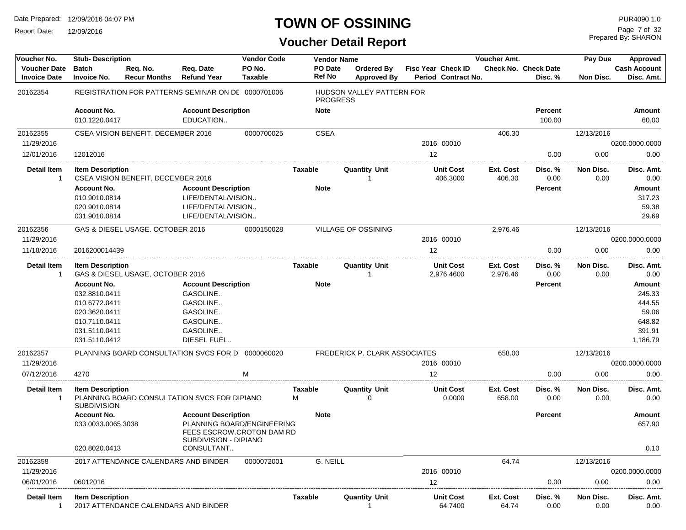Report Date: 12/09/2016

# **TOWN OF OSSINING**

Prepared By: SHARON Page 7 of 32

| Voucher No.                                | <b>Stub-Description</b>                |                                      |                                                    | <b>Vendor Code</b>                                      |                   | <b>Vendor Name</b>                           |    |                                                  | Voucher Amt.          |                                        | Pay Due           | Approved                          |
|--------------------------------------------|----------------------------------------|--------------------------------------|----------------------------------------------------|---------------------------------------------------------|-------------------|----------------------------------------------|----|--------------------------------------------------|-----------------------|----------------------------------------|-------------------|-----------------------------------|
| <b>Voucher Date</b><br><b>Invoice Date</b> | <b>Batch</b><br><b>Invoice No.</b>     | Req. No.<br><b>Recur Months</b>      | Reg. Date<br><b>Refund Year</b>                    | PO No.<br><b>Taxable</b>                                | PO Date<br>Ref No | Ordered By<br><b>Approved By</b>             |    | <b>Fisc Year Check ID</b><br>Period Contract No. |                       | <b>Check No. Check Date</b><br>Disc. % | Non Disc.         | <b>Cash Account</b><br>Disc. Amt. |
| 20162354                                   |                                        |                                      | REGISTRATION FOR PATTERNS SEMINAR ON DE 0000701006 |                                                         |                   | HUDSON VALLEY PATTERN FOR<br><b>PROGRESS</b> |    |                                                  |                       |                                        |                   |                                   |
|                                            | <b>Account No.</b>                     |                                      | <b>Account Description</b>                         |                                                         | <b>Note</b>       |                                              |    |                                                  |                       | <b>Percent</b>                         |                   | Amount                            |
|                                            | 010.1220.0417                          |                                      | EDUCATION                                          |                                                         |                   |                                              |    |                                                  |                       | 100.00                                 |                   | 60.00                             |
| 20162355                                   |                                        | CSEA VISION BENEFIT, DECEMBER 2016   |                                                    | 0000700025                                              | <b>CSEA</b>       |                                              |    |                                                  | 406.30                |                                        | 12/13/2016        |                                   |
| 11/29/2016                                 |                                        |                                      |                                                    |                                                         |                   |                                              |    | 2016 00010                                       |                       |                                        |                   | 0200.0000.0000                    |
| 12/01/2016                                 | 12012016                               |                                      |                                                    |                                                         |                   |                                              | 12 |                                                  |                       | 0.00                                   | 0.00              | 0.00                              |
| <b>Detail Item</b><br>-1                   | <b>Item Description</b>                | CSEA VISION BENEFIT, DECEMBER 2016   |                                                    |                                                         | Taxable           | <b>Quantity Unit</b>                         |    | <b>Unit Cost</b><br>406.3000                     | Ext. Cost<br>406.30   | Disc. %<br>0.00                        | Non Disc.<br>0.00 | Disc. Amt.<br>0.00                |
|                                            | <b>Account No.</b>                     |                                      | <b>Account Description</b>                         |                                                         | <b>Note</b>       |                                              |    |                                                  |                       | Percent                                |                   | Amount                            |
|                                            | 010.9010.0814                          |                                      | LIFE/DENTAL/VISION                                 |                                                         |                   |                                              |    |                                                  |                       |                                        |                   | 317.23                            |
|                                            | 020.9010.0814                          |                                      | LIFE/DENTAL/VISION                                 |                                                         |                   |                                              |    |                                                  |                       |                                        |                   | 59.38                             |
|                                            | 031.9010.0814                          |                                      | LIFE/DENTAL/VISION                                 |                                                         |                   |                                              |    |                                                  |                       |                                        |                   | 29.69                             |
| 20162356                                   |                                        | GAS & DIESEL USAGE, OCTOBER 2016     |                                                    | 0000150028                                              |                   | <b>VILLAGE OF OSSINING</b>                   |    |                                                  | 2,976.46              |                                        | 12/13/2016        |                                   |
| 11/29/2016                                 |                                        |                                      |                                                    |                                                         |                   |                                              |    | 2016 00010                                       |                       |                                        |                   | 0200.0000.0000                    |
| 11/18/2016                                 | 2016200014439                          |                                      |                                                    |                                                         |                   |                                              | 12 |                                                  |                       | 0.00                                   | 0.00              | 0.00                              |
| <b>Detail Item</b><br>-1                   | <b>Item Description</b>                | GAS & DIESEL USAGE, OCTOBER 2016     |                                                    |                                                         | Taxable           | <b>Quantity Unit</b><br>-1                   |    | <b>Unit Cost</b><br>2,976.4600                   | Ext. Cost<br>2,976.46 | Disc. %<br>0.00                        | Non Disc.<br>0.00 | Disc. Amt.<br>0.00                |
|                                            | <b>Account No.</b>                     |                                      | <b>Account Description</b>                         |                                                         | <b>Note</b>       |                                              |    |                                                  |                       | Percent                                |                   | <b>Amount</b>                     |
|                                            | 032.8810.0411                          |                                      | GASOLINE                                           |                                                         |                   |                                              |    |                                                  |                       |                                        |                   | 245.33                            |
|                                            | 010.6772.0411                          |                                      | GASOLINE                                           |                                                         |                   |                                              |    |                                                  |                       |                                        |                   | 444.55                            |
|                                            | 020.3620.0411                          |                                      | GASOLINE                                           |                                                         |                   |                                              |    |                                                  |                       |                                        |                   | 59.06                             |
|                                            | 010.7110.0411                          |                                      | GASOLINE                                           |                                                         |                   |                                              |    |                                                  |                       |                                        |                   | 648.82                            |
|                                            | 031.5110.0411                          |                                      | GASOLINE                                           |                                                         |                   |                                              |    |                                                  |                       |                                        |                   | 391.91                            |
|                                            | 031.5110.0412                          |                                      | DIESEL FUEL                                        |                                                         |                   |                                              |    |                                                  |                       |                                        |                   | 1,186.79                          |
| 20162357                                   |                                        |                                      | PLANNING BOARD CONSULTATION SVCS FOR DI 0000060020 |                                                         |                   | FREDERICK P. CLARK ASSOCIATES                |    |                                                  | 658.00                |                                        | 12/13/2016        |                                   |
| 11/29/2016                                 |                                        |                                      |                                                    |                                                         |                   |                                              |    | 2016 00010                                       |                       |                                        |                   | 0200.0000.0000                    |
| 07/12/2016                                 | 4270                                   |                                      |                                                    | м                                                       |                   |                                              | 12 |                                                  |                       | 0.00                                   | 0.00              | 0.00                              |
| <b>Detail Item</b>                         | <b>Item Description</b><br>SUBDIVISION |                                      | PLANNING BOARD CONSULTATION SVCS FOR DIPIANO       |                                                         | Taxable<br>м      | <b>Quantity Unit</b><br>0                    |    | <b>Unit Cost</b><br>0.0000                       | Ext. Cost<br>658.00   | Disc. %<br>0.00                        | Non Disc.<br>0.00 | Disc. Amt.<br>0.00                |
|                                            | <b>Account No.</b>                     |                                      | <b>Account Description</b>                         |                                                         | <b>Note</b>       |                                              |    |                                                  |                       | Percent                                |                   | <b>Amount</b>                     |
|                                            | 033.0033.0065.3038                     |                                      | SUBDIVISION - DIPIANO                              | PLANNING BOARD/ENGINEERING<br>FEES ESCROW.CROTON DAM RD |                   |                                              |    |                                                  |                       |                                        |                   | 657.90                            |
|                                            | 020.8020.0413                          |                                      | CONSULTANT                                         |                                                         |                   |                                              |    |                                                  |                       |                                        |                   | 0.10                              |
| 20162358                                   |                                        | 2017 ATTENDANCE CALENDARS AND BINDER |                                                    | 0000072001                                              | G. NEILL          |                                              |    |                                                  | 64.74                 |                                        | 12/13/2016        |                                   |
| 11/29/2016                                 |                                        |                                      |                                                    |                                                         |                   |                                              |    | 2016 00010                                       |                       |                                        |                   | 0200.0000.0000                    |
| 06/01/2016                                 | 06012016                               |                                      |                                                    |                                                         |                   |                                              | 12 |                                                  |                       | 0.00                                   | 0.00              | 0.00                              |
| <b>Detail Item</b><br>1                    | <b>Item Description</b>                | 2017 ATTENDANCE CALENDARS AND BINDER |                                                    |                                                         | Taxable           | <b>Quantity Unit</b>                         |    | <b>Unit Cost</b><br>64.7400                      | Ext. Cost<br>64.74    | Disc. %<br>0.00                        | Non Disc.<br>0.00 | Disc. Amt.<br>0.00                |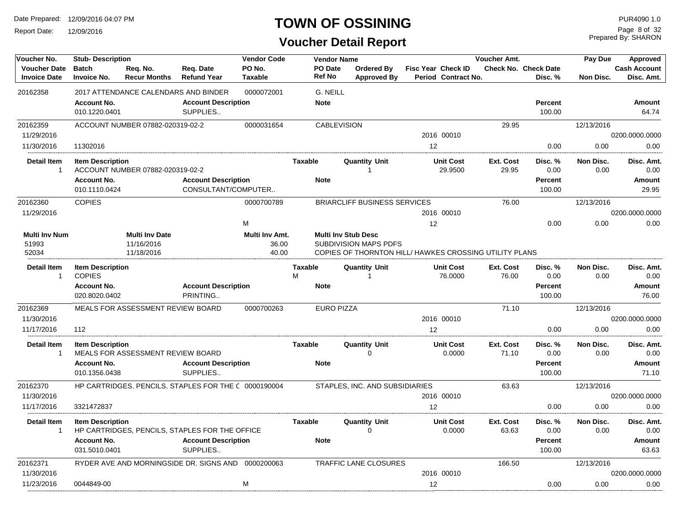Report Date: 12/09/2016

### **TOWN OF OSSINING**

**Voucher Detail Report**

Prepared By: SHARON Page 8 of 32

| Voucher No.                                | <b>Stub-Description</b>            |                                      |                                                      | <b>Vendor Code</b>       |                | <b>Vendor Name</b>       |                                                        |                           |                             | Voucher Amt.       |                                 | Pay Due           | Approved                          |
|--------------------------------------------|------------------------------------|--------------------------------------|------------------------------------------------------|--------------------------|----------------|--------------------------|--------------------------------------------------------|---------------------------|-----------------------------|--------------------|---------------------------------|-------------------|-----------------------------------|
| <b>Voucher Date</b><br><b>Invoice Date</b> | <b>Batch</b><br><b>Invoice No.</b> | Req. No.<br><b>Recur Months</b>      | Req. Date<br><b>Refund Year</b>                      | PO No.<br><b>Taxable</b> |                | <b>PO</b> Date<br>Ref No | <b>Ordered By</b><br><b>Approved By</b>                | <b>Fisc Year Check ID</b> | Period Contract No.         |                    | Check No. Check Date<br>Disc. % | <b>Non Disc.</b>  | <b>Cash Account</b><br>Disc. Amt. |
| 20162358                                   |                                    | 2017 ATTENDANCE CALENDARS AND BINDER |                                                      | 0000072001               |                | G. NEILL                 |                                                        |                           |                             |                    |                                 |                   |                                   |
|                                            | <b>Account No.</b>                 |                                      | <b>Account Description</b>                           |                          |                | <b>Note</b>              |                                                        |                           |                             |                    | <b>Percent</b>                  |                   | Amount                            |
|                                            | 010.1220.0401                      |                                      | SUPPLIES                                             |                          |                |                          |                                                        |                           |                             |                    | 100.00                          |                   | 64.74                             |
| 20162359                                   |                                    | ACCOUNT NUMBER 07882-020319-02-2     |                                                      | 0000031654               |                | <b>CABLEVISION</b>       |                                                        |                           |                             | 29.95              |                                 | 12/13/2016        |                                   |
| 11/29/2016                                 |                                    |                                      |                                                      |                          |                |                          |                                                        |                           | 2016 00010                  |                    |                                 |                   | 0200.0000.0000                    |
| 11/30/2016                                 | 11302016                           |                                      |                                                      |                          |                |                          |                                                        | 12                        |                             |                    | 0.00                            | 0.00              | 0.00                              |
| <b>Detail Item</b><br>$\mathbf{1}$         | <b>Item Description</b>            | ACCOUNT NUMBER 07882-020319-02-2     |                                                      |                          | <b>Taxable</b> |                          | <b>Quantity Unit</b><br>1                              |                           | <b>Unit Cost</b><br>29.9500 | Ext. Cost<br>29.95 | Disc.%<br>0.00                  | Non Disc.<br>0.00 | Disc. Amt.<br>0.00                |
|                                            | <b>Account No.</b>                 |                                      | <b>Account Description</b>                           |                          |                | <b>Note</b>              |                                                        |                           |                             |                    | <b>Percent</b>                  |                   | Amount                            |
|                                            | 010.1110.0424                      |                                      | CONSULTANT/COMPUTER                                  |                          |                |                          |                                                        |                           |                             |                    | 100.00                          |                   | 29.95                             |
| 20162360                                   | <b>COPIES</b>                      |                                      |                                                      | 0000700789               |                |                          | <b>BRIARCLIFF BUSINESS SERVICES</b>                    |                           |                             | 76.00              |                                 | 12/13/2016        |                                   |
| 11/29/2016                                 |                                    |                                      |                                                      |                          |                |                          |                                                        |                           | 2016 00010                  |                    |                                 |                   | 0200.0000.0000                    |
|                                            |                                    |                                      |                                                      | M                        |                |                          |                                                        | 12                        |                             |                    | 0.00                            | 0.00              | 0.00                              |
| <b>Multi Inv Num</b>                       |                                    | <b>Multi Inv Date</b>                |                                                      | Multi Inv Amt.           |                |                          | <b>Multi Inv Stub Desc</b>                             |                           |                             |                    |                                 |                   |                                   |
| 51993                                      |                                    | 11/16/2016                           |                                                      | 36.00                    |                |                          | <b>SUBDIVISION MAPS PDFS</b>                           |                           |                             |                    |                                 |                   |                                   |
| 52034                                      |                                    | 11/18/2016                           |                                                      | 40.00                    |                |                          | COPIES OF THORNTON HILL/ HAWKES CROSSING UTILITY PLANS |                           |                             |                    |                                 |                   |                                   |
| <b>Detail Item</b><br>$\mathbf{1}$         | <b>Item Description</b>            |                                      |                                                      |                          | <b>Taxable</b> |                          | <b>Quantity Unit</b>                                   |                           | <b>Unit Cost</b>            | Ext. Cost          | Disc. %                         | Non Disc.         | Disc. Amt.                        |
|                                            | <b>COPIES</b>                      |                                      |                                                      |                          | М              |                          | 1                                                      |                           | 76.0000                     | 76.00              | 0.00                            | 0.00              | 0.00                              |
|                                            | <b>Account No.</b>                 |                                      | <b>Account Description</b>                           |                          |                | <b>Note</b>              |                                                        |                           |                             |                    | <b>Percent</b>                  |                   | Amount                            |
|                                            | 020.8020.0402                      |                                      | PRINTING                                             |                          |                |                          |                                                        |                           |                             |                    | 100.00                          |                   | 76.00                             |
| 20162369                                   |                                    | MEALS FOR ASSESSMENT REVIEW BOARD    |                                                      | 0000700263               |                | <b>EURO PIZZA</b>        |                                                        |                           |                             | 71.10              |                                 | 12/13/2016        |                                   |
| 11/30/2016                                 |                                    |                                      |                                                      |                          |                |                          |                                                        |                           | 2016 00010                  |                    |                                 |                   | 0200.0000.0000                    |
| 11/17/2016                                 | 112                                |                                      |                                                      |                          |                |                          |                                                        | 12                        |                             |                    | 0.00                            | 0.00              | 0.00                              |
| <b>Detail Item</b>                         | <b>Item Description</b>            |                                      |                                                      |                          | <b>Taxable</b> |                          | <b>Quantity Unit</b>                                   |                           | <b>Unit Cost</b>            | Ext. Cost          | Disc. %                         | Non Disc.         | Disc. Amt.                        |
| -1                                         |                                    | MEALS FOR ASSESSMENT REVIEW BOARD    |                                                      |                          |                |                          | $\Omega$                                               |                           | 0.0000                      | 71.10              | 0.00                            | 0.00              | 0.00                              |
|                                            | <b>Account No.</b>                 |                                      | <b>Account Description</b>                           |                          |                | <b>Note</b>              |                                                        |                           |                             |                    | <b>Percent</b>                  |                   | Amount                            |
|                                            | 010.1356.0438                      |                                      | SUPPLIES                                             |                          |                |                          |                                                        |                           |                             |                    | 100.00                          |                   | 71.10                             |
| 20162370                                   |                                    |                                      | HP CARTRIDGES, PENCILS, STAPLES FOR THE C 0000190004 |                          |                |                          | STAPLES, INC. AND SUBSIDIARIES                         |                           |                             | 63.63              |                                 | 12/13/2016        |                                   |
| 11/30/2016                                 |                                    |                                      |                                                      |                          |                |                          |                                                        |                           | 2016 00010                  |                    |                                 |                   | 0200.0000.0000                    |
| 11/17/2016                                 | 3321472837                         |                                      |                                                      |                          |                |                          |                                                        | 12                        |                             |                    | 0.00                            | 0.00              | 0.00                              |
| <b>Detail Item</b>                         | <b>Item Description</b>            |                                      |                                                      |                          | <b>Taxable</b> |                          | <b>Quantity Unit</b>                                   |                           | <b>Unit Cost</b>            | Ext. Cost          | Disc. %                         | Non Disc.         | Disc. Amt.                        |
| -1                                         |                                    |                                      | HP CARTRIDGES, PENCILS, STAPLES FOR THE OFFICE       |                          |                |                          | $\Omega$                                               |                           | 0.0000                      | 63.63              | 0.00                            | 0.00              | 0.00                              |
|                                            | <b>Account No.</b>                 |                                      | <b>Account Description</b>                           |                          |                | <b>Note</b>              |                                                        |                           |                             |                    | <b>Percent</b>                  |                   | Amount                            |
|                                            | 031.5010.0401                      |                                      | SUPPLIES                                             |                          |                |                          |                                                        |                           |                             |                    | 100.00                          |                   | 63.63                             |
| 20162371                                   |                                    |                                      | RYDER AVE AND MORNINGSIDE DR. SIGNS AND 0000200063   |                          |                |                          | <b>TRAFFIC LANE CLOSURES</b>                           |                           |                             | 166.50             |                                 | 12/13/2016        |                                   |
| 11/30/2016                                 |                                    |                                      |                                                      |                          |                |                          |                                                        |                           | 2016 00010                  |                    |                                 |                   | 0200.0000.0000                    |
| 11/23/2016                                 | 0044849-00                         |                                      |                                                      | м                        |                |                          |                                                        | 12                        |                             |                    | 0.00                            | 0.00              | 0.00                              |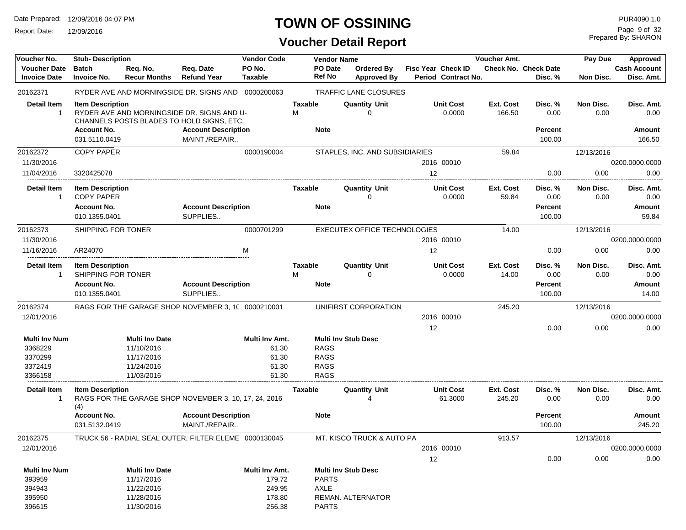Report Date: 12/09/2016

# **TOWN OF OSSINING**

| Voucher No.          | <b>Stub-Description</b> |                                     |                                                       | <b>Vendor Code</b> |                | <b>Vendor Name</b>                  |                            | Voucher Amt. |                             | Pay Due    | Approved            |
|----------------------|-------------------------|-------------------------------------|-------------------------------------------------------|--------------------|----------------|-------------------------------------|----------------------------|--------------|-----------------------------|------------|---------------------|
| <b>Voucher Date</b>  | <b>Batch</b>            | Req. No.                            | Req. Date                                             | PO No.             | PO Date        | Ordered By                          | Fisc Year Check ID         |              | <b>Check No. Check Date</b> |            | <b>Cash Account</b> |
| <b>Invoice Date</b>  | <b>Invoice No.</b>      | <b>Recur Months</b>                 | <b>Refund Year</b>                                    | Taxable            | Ref No         | <b>Approved By</b>                  | <b>Period Contract No.</b> |              | Disc. %                     | Non Disc.  | Disc. Amt.          |
| 20162371             |                         |                                     | RYDER AVE AND MORNINGSIDE DR. SIGNS AND 0000200063    |                    |                | <b>TRAFFIC LANE CLOSURES</b>        |                            |              |                             |            |                     |
| <b>Detail Item</b>   | <b>Item Description</b> |                                     |                                                       |                    | <b>Taxable</b> | <b>Quantity Unit</b>                | <b>Unit Cost</b>           | Ext. Cost    | Disc. %                     | Non Disc.  | Disc. Amt.          |
| $\mathbf{1}$         |                         |                                     | RYDER AVE AND MORNINGSIDE DR. SIGNS AND U-            |                    | М              | 0                                   | 0.0000                     | 166.50       | 0.00                        | 0.00       | 0.00                |
|                      |                         |                                     | CHANNELS POSTS BLADES TO HOLD SIGNS, ETC.             |                    |                |                                     |                            |              |                             |            |                     |
|                      | <b>Account No.</b>      |                                     | <b>Account Description</b>                            |                    | <b>Note</b>    |                                     |                            |              | <b>Percent</b>              |            | Amount              |
|                      | 031.5110.0419           |                                     | MAINT./REPAIR                                         |                    |                |                                     |                            |              | 100.00                      |            | 166.50              |
| 20162372             | <b>COPY PAPER</b>       |                                     |                                                       | 0000190004         |                | STAPLES, INC. AND SUBSIDIARIES      |                            | 59.84        |                             | 12/13/2016 |                     |
| 11/30/2016           |                         |                                     |                                                       |                    |                |                                     | 2016 00010                 |              |                             |            | 0200.0000.0000      |
| 11/04/2016           | 3320425078              |                                     |                                                       |                    |                |                                     | 12                         |              | 0.00                        | 0.00       | 0.00                |
| <b>Detail Item</b>   | <b>Item Description</b> |                                     |                                                       |                    | <b>Taxable</b> | <b>Quantity Unit</b>                | <b>Unit Cost</b>           | Ext. Cost    | Disc. %                     | Non Disc.  | Disc. Amt.          |
| $\mathbf{1}$         | <b>COPY PAPER</b>       |                                     |                                                       |                    |                | 0                                   | 0.0000                     | 59.84        | 0.00                        | 0.00       | 0.00                |
|                      | <b>Account No.</b>      |                                     | <b>Account Description</b>                            |                    | <b>Note</b>    |                                     |                            |              | <b>Percent</b>              |            | Amount              |
|                      | 010.1355.0401           |                                     | SUPPLIES                                              |                    |                |                                     |                            |              | 100.00                      |            | 59.84               |
| 20162373             | SHIPPING FOR TONER      |                                     |                                                       | 0000701299         |                | <b>EXECUTEX OFFICE TECHNOLOGIES</b> |                            | 14.00        |                             | 12/13/2016 |                     |
| 11/30/2016           |                         |                                     |                                                       |                    |                |                                     | 2016 00010                 |              |                             |            | 0200.0000.0000      |
| 11/16/2016           | AR24070                 |                                     |                                                       | M                  |                |                                     | 12                         |              | 0.00                        | 0.00       | 0.00                |
| Detail Item          | <b>Item Description</b> |                                     |                                                       |                    | <b>Taxable</b> | <b>Quantity Unit</b>                | <b>Unit Cost</b>           | Ext. Cost    | Disc. %                     | Non Disc.  | Disc. Amt.          |
| $\mathbf{1}$         | SHIPPING FOR TONER      |                                     |                                                       |                    | М              | 0                                   | 0.0000                     | 14.00        | 0.00                        | 0.00       | 0.00                |
|                      | <b>Account No.</b>      |                                     | <b>Account Description</b>                            |                    | <b>Note</b>    |                                     |                            |              | <b>Percent</b>              |            | Amount              |
|                      | 010.1355.0401           |                                     | SUPPLIES                                              |                    |                |                                     |                            |              | 100.00                      |            | 14.00               |
| 20162374             |                         |                                     | RAGS FOR THE GARAGE SHOP NOVEMBER 3, 10 0000210001    |                    |                | UNIFIRST CORPORATION                |                            | 245.20       |                             | 12/13/2016 |                     |
| 12/01/2016           |                         |                                     |                                                       |                    |                |                                     | 2016 00010                 |              |                             |            | 0200.0000.0000      |
|                      |                         |                                     |                                                       |                    |                |                                     | 12                         |              | 0.00                        | 0.00       | 0.00                |
| <b>Multi Inv Num</b> |                         |                                     |                                                       | Multi Inv Amt.     |                | <b>Multi Inv Stub Desc</b>          |                            |              |                             |            |                     |
| 3368229              |                         | <b>Multi Inv Date</b><br>11/10/2016 |                                                       | 61.30              | <b>RAGS</b>    |                                     |                            |              |                             |            |                     |
| 3370299              |                         | 11/17/2016                          |                                                       | 61.30              | <b>RAGS</b>    |                                     |                            |              |                             |            |                     |
| 3372419              |                         | 11/24/2016                          |                                                       | 61.30              | <b>RAGS</b>    |                                     |                            |              |                             |            |                     |
| 3366158              |                         | 11/03/2016                          |                                                       | 61.30              | <b>RAGS</b>    |                                     |                            |              |                             |            |                     |
|                      |                         |                                     |                                                       |                    |                |                                     |                            |              |                             |            |                     |
| <b>Detail Item</b>   | <b>Item Description</b> |                                     |                                                       |                    | <b>Taxable</b> | <b>Quantity Unit</b>                | <b>Unit Cost</b>           | Ext. Cost    | Disc. %                     | Non Disc.  | Disc. Amt.          |
| 1                    | (4)                     |                                     | RAGS FOR THE GARAGE SHOP NOVEMBER 3, 10, 17, 24, 2016 |                    |                |                                     | 61.3000                    | 245.20       | 0.00                        | 0.00       | 0.00                |
|                      | <b>Account No.</b>      |                                     | <b>Account Description</b>                            |                    | <b>Note</b>    |                                     |                            |              | <b>Percent</b>              |            | Amount              |
|                      | 031.5132.0419           |                                     | MAINT./REPAIR                                         |                    |                |                                     |                            |              | 100.00                      |            | 245.20              |
| 20162375             |                         |                                     | TRUCK 56 - RADIAL SEAL OUTER, FILTER ELEME 0000130045 |                    |                | MT. KISCO TRUCK & AUTO PA           |                            | 913.57       |                             | 12/13/2016 |                     |
| 12/01/2016           |                         |                                     |                                                       |                    |                |                                     | 2016 00010                 |              |                             |            | 0200.0000.0000      |
|                      |                         |                                     |                                                       |                    |                |                                     | 12                         |              | 0.00                        | 0.00       | 0.00                |
| Multi Inv Num        |                         | <b>Multi Inv Date</b>               |                                                       | Multi Inv Amt.     |                | <b>Multi Inv Stub Desc</b>          |                            |              |                             |            |                     |
| 393959               |                         | 11/17/2016                          |                                                       | 179.72             | <b>PARTS</b>   |                                     |                            |              |                             |            |                     |
| 394943               |                         | 11/22/2016                          |                                                       | 249.95             | AXLE           |                                     |                            |              |                             |            |                     |
| 395950               |                         | 11/28/2016                          |                                                       | 178.80             |                | REMAN. ALTERNATOR                   |                            |              |                             |            |                     |
| 396615               |                         | 11/30/2016                          |                                                       | 256.38             | <b>PARTS</b>   |                                     |                            |              |                             |            |                     |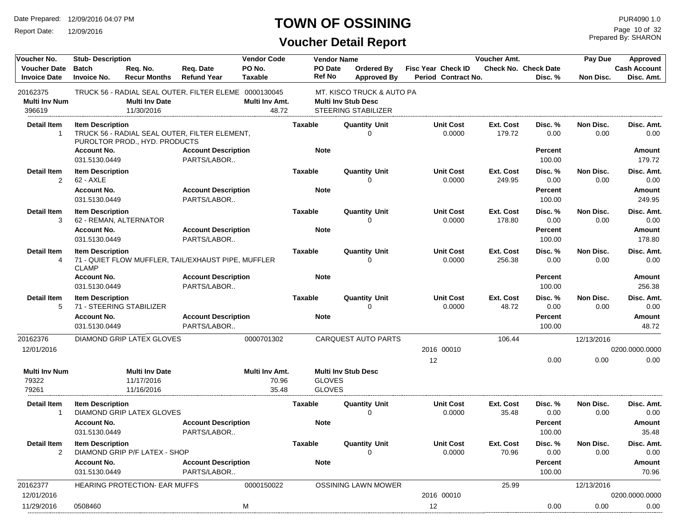Report Date: 12/09/2016

### **TOWN OF OSSINING**

Prepared By: SHARON Page 10 of 32

| Voucher No.                                | <b>Stub-Description</b>                           |                                                   |                                                       | <b>Vendor Code</b>               |                               | <b>Vendor Name</b>             |                                                                                       |                                                  | <b>Voucher Amt.</b> |                                        | Pay Due           | Approved                          |
|--------------------------------------------|---------------------------------------------------|---------------------------------------------------|-------------------------------------------------------|----------------------------------|-------------------------------|--------------------------------|---------------------------------------------------------------------------------------|--------------------------------------------------|---------------------|----------------------------------------|-------------------|-----------------------------------|
| <b>Voucher Date</b><br><b>Invoice Date</b> | <b>Batch</b><br><b>Invoice No.</b>                | Req. No.<br><b>Recur Months</b>                   | Req. Date<br><b>Refund Year</b>                       | PO No.<br>Taxable                |                               | PO Date<br><b>Ref No</b>       | <b>Ordered By</b><br><b>Approved By</b>                                               | <b>Fisc Year Check ID</b><br>Period Contract No. |                     | <b>Check No. Check Date</b><br>Disc. % | Non Disc.         | <b>Cash Account</b><br>Disc. Amt. |
| 20162375<br><b>Multi Inv Num</b><br>396619 |                                                   | <b>Multi Inv Date</b><br>11/30/2016               | TRUCK 56 - RADIAL SEAL OUTER, FILTER ELEME 0000130045 | Multi Inv Amt.<br>48.72          |                               |                                | MT. KISCO TRUCK & AUTO PA<br><b>Multi Inv Stub Desc</b><br><b>STEERING STABILIZER</b> |                                                  |                     |                                        |                   |                                   |
| <b>Detail Item</b><br>-1                   | <b>Item Description</b>                           | PUROLTOR PROD., HYD. PRODUCTS                     | TRUCK 56 - RADIAL SEAL OUTER, FILTER ELEMENT,         |                                  | <b>Taxable</b>                |                                | <b>Quantity Unit</b><br>O                                                             | <b>Unit Cost</b><br>0.0000                       | Ext. Cost<br>179.72 | Disc. %<br>0.00                        | Non Disc.<br>0.00 | Disc. Amt.<br>0.00                |
|                                            | <b>Account No.</b><br>031.5130.0449               |                                                   | <b>Account Description</b><br>PARTS/LABOR             |                                  | <b>Note</b>                   |                                |                                                                                       |                                                  |                     | <b>Percent</b><br>100.00               |                   | Amount<br>179.72                  |
| <b>Detail Item</b><br>$\overline{2}$       | <b>Item Description</b><br>$62 - AXLE$            |                                                   |                                                       |                                  | <b>Taxable</b>                |                                | <b>Quantity Unit</b><br>$\Omega$                                                      | <b>Unit Cost</b><br>0.0000                       | Ext. Cost<br>249.95 | Disc. %<br>0.00                        | Non Disc.<br>0.00 | Disc. Amt.<br>0.00                |
|                                            | <b>Account No.</b><br>031.5130.0449               |                                                   | <b>Account Description</b><br>PARTS/LABOR             |                                  | <b>Note</b>                   |                                |                                                                                       |                                                  |                     | <b>Percent</b><br>100.00               |                   | Amount<br>249.95                  |
| <b>Detail Item</b><br>3                    | <b>Item Description</b><br>62 - REMAN, ALTERNATOR |                                                   |                                                       |                                  | <b>Taxable</b>                |                                | <b>Quantity Unit</b><br>$\Omega$                                                      | <b>Unit Cost</b><br>0.0000                       | Ext. Cost<br>178.80 | Disc. %<br>0.00                        | Non Disc.<br>0.00 | Disc. Amt.<br>0.00                |
|                                            | <b>Account No.</b><br>031.5130.0449               |                                                   | <b>Account Description</b><br>PARTS/LABOR             |                                  | <b>Note</b>                   |                                |                                                                                       |                                                  |                     | <b>Percent</b><br>100.00               |                   | Amount<br>178.80                  |
| <b>Detail Item</b><br>4                    | <b>Item Description</b><br><b>CLAMP</b>           |                                                   | 71 - QUIET FLOW MUFFLER, TAIL/EXHAUST PIPE, MUFFLER   |                                  | <b>Taxable</b>                |                                | <b>Quantity Unit</b><br>$\Omega$                                                      | <b>Unit Cost</b><br>0.0000                       | Ext. Cost<br>256.38 | Disc. %<br>0.00                        | Non Disc.<br>0.00 | Disc. Amt.<br>0.00                |
|                                            | <b>Account No.</b><br>031.5130.0449               |                                                   | <b>Account Description</b><br>PARTS/LABOR             |                                  | <b>Note</b>                   |                                |                                                                                       |                                                  |                     | Percent<br>100.00                      |                   | Amount<br>256.38                  |
| <b>Detail Item</b><br>5                    | <b>Item Description</b><br><b>Account No.</b>     | 71 - STEERING STABILIZER                          | <b>Account Description</b>                            |                                  | <b>Taxable</b><br><b>Note</b> |                                | <b>Quantity Unit</b><br>$\Omega$                                                      | <b>Unit Cost</b><br>0.0000                       | Ext. Cost<br>48.72  | Disc. %<br>0.00<br>Percent             | Non Disc.<br>0.00 | Disc. Amt.<br>0.00<br>Amount      |
|                                            | 031.5130.0449                                     |                                                   | PARTS/LABOR                                           |                                  |                               |                                |                                                                                       |                                                  |                     | 100.00                                 |                   | 48.72                             |
| 20162376<br>12/01/2016                     |                                                   | DIAMOND GRIP LATEX GLOVES                         |                                                       | 0000701302                       |                               |                                | <b>CARQUEST AUTO PARTS</b>                                                            | 2016 00010                                       | 106.44              |                                        | 12/13/2016        | 0200.0000.0000                    |
|                                            |                                                   |                                                   |                                                       |                                  |                               |                                |                                                                                       | 12                                               |                     | 0.00                                   | 0.00              | 0.00                              |
| <b>Multi Inv Num</b><br>79322<br>79261     |                                                   | <b>Multi Inv Date</b><br>11/17/2016<br>11/16/2016 |                                                       | Multi Inv Amt.<br>70.96<br>35.48 |                               | <b>GLOVES</b><br><b>GLOVES</b> | <b>Multi Inv Stub Desc</b>                                                            |                                                  |                     |                                        |                   |                                   |
| <b>Detail Item</b><br>$\overline{1}$       | <b>Item Description</b>                           | DIAMOND GRIP LATEX GLOVES                         |                                                       |                                  | <b>Taxable</b>                |                                | <b>Quantity Unit</b><br>$\Omega$                                                      | <b>Unit Cost</b><br>0.0000                       | Ext. Cost<br>35.48  | Disc. %<br>0.00                        | Non Disc.<br>0.00 | Disc. Amt.<br>0.00                |
|                                            | <b>Account No.</b><br>031.5130.0449               |                                                   | <b>Account Description</b><br>PARTS/LABOR             |                                  | <b>Note</b>                   |                                |                                                                                       |                                                  |                     | Percent<br>100.00                      |                   | <b>Amount</b><br>35.48            |
| <b>Detail Item</b><br>2                    | <b>Item Description</b>                           | DIAMOND GRIP P/F LATEX - SHOP                     |                                                       |                                  | <b>Taxable</b>                |                                | <b>Quantity Unit</b><br>0                                                             | <b>Unit Cost</b><br>0.0000                       | Ext. Cost<br>70.96  | Disc.%<br>0.00                         | Non Disc.<br>0.00 | Disc. Amt.<br>0.00                |
|                                            | <b>Account No.</b><br>031.5130.0449               |                                                   | <b>Account Description</b><br>PARTS/LABOR             |                                  | <b>Note</b>                   |                                |                                                                                       |                                                  |                     | Percent<br>100.00                      |                   | Amount<br>70.96                   |
| 20162377                                   |                                                   | <b>HEARING PROTECTION- EAR MUFFS</b>              |                                                       | 0000150022                       |                               |                                | <b>OSSINING LAWN MOWER</b>                                                            |                                                  | 25.99               |                                        | 12/13/2016        |                                   |
| 12/01/2016<br>11/29/2016                   | 0508460                                           |                                                   |                                                       | M                                |                               |                                |                                                                                       | 2016 00010<br>12                                 |                     | 0.00                                   | 0.00              | 0200.0000.0000<br>0.00            |
|                                            |                                                   |                                                   |                                                       |                                  |                               |                                |                                                                                       |                                                  |                     |                                        |                   |                                   |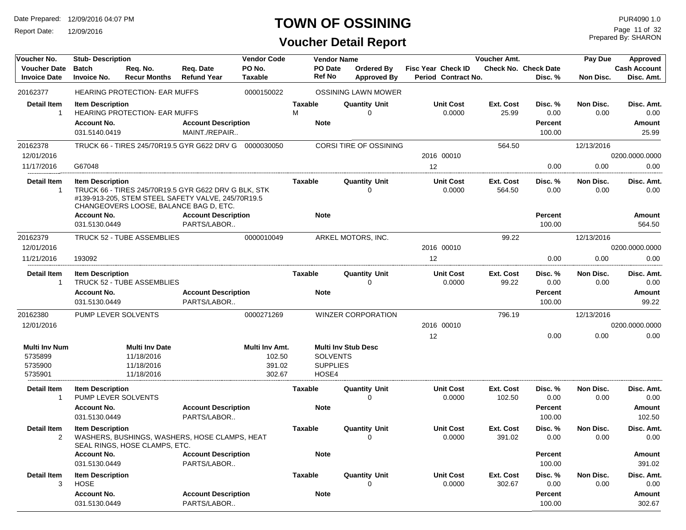Report Date: 12/09/2016

# **TOWN OF OSSINING**

**Voucher Detail Report**

Prepared By: SHARON Page 11 of 32

| Voucher No.                                           | <b>Stub-Description</b>                                                               |                                                                 |                                                                                                                                                         | <b>Vendor Code</b>                           |                | <b>Vendor Name</b>                          |                                  |                                           | Voucher Amt.               |                                             | Pay Due           | Approved                               |
|-------------------------------------------------------|---------------------------------------------------------------------------------------|-----------------------------------------------------------------|---------------------------------------------------------------------------------------------------------------------------------------------------------|----------------------------------------------|----------------|---------------------------------------------|----------------------------------|-------------------------------------------|----------------------------|---------------------------------------------|-------------------|----------------------------------------|
| <b>Voucher Date</b><br><b>Invoice Date</b>            | <b>Batch</b><br><b>Invoice No.</b>                                                    | Req. No.<br><b>Recur Months</b>                                 | Reg. Date<br><b>Refund Year</b>                                                                                                                         | PO No.<br>Taxable                            |                | PO Date<br><b>Ref No</b>                    | Ordered By<br><b>Approved By</b> | Fisc Year Check ID<br>Period Contract No. |                            | Check No. Check Date<br>Disc. %             | Non Disc.         | <b>Cash Account</b><br>Disc. Amt.      |
| 20162377                                              |                                                                                       | <b>HEARING PROTECTION- EAR MUFFS</b>                            |                                                                                                                                                         | 0000150022                                   |                |                                             | OSSINING LAWN MOWER              |                                           |                            |                                             |                   |                                        |
| <b>Detail Item</b><br>$\mathbf 1$                     | <b>Item Description</b><br><b>Account No.</b><br>031.5140.0419                        | <b>HEARING PROTECTION- EAR MUFFS</b>                            | <b>Account Description</b><br>MAINT./REPAIR                                                                                                             |                                              | Taxable<br>м   | <b>Note</b>                                 | <b>Quantity Unit</b><br>U        | <b>Unit Cost</b><br>0.0000                | Ext. Cost<br>25.99         | Disc. %<br>0.00<br><b>Percent</b><br>100.00 | Non Disc.<br>0.00 | Disc. Amt.<br>0.00<br>Amount<br>25.99  |
| 20162378                                              |                                                                                       |                                                                 | TRUCK 66 - TIRES 245/70R19.5 GYR G622 DRV G  0000030050                                                                                                 |                                              |                |                                             | <b>CORSI TIRE OF OSSINING</b>    |                                           | 564.50                     |                                             | 12/13/2016        |                                        |
| 12/01/2016                                            |                                                                                       |                                                                 |                                                                                                                                                         |                                              |                |                                             |                                  | 2016 00010                                |                            |                                             |                   | 0200.0000.0000                         |
| 11/17/2016                                            | G67048                                                                                |                                                                 |                                                                                                                                                         |                                              |                |                                             |                                  | 12                                        |                            | 0.00                                        | 0.00              | 0.00                                   |
| <b>Detail Item</b><br>$\mathbf 1$                     | <b>Item Description</b><br><b>Account No.</b><br>031.5130.0449                        | CHANGEOVERS LOOSE, BALANCE BAG D, ETC.                          | TRUCK 66 - TIRES 245/70R19.5 GYR G622 DRV G BLK, STK<br>#139-913-205, STEM STEEL SAFETY VALVE, 245/70R19.5<br><b>Account Description</b><br>PARTS/LABOR |                                              | Taxable        | <b>Note</b>                                 | <b>Quantity Unit</b><br>0        | <b>Unit Cost</b><br>0.0000                | <b>Ext. Cost</b><br>564.50 | Disc. %<br>0.00<br>Percent<br>100.00        | Non Disc.<br>0.00 | Disc. Amt.<br>0.00<br>Amount<br>564.50 |
| 20162379                                              |                                                                                       | <b>TRUCK 52 - TUBE ASSEMBLIES</b>                               |                                                                                                                                                         | 0000010049                                   |                |                                             | ARKEL MOTORS, INC.               |                                           | 99.22                      |                                             | 12/13/2016        |                                        |
| 12/01/2016                                            |                                                                                       |                                                                 |                                                                                                                                                         |                                              |                |                                             |                                  | 2016 00010                                |                            |                                             |                   | 0200.0000.0000                         |
| 11/21/2016                                            | 193092                                                                                |                                                                 |                                                                                                                                                         |                                              |                |                                             |                                  | $12 \overline{ }$                         |                            | 0.00                                        | 0.00              | 0.00                                   |
| <b>Detail Item</b><br>-1                              | <b>Item Description</b><br><b>Account No.</b><br>031.5130.0449                        | TRUCK 52 - TUBE ASSEMBLIES                                      | <b>Account Description</b><br>PARTS/LABOR                                                                                                               |                                              | Taxable        | <b>Note</b>                                 | <b>Quantity Unit</b><br>0        | <b>Unit Cost</b><br>0.0000                | Ext. Cost<br>99.22         | Disc. %<br>0.00<br><b>Percent</b><br>100.00 | Non Disc.<br>0.00 | Disc. Amt.<br>0.00<br>Amount<br>99.22  |
| 20162380                                              | PUMP LEVER SOLVENTS                                                                   |                                                                 |                                                                                                                                                         | 0000271269                                   |                |                                             | <b>WINZER CORPORATION</b>        |                                           | 796.19                     |                                             | 12/13/2016        |                                        |
| 12/01/2016                                            |                                                                                       |                                                                 |                                                                                                                                                         |                                              |                |                                             |                                  | 2016 00010                                |                            |                                             |                   | 0200.0000.0000                         |
|                                                       |                                                                                       |                                                                 |                                                                                                                                                         |                                              |                |                                             |                                  | 12                                        |                            | 0.00                                        | 0.00              | 0.00                                   |
| <b>Multi Inv Num</b><br>5735899<br>5735900<br>5735901 |                                                                                       | <b>Multi Inv Date</b><br>11/18/2016<br>11/18/2016<br>11/18/2016 |                                                                                                                                                         | Multi Inv Amt.<br>102.50<br>391.02<br>302.67 |                | <b>SOLVENTS</b><br><b>SUPPLIES</b><br>HOSE4 | <b>Multi Inv Stub Desc</b>       |                                           |                            |                                             |                   |                                        |
| Detail Item<br>-1                                     | <b>Item Description</b><br>PUMP LEVER SOLVENTS<br><b>Account No.</b><br>031.5130.0449 |                                                                 | <b>Account Description</b><br>PARTS/LABOR                                                                                                               |                                              | Taxable        | <b>Note</b>                                 | <b>Quantity Unit</b><br>0        | Unit Cost<br>0.0000                       | Ext. Cost<br>102.50        | Disc. %<br>0.00<br><b>Percent</b><br>100.00 | Non Disc.<br>0.00 | Disc. Amt.<br>0.00<br>Amount<br>102.50 |
| <b>Detail Item</b><br>2                               | <b>Item Description</b><br><b>Account No.</b>                                         | SEAL RINGS, HOSE CLAMPS, ETC.                                   | WASHERS, BUSHINGS, WASHERS, HOSE CLAMPS, HEAT<br><b>Account Description</b>                                                                             |                                              | <b>Taxable</b> | <b>Note</b>                                 | <b>Quantity Unit</b><br>0        | <b>Unit Cost</b><br>0.0000                | Ext. Cost<br>391.02        | Disc. %<br>0.00<br><b>Percent</b>           | Non Disc.<br>0.00 | Disc. Amt.<br>0.00<br>Amount           |
|                                                       | 031.5130.0449                                                                         |                                                                 | PARTS/LABOR                                                                                                                                             |                                              |                |                                             |                                  |                                           |                            | 100.00                                      |                   | 391.02                                 |
| <b>Detail Item</b><br>3                               | <b>Item Description</b><br>HOSE<br><b>Account No.</b><br>031.5130.0449                |                                                                 | <b>Account Description</b><br>PARTS/LABOR                                                                                                               |                                              | <b>Taxable</b> | <b>Note</b>                                 | <b>Quantity Unit</b><br>$\Omega$ | <b>Unit Cost</b><br>0.0000                | Ext. Cost<br>302.67        | Disc.%<br>0.00<br><b>Percent</b><br>100.00  | Non Disc.<br>0.00 | Disc. Amt.<br>0.00<br>Amount<br>302.67 |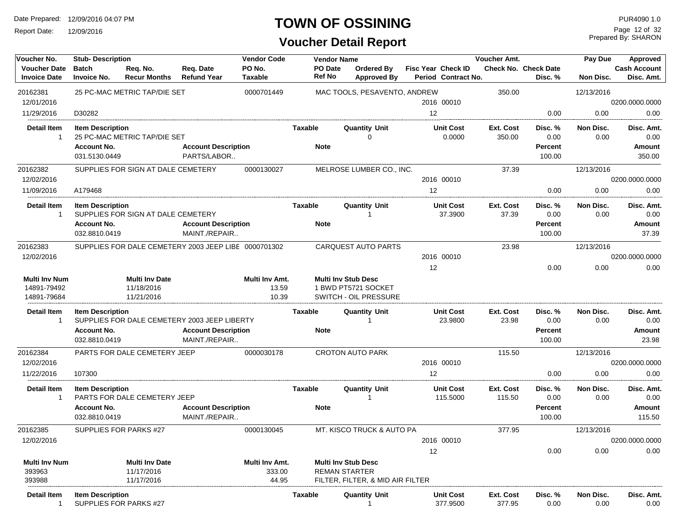Report Date: 12/09/2016

### **TOWN OF OSSINING**

# **Voucher Detail Report**

Prepared By: SHARON Page 12 of 32

| Voucher No.                                | <b>Stub-Description</b>             |                                    |                                                      | <b>Vendor Code</b>       |                          | <b>Vendor Name</b> |                                                          |                   |                                           | <b>Voucher Amt.</b> |                                        | Pay Due           | Approved                          |
|--------------------------------------------|-------------------------------------|------------------------------------|------------------------------------------------------|--------------------------|--------------------------|--------------------|----------------------------------------------------------|-------------------|-------------------------------------------|---------------------|----------------------------------------|-------------------|-----------------------------------|
| <b>Voucher Date</b><br><b>Invoice Date</b> | <b>Batch</b><br><b>Invoice No.</b>  | Req. No.<br><b>Recur Months</b>    | Reg. Date<br><b>Refund Year</b>                      | PO No.<br><b>Taxable</b> | PO Date<br><b>Ref No</b> |                    | Ordered By<br><b>Approved By</b>                         |                   | Fisc Year Check ID<br>Period Contract No. |                     | <b>Check No. Check Date</b><br>Disc. % | Non Disc.         | <b>Cash Account</b><br>Disc. Amt. |
| 20162381                                   |                                     | 25 PC-MAC METRIC TAP/DIE SET       |                                                      | 0000701449               |                          |                    | MAC TOOLS, PESAVENTO, ANDREW                             |                   |                                           | 350.00              |                                        | 12/13/2016        |                                   |
| 12/01/2016                                 |                                     |                                    |                                                      |                          |                          |                    |                                                          |                   | 2016 00010                                |                     |                                        |                   | 0200.0000.0000                    |
| 11/29/2016                                 | D30282                              |                                    |                                                      |                          |                          |                    |                                                          | $12 \overline{ }$ |                                           |                     | 0.00                                   | 0.00              | 0.00                              |
| <b>Detail Item</b><br>-1                   | <b>Item Description</b>             | 25 PC-MAC METRIC TAP/DIE SET       |                                                      |                          | Taxable                  |                    | <b>Quantity Unit</b><br>0                                |                   | <b>Unit Cost</b><br>0.0000                | Ext. Cost<br>350.00 | Disc. %<br>0.00                        | Non Disc.<br>0.00 | Disc. Amt.<br>0.00                |
|                                            | <b>Account No.</b><br>031.5130.0449 |                                    | <b>Account Description</b><br>PARTS/LABOR            |                          | <b>Note</b>              |                    |                                                          |                   |                                           |                     | <b>Percent</b><br>100.00               |                   | <b>Amount</b><br>350.00           |
| 20162382                                   |                                     | SUPPLIES FOR SIGN AT DALE CEMETERY |                                                      | 0000130027               |                          |                    | MELROSE LUMBER CO., INC.                                 |                   |                                           | 37.39               |                                        | 12/13/2016        |                                   |
| 12/02/2016                                 |                                     |                                    |                                                      |                          |                          |                    |                                                          |                   | 2016 00010                                |                     |                                        |                   | 0200.0000.0000                    |
| 11/09/2016                                 | A179468                             |                                    |                                                      |                          |                          |                    |                                                          | 12                |                                           |                     | 0.00                                   | 0.00              | 0.00                              |
| <b>Detail Item</b><br>$\mathbf{1}$         | <b>Item Description</b>             | SUPPLIES FOR SIGN AT DALE CEMETERY |                                                      |                          | Taxable                  |                    | Quantity Unit                                            |                   | <b>Unit Cost</b><br>37.3900               | Ext. Cost<br>37.39  | Disc. %<br>0.00                        | Non Disc.<br>0.00 | Disc. Amt.<br>0.00                |
|                                            | <b>Account No.</b><br>032.8810.0419 |                                    | <b>Account Description</b><br>MAINT./REPAIR          |                          | <b>Note</b>              |                    |                                                          |                   |                                           |                     | <b>Percent</b><br>100.00               |                   | <b>Amount</b><br>37.39            |
| 20162383                                   |                                     |                                    | SUPPLIES FOR DALE CEMETERY 2003 JEEP LIBE 0000701302 |                          |                          |                    | <b>CARQUEST AUTO PARTS</b>                               |                   |                                           | 23.98               |                                        | 12/13/2016        |                                   |
| 12/02/2016                                 |                                     |                                    |                                                      |                          |                          |                    |                                                          |                   | 2016 00010                                |                     |                                        |                   | 0200.0000.0000                    |
|                                            |                                     |                                    |                                                      |                          |                          |                    |                                                          | 12                |                                           |                     | 0.00                                   | 0.00              | 0.00                              |
| <b>Multi Inv Num</b>                       |                                     | <b>Multi Inv Date</b>              |                                                      | Multi Inv Amt.           |                          |                    | <b>Multi Inv Stub Desc</b>                               |                   |                                           |                     |                                        |                   |                                   |
| 14891-79492<br>14891-79684                 |                                     | 11/18/2016<br>11/21/2016           |                                                      | 13.59<br>10.39           |                          |                    | 1 BWD PT5721 SOCKET<br><b>SWITCH - OIL PRESSURE</b>      |                   |                                           |                     |                                        |                   |                                   |
| Detail Item<br>$\mathbf 1$                 | <b>Item Description</b>             |                                    | SUPPLIES FOR DALE CEMETERY 2003 JEEP LIBERTY         |                          | Taxable                  |                    | <b>Quantity Unit</b>                                     |                   | <b>Unit Cost</b><br>23.9800               | Ext. Cost<br>23.98  | Disc. %<br>0.00                        | Non Disc.<br>0.00 | Disc. Amt.<br>0.00                |
|                                            | <b>Account No.</b><br>032.8810.0419 |                                    | <b>Account Description</b><br>MAINT./REPAIR          |                          | <b>Note</b>              |                    |                                                          |                   |                                           |                     | <b>Percent</b><br>100.00               |                   | <b>Amount</b><br>23.98            |
| 20162384                                   |                                     | PARTS FOR DALE CEMETERY JEEP       |                                                      | 0000030178               |                          |                    | <b>CROTON AUTO PARK</b>                                  |                   |                                           | 115.50              |                                        | 12/13/2016        |                                   |
| 12/02/2016                                 |                                     |                                    |                                                      |                          |                          |                    |                                                          |                   | 2016 00010                                |                     |                                        |                   | 0200.0000.0000                    |
| 11/22/2016                                 | 107300                              |                                    |                                                      |                          |                          |                    |                                                          | 12                |                                           |                     | 0.00                                   | 0.00              | 0.00                              |
| <b>Detail Item</b><br>-1                   | <b>Item Description</b>             | PARTS FOR DALE CEMETERY JEEP       |                                                      |                          | Taxable                  |                    | <b>Quantity Unit</b>                                     |                   | <b>Unit Cost</b><br>115.5000              | Ext. Cost<br>115.50 | Disc. %<br>0.00                        | Non Disc.<br>0.00 | Disc. Amt.<br>0.00                |
|                                            | <b>Account No.</b><br>032.8810.0419 |                                    | <b>Account Description</b><br>MAINT./REPAIR          |                          | <b>Note</b>              |                    |                                                          |                   |                                           |                     | <b>Percent</b><br>100.00               |                   | Amount<br>115.50                  |
| 20162385                                   |                                     | SUPPLIES FOR PARKS #27             |                                                      | 0000130045               |                          |                    | MT. KISCO TRUCK & AUTO PA                                |                   |                                           | 377.95              |                                        | 12/13/2016        |                                   |
| 12/02/2016                                 |                                     |                                    |                                                      |                          |                          |                    |                                                          |                   | 2016 00010                                |                     |                                        |                   | 0200.0000.0000                    |
|                                            |                                     |                                    |                                                      |                          |                          |                    |                                                          | 12                |                                           |                     | 0.00                                   | 0.00              | 0.00                              |
| <b>Multi Inv Num</b>                       |                                     | <b>Multi Inv Date</b>              |                                                      | Multi Inv Amt.           |                          |                    | <b>Multi Inv Stub Desc</b>                               |                   |                                           |                     |                                        |                   |                                   |
| 393963<br>393988                           |                                     | 11/17/2016<br>11/17/2016           |                                                      | 333.00<br>44.95          |                          |                    | <b>REMAN STARTER</b><br>FILTER, FILTER, & MID AIR FILTER |                   |                                           |                     |                                        |                   |                                   |
| Detail Item                                | <b>Item Description</b>             |                                    |                                                      |                          | Taxable                  |                    | <b>Quantity Unit</b>                                     |                   | <b>Unit Cost</b>                          | Ext. Cost           | Disc. %                                | Non Disc.         | Disc. Amt.                        |
|                                            |                                     | SUPPLIES FOR PARKS #27             |                                                      |                          |                          |                    |                                                          |                   | 377.9500                                  | 377.95              | 0.00                                   | 0.00              | 0.00                              |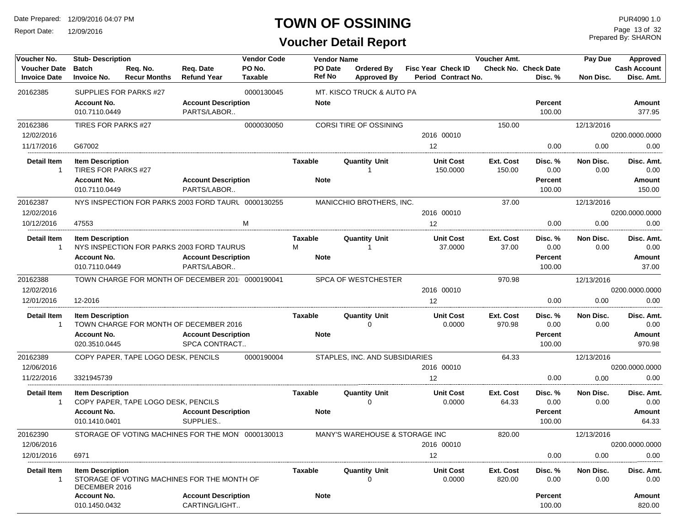Report Date: 12/09/2016

### **TOWN OF OSSINING**

Prepared By: SHARON Page 13 of 32

| Voucher No.                                | <b>Stub-Description</b>                        |                                     |                                                     | <b>Vendor Code</b>       |                | <b>Vendor Name</b> |                                  |    |                                           | Voucher Amt.        |                                        | Pay Due           | Approved                          |
|--------------------------------------------|------------------------------------------------|-------------------------------------|-----------------------------------------------------|--------------------------|----------------|--------------------|----------------------------------|----|-------------------------------------------|---------------------|----------------------------------------|-------------------|-----------------------------------|
| <b>Voucher Date</b><br><b>Invoice Date</b> | <b>Batch</b><br><b>Invoice No.</b>             | Req. No.<br><b>Recur Months</b>     | Reg. Date<br><b>Refund Year</b>                     | PO No.<br><b>Taxable</b> |                | PO Date<br>Ref No  | Ordered By<br><b>Approved By</b> |    | Fisc Year Check ID<br>Period Contract No. |                     | <b>Check No. Check Date</b><br>Disc. % | Non Disc.         | <b>Cash Account</b><br>Disc. Amt. |
| 20162385                                   |                                                | SUPPLIES FOR PARKS #27              |                                                     | 0000130045               |                |                    | MT. KISCO TRUCK & AUTO PA        |    |                                           |                     |                                        |                   |                                   |
|                                            | <b>Account No.</b><br>010.7110.0449            |                                     | <b>Account Description</b><br>PARTS/LABOR           |                          |                | <b>Note</b>        |                                  |    |                                           |                     | <b>Percent</b><br>100.00               |                   | Amount<br>377.95                  |
| 20162386                                   | TIRES FOR PARKS #27                            |                                     |                                                     | 0000030050               |                |                    | CORSI TIRE OF OSSINING           |    |                                           | 150.00              |                                        | 12/13/2016        |                                   |
| 12/02/2016                                 |                                                |                                     |                                                     |                          |                |                    |                                  |    | 2016 00010                                |                     |                                        |                   | 0200.0000.0000                    |
| 11/17/2016                                 | G67002                                         |                                     |                                                     |                          |                |                    |                                  | 12 |                                           |                     | 0.00                                   | 0.00              | 0.00                              |
| <b>Detail Item</b><br>$\mathbf{1}$         | <b>Item Description</b><br>TIRES FOR PARKS #27 |                                     |                                                     |                          | Taxable        |                    | <b>Quantity Unit</b>             |    | <b>Unit Cost</b><br>150.0000              | Ext. Cost<br>150.00 | Disc. %<br>0.00                        | Non Disc.<br>0.00 | Disc. Amt.<br>0.00                |
|                                            | <b>Account No.</b><br>010.7110.0449            |                                     | <b>Account Description</b><br>PARTS/LABOR           |                          |                | <b>Note</b>        |                                  |    |                                           |                     | <b>Percent</b><br>100.00               |                   | Amount<br>150.00                  |
| 20162387                                   |                                                |                                     | NYS INSPECTION FOR PARKS 2003 FORD TAURL 0000130255 |                          |                |                    | MANICCHIO BROTHERS, INC.         |    |                                           | 37.00               |                                        | 12/13/2016        |                                   |
| 12/02/2016                                 |                                                |                                     |                                                     |                          |                |                    |                                  |    | 2016 00010                                |                     |                                        |                   | 0200.0000.0000                    |
| 10/12/2016                                 | 47553                                          |                                     |                                                     | М                        |                |                    |                                  | 12 |                                           |                     | 0.00                                   | 0.00              | 0.00                              |
| <b>Detail Item</b><br>$\mathbf{1}$         | <b>Item Description</b>                        |                                     | NYS INSPECTION FOR PARKS 2003 FORD TAURUS           |                          | Taxable<br>М   |                    | <b>Quantity Unit</b>             |    | <b>Unit Cost</b><br>37.0000               | Ext. Cost<br>37.00  | Disc. %<br>0.00                        | Non Disc.<br>0.00 | Disc. Amt.<br>0.00                |
|                                            | <b>Account No.</b><br>010.7110.0449            |                                     | <b>Account Description</b><br>PARTS/LABOR           |                          |                | <b>Note</b>        |                                  |    |                                           |                     | <b>Percent</b>                         |                   | Amount                            |
|                                            |                                                |                                     |                                                     |                          |                |                    |                                  |    |                                           |                     | 100.00                                 |                   | 37.00                             |
| 20162388<br>12/02/2016                     |                                                |                                     | TOWN CHARGE FOR MONTH OF DECEMBER 201 0000190041    |                          |                |                    | SPCA OF WESTCHESTER              |    | 2016 00010                                | 970.98              |                                        | 12/13/2016        | 0200.0000.0000                    |
| 12/01/2016                                 | 12-2016                                        |                                     |                                                     |                          |                |                    |                                  | 12 |                                           |                     | 0.00                                   | 0.00              | 0.00                              |
| <b>Detail Item</b>                         | <b>Item Description</b>                        |                                     |                                                     |                          | Taxable        |                    | <b>Quantity Unit</b>             |    | <b>Unit Cost</b>                          | Ext. Cost           | Disc. %                                | Non Disc.         | Disc. Amt.                        |
| $\mathbf{1}$                               |                                                |                                     | TOWN CHARGE FOR MONTH OF DECEMBER 2016              |                          |                |                    | 0                                |    | 0.0000                                    | 970.98              | 0.00                                   | 0.00              | 0.00                              |
|                                            | <b>Account No.</b><br>020.3510.0445            |                                     | <b>Account Description</b><br>SPCA CONTRACT         |                          |                | <b>Note</b>        |                                  |    |                                           |                     | <b>Percent</b><br>100.00               |                   | Amount<br>970.98                  |
| 20162389                                   |                                                | COPY PAPER, TAPE LOGO DESK, PENCILS |                                                     | 0000190004               |                |                    | STAPLES, INC. AND SUBSIDIARIES   |    |                                           | 64.33               |                                        | 12/13/2016        |                                   |
| 12/06/2016                                 |                                                |                                     |                                                     |                          |                |                    |                                  |    | 2016 00010                                |                     |                                        |                   | 0200.0000.0000                    |
| 11/22/2016                                 | 3321945739                                     |                                     |                                                     |                          |                |                    |                                  | 12 |                                           |                     | 0.00                                   | 0.00              | 0.00                              |
| <b>Detail Item</b><br>$\mathbf{1}$         | <b>Item Description</b>                        | COPY PAPER, TAPE LOGO DESK, PENCILS |                                                     |                          | Taxable        |                    | <b>Quantity Unit</b><br>$\Omega$ |    | <b>Unit Cost</b><br>0.0000                | Ext. Cost<br>64.33  | Disc. %<br>0.00                        | Non Disc.<br>0.00 | Disc. Amt.<br>0.00                |
|                                            | <b>Account No.</b><br>010.1410.0401            |                                     | <b>Account Description</b><br>SUPPLIES              |                          |                | <b>Note</b>        |                                  |    |                                           |                     | <b>Percent</b><br>100.00               |                   | Amount<br>64.33                   |
| 20162390                                   |                                                |                                     | STORAGE OF VOTING MACHINES FOR THE MON 0000130013   |                          |                |                    | MANY'S WAREHOUSE & STORAGE INC   |    |                                           | 820.00              |                                        | 12/13/2016        | 0200.0000.0000                    |
| 12/06/2016<br>12/01/2016                   | 6971                                           |                                     |                                                     |                          |                |                    |                                  | 12 | 2016 00010                                |                     | 0.00                                   | 0.00              | 0.00                              |
|                                            |                                                |                                     |                                                     |                          |                |                    |                                  |    |                                           |                     |                                        |                   | Disc. Amt.                        |
| <b>Detail Item</b><br>$\mathbf{1}$         | <b>Item Description</b><br>DECEMBER 2016       |                                     | STORAGE OF VOTING MACHINES FOR THE MONTH OF         |                          | <b>Taxable</b> |                    | <b>Quantity Unit</b><br>0        |    | <b>Unit Cost</b><br>0.0000                | Ext. Cost<br>820.00 | Disc.%<br>0.00                         | Non Disc.<br>0.00 | 0.00                              |
|                                            | <b>Account No.</b><br>010.1450.0432            |                                     | <b>Account Description</b><br>CARTING/LIGHT         |                          |                | <b>Note</b>        |                                  |    |                                           |                     | <b>Percent</b><br>100.00               |                   | Amount<br>820.00                  |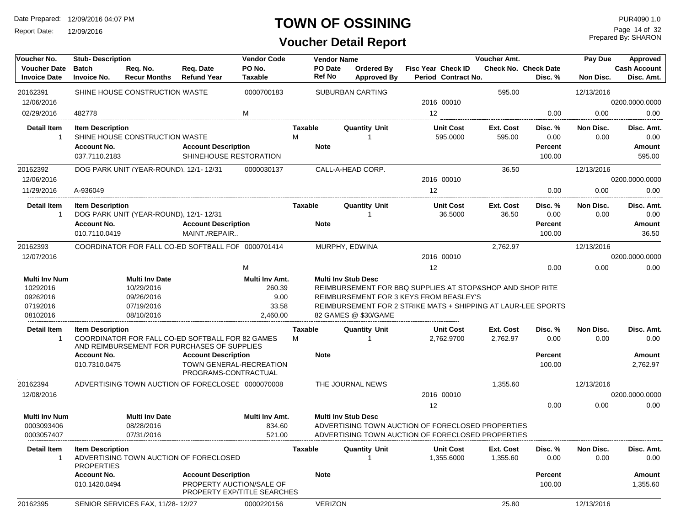Report Date: 12/09/2016

### **TOWN OF OSSINING**

# **Voucher Detail Report**

Prepared By: SHARON Page 14 of 32

| Voucher No.                                                          | <b>Stub- Description</b>                     |                                                                               |                                                                                                 | <b>Vendor Code</b>                                    |                     | <b>Vendor Name</b>       |                                                    |                                                                                                                                                                       | Voucher Amt.          |                                        | Pay Due           | Approved                          |
|----------------------------------------------------------------------|----------------------------------------------|-------------------------------------------------------------------------------|-------------------------------------------------------------------------------------------------|-------------------------------------------------------|---------------------|--------------------------|----------------------------------------------------|-----------------------------------------------------------------------------------------------------------------------------------------------------------------------|-----------------------|----------------------------------------|-------------------|-----------------------------------|
| <b>Voucher Date</b><br><b>Invoice Date</b>                           | <b>Batch</b><br><b>Invoice No.</b>           | Req. No.<br><b>Recur Months</b>                                               | Req. Date<br><b>Refund Year</b>                                                                 | PO No.<br><b>Taxable</b>                              |                     | PO Date<br><b>Ref No</b> | Ordered By<br><b>Approved By</b>                   | Fisc Year Check ID<br>Period Contract No.                                                                                                                             |                       | <b>Check No. Check Date</b><br>Disc. % | Non Disc.         | <b>Cash Account</b><br>Disc. Amt. |
| 20162391                                                             |                                              | SHINE HOUSE CONSTRUCTION WASTE                                                |                                                                                                 | 0000700183                                            |                     |                          | <b>SUBURBAN CARTING</b>                            |                                                                                                                                                                       | 595.00                |                                        | 12/13/2016        |                                   |
| 12/06/2016                                                           |                                              |                                                                               |                                                                                                 |                                                       |                     |                          |                                                    | 2016 00010                                                                                                                                                            |                       |                                        |                   | 0200.0000.0000                    |
| 02/29/2016                                                           | 482778                                       |                                                                               |                                                                                                 | M                                                     |                     |                          |                                                    | 12                                                                                                                                                                    |                       | 0.00                                   | 0.00              | 0.00                              |
| <b>Detail Item</b><br>-1                                             | <b>Item Description</b>                      | SHINE HOUSE CONSTRUCTION WASTE                                                |                                                                                                 |                                                       | <b>Taxable</b><br>M |                          | <b>Quantity Unit</b>                               | <b>Unit Cost</b><br>595.0000                                                                                                                                          | Ext. Cost<br>595.00   | Disc. %<br>0.00                        | Non Disc.<br>0.00 | Disc. Amt.<br>0.00                |
|                                                                      | <b>Account No.</b><br>037.7110.2183          |                                                                               | <b>Account Description</b><br>SHINEHOUSE RESTORATION                                            |                                                       |                     | <b>Note</b>              |                                                    |                                                                                                                                                                       |                       | <b>Percent</b><br>100.00               |                   | <b>Amount</b><br>595.00           |
| 20162392<br>12/06/2016                                               |                                              | DOG PARK UNIT (YEAR-ROUND), 12/1-12/31                                        |                                                                                                 | 0000030137                                            |                     |                          | CALL-A-HEAD CORP.                                  | 2016 00010                                                                                                                                                            | 36.50                 |                                        | 12/13/2016        | 0200.0000.0000                    |
| 11/29/2016                                                           | A-936049                                     |                                                                               |                                                                                                 |                                                       |                     |                          |                                                    | 12                                                                                                                                                                    |                       | 0.00                                   | 0.00              | 0.00                              |
| <b>Detail Item</b><br>-1                                             | <b>Item Description</b>                      | DOG PARK UNIT (YEAR-ROUND), 12/1-12/31                                        |                                                                                                 |                                                       | <b>Taxable</b>      |                          | <b>Quantity Unit</b><br>-1                         | <b>Unit Cost</b><br>36.5000                                                                                                                                           | Ext. Cost<br>36.50    | Disc. %<br>0.00                        | Non Disc.<br>0.00 | Disc. Amt.<br>0.00                |
|                                                                      | <b>Account No.</b><br>010.7110.0419          |                                                                               | <b>Account Description</b><br>MAINT./REPAIR                                                     |                                                       |                     | <b>Note</b>              |                                                    |                                                                                                                                                                       |                       | <b>Percent</b><br>100.00               |                   | Amount<br>36.50                   |
| 20162393                                                             |                                              |                                                                               | COORDINATOR FOR FALL CO-ED SOFTBALL FOF 0000701414                                              |                                                       |                     |                          | MURPHY, EDWINA                                     |                                                                                                                                                                       | 2,762.97              |                                        | 12/13/2016        |                                   |
| 12/07/2016                                                           |                                              |                                                                               |                                                                                                 |                                                       |                     |                          |                                                    | 2016 00010                                                                                                                                                            |                       |                                        |                   | 0200.0000.0000                    |
|                                                                      |                                              |                                                                               |                                                                                                 | М                                                     |                     |                          |                                                    | 12                                                                                                                                                                    |                       | 0.00                                   | 0.00              | 0.00                              |
| <b>Multi Inv Num</b><br>10292016<br>09262016<br>07192016<br>08102016 |                                              | <b>Multi Inv Date</b><br>10/29/2016<br>09/26/2016<br>07/19/2016<br>08/10/2016 |                                                                                                 | Multi Inv Amt.<br>260.39<br>9.00<br>33.58<br>2,460.00 |                     |                          | <b>Multi Inv Stub Desc</b><br>82 GAMES @ \$30/GAME | REIMBURSEMENT FOR BBQ SUPPLIES AT STOP&SHOP AND SHOP RITE<br>REIMBURSEMENT FOR 3 KEYS FROM BEASLEY'S<br>REIMBURSEMENT FOR 2 STRIKE MATS + SHIPPING AT LAUR-LEE SPORTS |                       |                                        |                   |                                   |
| <b>Detail Item</b><br>$\mathbf{1}$                                   | <b>Item Description</b>                      |                                                                               | COORDINATOR FOR FALL CO-ED SOFTBALL FOR 82 GAMES<br>AND REIMBURSEMENT FOR PURCHASES OF SUPPLIES |                                                       | <b>Taxable</b><br>М |                          | <b>Quantity Unit</b>                               | <b>Unit Cost</b><br>2,762.9700                                                                                                                                        | Ext. Cost<br>2,762.97 | Disc. %<br>0.00                        | Non Disc.<br>0.00 | Disc. Amt.<br>0.00                |
|                                                                      | <b>Account No.</b><br>010.7310.0475          |                                                                               | <b>Account Description</b><br>TOWN GENERAL-RECREATION<br>PROGRAMS-CONTRACTUAL                   |                                                       |                     | <b>Note</b>              |                                                    |                                                                                                                                                                       |                       | <b>Percent</b><br>100.00               |                   | <b>Amount</b><br>2,762.97         |
| 20162394                                                             |                                              |                                                                               | ADVERTISING TOWN AUCTION OF FORECLOSED 0000070008                                               |                                                       |                     |                          | THE JOURNAL NEWS                                   |                                                                                                                                                                       | 1,355.60              |                                        | 12/13/2016        |                                   |
| 12/08/2016                                                           |                                              |                                                                               |                                                                                                 |                                                       |                     |                          |                                                    | 2016 00010                                                                                                                                                            |                       |                                        |                   | 0200.0000.0000                    |
|                                                                      |                                              |                                                                               |                                                                                                 |                                                       |                     |                          |                                                    | 12                                                                                                                                                                    |                       | 0.00                                   | 0.00              | 0.00                              |
| <b>Multi Inv Num</b>                                                 |                                              | <b>Multi Inv Date</b>                                                         |                                                                                                 | Multi Inv Amt.                                        |                     |                          | <b>Multi Inv Stub Desc</b>                         |                                                                                                                                                                       |                       |                                        |                   |                                   |
| 0003093406                                                           |                                              | 08/28/2016                                                                    |                                                                                                 | 834.60                                                |                     |                          |                                                    | ADVERTISING TOWN AUCTION OF FORECLOSED PROPERTIES                                                                                                                     |                       |                                        |                   |                                   |
| 0003057407                                                           |                                              | 07/31/2016                                                                    |                                                                                                 | 521.00                                                |                     |                          |                                                    | ADVERTISING TOWN AUCTION OF FORECLOSED PROPERTIES                                                                                                                     |                       |                                        |                   |                                   |
| <b>Detail Item</b>                                                   | <b>Item Description</b><br><b>PROPERTIES</b> |                                                                               | ADVERTISING TOWN AUCTION OF FORECLOSED                                                          |                                                       | <b>Taxable</b>      |                          | <b>Quantity Unit</b>                               | <b>Unit Cost</b><br>1,355.6000                                                                                                                                        | Ext. Cost<br>1,355.60 | Disc. %<br>0.00                        | Non Disc.<br>0.00 | Disc. Amt.<br>0.00                |
|                                                                      | <b>Account No.</b>                           |                                                                               | <b>Account Description</b>                                                                      |                                                       |                     | <b>Note</b>              |                                                    |                                                                                                                                                                       |                       | <b>Percent</b>                         |                   | Amount                            |
|                                                                      | 010.1420.0494                                |                                                                               | PROPERTY AUCTION/SALE OF<br>PROPERTY EXP/TITLE SEARCHES                                         |                                                       |                     |                          |                                                    |                                                                                                                                                                       |                       | 100.00                                 |                   | 1,355.60                          |
| 20162395                                                             |                                              | SENIOR SERVICES FAX. 11/28-12/27                                              |                                                                                                 | 0000220156                                            |                     | <b>VERIZON</b>           |                                                    |                                                                                                                                                                       | 25.80                 |                                        | 12/13/2016        |                                   |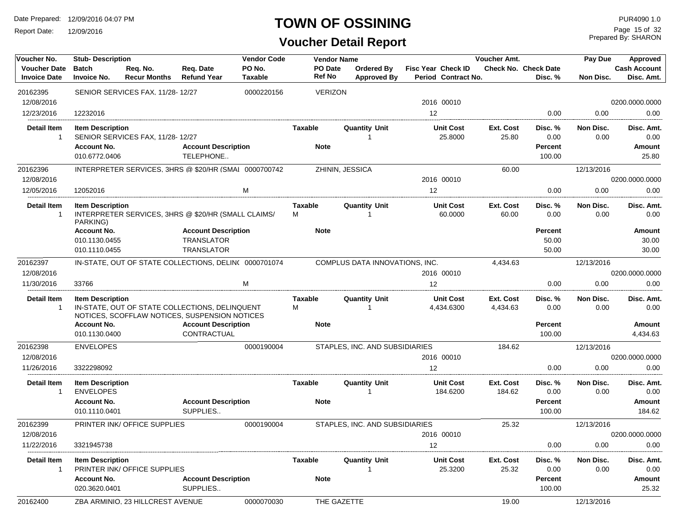Report Date: 12/09/2016

### **TOWN OF OSSINING**

| Voucher No.                                | <b>Stub-Description</b>                              |                                                                                                 |                                                                      | <b>Vendor Code</b>       | <b>Vendor Name</b> |                                  |                                                  | Voucher Amt.          |                                        | Pay Due                  | Approved                          |
|--------------------------------------------|------------------------------------------------------|-------------------------------------------------------------------------------------------------|----------------------------------------------------------------------|--------------------------|--------------------|----------------------------------|--------------------------------------------------|-----------------------|----------------------------------------|--------------------------|-----------------------------------|
| <b>Voucher Date</b><br><b>Invoice Date</b> | <b>Batch</b><br><b>Invoice No.</b>                   | Req. No.<br><b>Recur Months</b>                                                                 | Req. Date<br><b>Refund Year</b>                                      | PO No.<br><b>Taxable</b> | PO Date<br>Ref No  | Ordered Bv<br><b>Approved By</b> | <b>Fisc Year Check ID</b><br>Period Contract No. |                       | <b>Check No. Check Date</b><br>Disc. % | Non Disc.                | <b>Cash Account</b><br>Disc. Amt. |
| 20162395                                   |                                                      | SENIOR SERVICES FAX, 11/28-12/27                                                                |                                                                      | 0000220156               | <b>VERIZON</b>     |                                  |                                                  |                       |                                        |                          |                                   |
| 12/08/2016                                 |                                                      |                                                                                                 |                                                                      |                          |                    |                                  | 2016 00010                                       |                       |                                        |                          | 0200.0000.0000                    |
| 12/23/2016                                 | 12232016                                             |                                                                                                 |                                                                      |                          |                    |                                  | 12                                               |                       | 0.00                                   | 0.00                     | 0.00                              |
| <b>Detail Item</b><br>1                    | <b>Item Description</b>                              | SENIOR SERVICES FAX, 11/28-12/27                                                                |                                                                      |                          | Taxable            | <b>Quantity Unit</b>             | <b>Unit Cost</b><br>25.8000                      | Ext. Cost<br>25.80    | Disc. %<br>0.00                        | Non Disc.<br>0.00        | Disc. Amt.<br>0.00                |
|                                            | <b>Account No.</b><br>010.6772.0406                  |                                                                                                 | <b>Account Description</b><br>TELEPHONE                              |                          | <b>Note</b>        |                                  |                                                  |                       | <b>Percent</b><br>100.00               |                          | Amount<br>25.80                   |
| 20162396                                   |                                                      | INTERPRETER SERVICES, 3HRS @ \$20/HR (SMAI 0000700742                                           |                                                                      |                          |                    | ZHININ, JESSICA                  |                                                  | 60.00                 |                                        | 12/13/2016               |                                   |
| 12/08/2016                                 |                                                      |                                                                                                 |                                                                      |                          |                    |                                  | 2016 00010                                       |                       |                                        |                          | 0200.0000.0000                    |
| 12/05/2016                                 | 12052016                                             |                                                                                                 |                                                                      | M                        |                    |                                  | 12                                               |                       | 0.00                                   | 0.00                     | 0.00                              |
| <b>Detail Item</b><br>$\mathbf{1}$         | <b>Item Description</b><br>PARKING)                  | INTERPRETER SERVICES, 3HRS @ \$20/HR (SMALL CLAIMS/                                             |                                                                      |                          | Taxable<br>м       | <b>Quantity Unit</b>             | <b>Unit Cost</b><br>60.0000                      | Ext. Cost<br>60.00    | Disc. %<br>0.00                        | <b>Non Disc.</b><br>0.00 | Disc. Amt.<br>0.00                |
|                                            | <b>Account No.</b><br>010.1130.0455<br>010.1110.0455 |                                                                                                 | <b>Account Description</b><br><b>TRANSLATOR</b><br><b>TRANSLATOR</b> |                          | <b>Note</b>        |                                  |                                                  |                       | <b>Percent</b><br>50.00<br>50.00       |                          | Amount<br>30.00<br>30.00          |
| 20162397                                   |                                                      | IN-STATE, OUT OF STATE COLLECTIONS, DELIN( 0000701074                                           |                                                                      |                          |                    | COMPLUS DATA INNOVATIONS, INC.   |                                                  | 4,434.63              |                                        | 12/13/2016               |                                   |
| 12/08/2016                                 |                                                      |                                                                                                 |                                                                      |                          |                    |                                  | 2016 00010                                       |                       |                                        |                          | 0200.0000.0000                    |
| 11/30/2016                                 | 33766                                                |                                                                                                 |                                                                      | M                        |                    |                                  | 12                                               |                       | 0.00                                   | 0.00                     | 0.00                              |
| <b>Detail Item</b><br>$\mathbf{1}$         | <b>Item Description</b>                              | IN-STATE, OUT OF STATE COLLECTIONS, DELINQUENT<br>NOTICES, SCOFFLAW NOTICES, SUSPENSION NOTICES |                                                                      |                          | Taxable<br>м       | <b>Quantity Unit</b>             | <b>Unit Cost</b><br>4,434.6300                   | Ext. Cost<br>4,434.63 | Disc. %<br>0.00                        | Non Disc.<br>0.00        | Disc. Amt.<br>0.00                |
|                                            | <b>Account No.</b>                                   |                                                                                                 | <b>Account Description</b>                                           |                          | <b>Note</b>        |                                  |                                                  |                       | <b>Percent</b>                         |                          | Amount                            |
|                                            | 010.1130.0400                                        |                                                                                                 | CONTRACTUAL                                                          |                          |                    |                                  |                                                  |                       | 100.00                                 |                          | 4,434.63                          |
| 20162398                                   | <b>ENVELOPES</b>                                     |                                                                                                 |                                                                      | 0000190004               |                    | STAPLES, INC. AND SUBSIDIARIES   |                                                  | 184.62                |                                        | 12/13/2016               |                                   |
| 12/08/2016                                 |                                                      |                                                                                                 |                                                                      |                          |                    |                                  | 2016 00010                                       |                       |                                        |                          | 0200.0000.0000                    |
| 11/26/2016<br><b>Detail Item</b>           | 3322298092<br><b>Item Description</b>                |                                                                                                 |                                                                      |                          | Taxable            | <b>Quantity Unit</b>             | 12<br><b>Unit Cost</b>                           | Ext. Cost             | 0.00<br>Disc. %                        | 0.00<br>Non Disc.        | 0.00<br>Disc. Amt.                |
| $\mathbf 1$                                | <b>ENVELOPES</b>                                     |                                                                                                 |                                                                      |                          |                    |                                  | 184.6200                                         | 184.62                | 0.00                                   | 0.00                     | 0.00                              |
|                                            | <b>Account No.</b><br>010.1110.0401                  |                                                                                                 | <b>Account Description</b><br>SUPPLIES                               |                          | <b>Note</b>        |                                  |                                                  |                       | <b>Percent</b><br>100.00               |                          | Amount<br>184.62                  |
| 20162399                                   |                                                      | PRINTER INK/ OFFICE SUPPLIES                                                                    |                                                                      | 0000190004               |                    | STAPLES, INC. AND SUBSIDIARIES   |                                                  | 25.32                 |                                        | 12/13/2016               |                                   |
| 12/08/2016                                 |                                                      |                                                                                                 |                                                                      |                          |                    |                                  | 2016 00010                                       |                       |                                        |                          | 0200.0000.0000                    |
| 11/22/2016                                 | 3321945738                                           |                                                                                                 |                                                                      |                          |                    |                                  | 12                                               |                       | 0.00                                   | 0.00                     | 0.00                              |
| <b>Detail Item</b><br>1                    | <b>Item Description</b>                              | PRINTER INK/ OFFICE SUPPLIES                                                                    |                                                                      |                          | Taxable            | Quantity Unit                    | <b>Unit Cost</b><br>25.3200                      | Ext. Cost<br>25.32    | Disc. %<br>0.00                        | Non Disc.<br>0.00        | Disc. Amt.<br>0.00                |
|                                            | <b>Account No.</b><br>020.3620.0401                  |                                                                                                 | <b>Account Description</b><br>SUPPLIES                               |                          | <b>Note</b>        |                                  |                                                  |                       | Percent<br>100.00                      |                          | <b>Amount</b><br>25.32            |
| 20162400                                   |                                                      | ZBA ARMINIO, 23 HILLCREST AVENUE                                                                |                                                                      | 0000070030               |                    | THE GAZETTE                      |                                                  | 19.00                 |                                        | 12/13/2016               |                                   |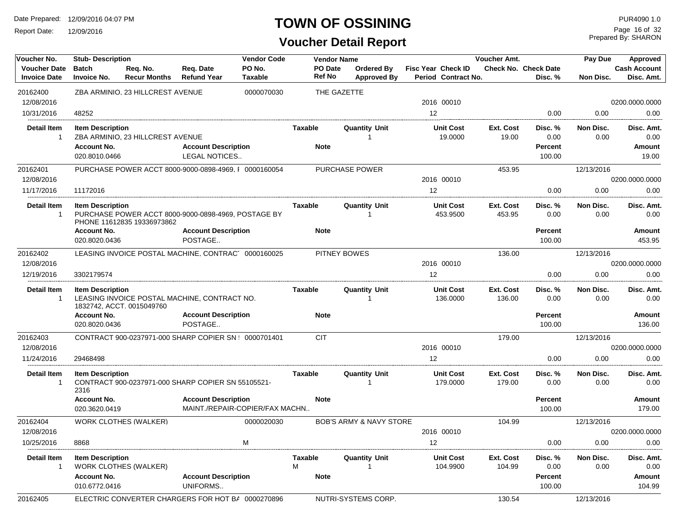Report Date: 12/09/2016

### **TOWN OF OSSINING**

**Voucher Detail Report**

Prepared By: SHARON Page 16 of 32

| Voucher No.                        | <b>Stub-Description</b>             |                                                                                   |                                        | <b>Vendor Code</b>             | <b>Vendor Name</b>  |                                    |                              | Voucher Amt.        |                          | Pay Due           | Approved            |
|------------------------------------|-------------------------------------|-----------------------------------------------------------------------------------|----------------------------------------|--------------------------------|---------------------|------------------------------------|------------------------------|---------------------|--------------------------|-------------------|---------------------|
| <b>Voucher Date</b>                | <b>Batch</b>                        | Req. No.                                                                          | Req. Date                              | PO No.                         | PO Date             | Ordered By                         | Fisc Year Check ID           |                     | Check No. Check Date     |                   | <b>Cash Account</b> |
| <b>Invoice Date</b>                | <b>Invoice No.</b>                  | <b>Recur Months</b>                                                               | <b>Refund Year</b>                     | <b>Taxable</b>                 | Ref No              | <b>Approved By</b>                 | Period Contract No.          |                     | Disc. %                  | Non Disc.         | Disc. Amt.          |
| 20162400                           |                                     | ZBA ARMINIO, 23 HILLCREST AVENUE                                                  |                                        | 0000070030                     |                     | THE GAZETTE                        |                              |                     |                          |                   |                     |
| 12/08/2016                         |                                     |                                                                                   |                                        |                                |                     |                                    | 2016 00010                   |                     |                          |                   | 0200.0000.0000      |
| 10/31/2016                         | 48252                               |                                                                                   |                                        |                                |                     |                                    | 12                           |                     | 0.00                     | 0.00              | 0.00                |
| <b>Detail Item</b><br>1            | <b>Item Description</b>             | ZBA ARMINIO, 23 HILLCREST AVENUE                                                  |                                        |                                | Taxable             | <b>Quantity Unit</b><br>1          | <b>Unit Cost</b><br>19.0000  | Ext. Cost<br>19.00  | Disc. %<br>0.00          | Non Disc.<br>0.00 | Disc. Amt.<br>0.00  |
|                                    | <b>Account No.</b>                  |                                                                                   | <b>Account Description</b>             |                                | <b>Note</b>         |                                    |                              |                     | <b>Percent</b>           |                   | Amount              |
|                                    | 020.8010.0466                       |                                                                                   | <b>LEGAL NOTICES</b>                   |                                |                     |                                    |                              |                     | 100.00                   |                   | 19.00               |
| 20162401                           |                                     | PURCHASE POWER ACCT 8000-9000-0898-4969. [ 0000160054                             |                                        |                                |                     | <b>PURCHASE POWER</b>              |                              | 453.95              |                          | 12/13/2016        |                     |
| 12/08/2016                         |                                     |                                                                                   |                                        |                                |                     |                                    | 2016 00010                   |                     |                          |                   | 0200.0000.0000      |
| 11/17/2016                         | 11172016                            |                                                                                   |                                        |                                |                     |                                    | 12                           |                     | 0.00                     | 0.00              | 0.00                |
| <b>Detail Item</b>                 | <b>Item Description</b>             |                                                                                   |                                        |                                | <b>Taxable</b>      | <b>Quantity Unit</b>               | <b>Unit Cost</b>             | Ext. Cost           | Disc. %                  | Non Disc.         | Disc. Amt.          |
| $\mathbf{1}$                       |                                     | PURCHASE POWER ACCT 8000-9000-0898-4969, POSTAGE BY<br>PHONE 11612835 19336973862 |                                        |                                |                     | 1                                  | 453.9500                     | 453.95              | 0.00                     | 0.00              | 0.00                |
|                                    | <b>Account No.</b>                  |                                                                                   | <b>Account Description</b>             |                                | <b>Note</b>         |                                    |                              |                     | <b>Percent</b>           |                   | Amount              |
|                                    | 020.8020.0436                       |                                                                                   | POSTAGE                                |                                |                     |                                    |                              |                     | 100.00                   |                   | 453.95              |
| 20162402                           |                                     | LEASING INVOICE POSTAL MACHINE, CONTRAC 0000160025                                |                                        |                                |                     | PITNEY BOWES                       |                              | 136.00              |                          | 12/13/2016        |                     |
| 12/08/2016                         |                                     |                                                                                   |                                        |                                |                     |                                    | 2016 00010                   |                     |                          |                   | 0200.0000.0000      |
| 12/19/2016                         | 3302179574                          |                                                                                   |                                        |                                |                     |                                    | 12                           |                     | 0.00                     | 0.00              | 0.00                |
| <b>Detail Item</b><br>-1           | <b>Item Description</b>             | LEASING INVOICE POSTAL MACHINE, CONTRACT NO.<br>1832742, ACCT. 0015049760         |                                        |                                | <b>Taxable</b>      | <b>Quantity Unit</b><br>1          | <b>Unit Cost</b><br>136.0000 | Ext. Cost<br>136.00 | Disc. %<br>0.00          | Non Disc.<br>0.00 | Disc. Amt.<br>0.00  |
|                                    | <b>Account No.</b><br>020.8020.0436 |                                                                                   | <b>Account Description</b><br>POSTAGE  |                                | <b>Note</b>         |                                    |                              |                     | <b>Percent</b><br>100.00 |                   | Amount<br>136.00    |
| 20162403                           |                                     | CONTRACT 900-0237971-000 SHARP COPIER SN : 0000701401                             |                                        |                                | <b>CIT</b>          |                                    |                              | 179.00              |                          | 12/13/2016        |                     |
| 12/08/2016                         |                                     |                                                                                   |                                        |                                |                     |                                    | 2016 00010                   |                     |                          |                   | 0200.0000.0000      |
| 11/24/2016                         | 29468498                            |                                                                                   |                                        |                                |                     |                                    | 12                           |                     | 0.00                     | 0.00              | 0.00                |
| <b>Detail Item</b><br>$\mathbf{1}$ | <b>Item Description</b><br>2316     | CONTRACT 900-0237971-000 SHARP COPIER SN 55105521-                                |                                        |                                | <b>Taxable</b>      | <b>Quantity Unit</b><br>1          | <b>Unit Cost</b><br>179.0000 | Ext. Cost<br>179.00 | Disc.%<br>0.00           | Non Disc.<br>0.00 | Disc. Amt.<br>0.00  |
|                                    | <b>Account No.</b>                  |                                                                                   | <b>Account Description</b>             |                                | <b>Note</b>         |                                    |                              |                     | <b>Percent</b>           |                   | Amount              |
|                                    | 020.3620.0419                       |                                                                                   |                                        | MAINT./REPAIR-COPIER/FAX MACHN |                     |                                    |                              |                     | 100.00                   |                   | 179.00              |
| 20162404                           |                                     | WORK CLOTHES (WALKER)                                                             |                                        | 0000020030                     |                     | <b>BOB'S ARMY &amp; NAVY STORE</b> |                              | 104.99              |                          | 12/13/2016        |                     |
| 12/08/2016                         |                                     |                                                                                   |                                        |                                |                     |                                    | 2016 00010                   |                     |                          |                   | 0200.0000.0000      |
| 10/25/2016                         | 8868                                |                                                                                   |                                        | M                              |                     |                                    | 12                           |                     | 0.00                     | 0.00              | 0.00                |
| <b>Detail Item</b><br>$\mathbf 1$  | <b>Item Description</b>             | WORK CLOTHES (WALKER)                                                             |                                        |                                | <b>Taxable</b><br>м | <b>Quantity Unit</b><br>1          | <b>Unit Cost</b><br>104.9900 | Ext. Cost<br>104.99 | Disc. %<br>0.00          | Non Disc.<br>0.00 | Disc. Amt.<br>0.00  |
|                                    | <b>Account No.</b><br>010.6772.0416 |                                                                                   | <b>Account Description</b><br>UNIFORMS |                                | <b>Note</b>         |                                    |                              |                     | <b>Percent</b><br>100.00 |                   | Amount<br>104.99    |
| 20162405                           |                                     | ELECTRIC CONVERTER CHARGERS FOR HOT BA 0000270896                                 |                                        |                                |                     | NUTRI-SYSTEMS CORP.                |                              | 130.54              |                          | 12/13/2016        |                     |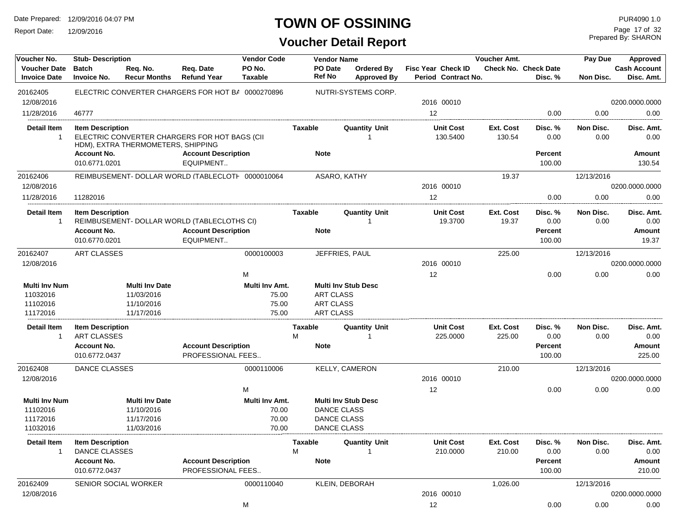Report Date: 12/09/2016

### **TOWN OF OSSINING**

Prepared By: SHARON Page 17 of 32

| Voucher No.                                  | <b>Stub-Description</b>                       |                                                   |                                                                           | <b>Vendor Code</b>               |                     | <b>Vendor Name</b>                   |                                  |                                           | Voucher Amt.              |                                        | Pay Due           | Approved                          |
|----------------------------------------------|-----------------------------------------------|---------------------------------------------------|---------------------------------------------------------------------------|----------------------------------|---------------------|--------------------------------------|----------------------------------|-------------------------------------------|---------------------------|----------------------------------------|-------------------|-----------------------------------|
| <b>Voucher Date</b><br><b>Invoice Date</b>   | <b>Batch</b><br><b>Invoice No.</b>            | Reg. No.<br><b>Recur Months</b>                   | Req. Date<br><b>Refund Year</b>                                           | PO No.<br>Taxable                |                     | PO Date<br><b>Ref No</b>             | Ordered By<br><b>Approved By</b> | Fisc Year Check ID<br>Period Contract No. |                           | <b>Check No. Check Date</b><br>Disc. % | Non Disc.         | <b>Cash Account</b><br>Disc. Amt. |
| 20162405                                     |                                               |                                                   | ELECTRIC CONVERTER CHARGERS FOR HOT BA 0000270896                         |                                  |                     |                                      | NUTRI-SYSTEMS CORP.              |                                           |                           |                                        |                   |                                   |
| 12/08/2016                                   |                                               |                                                   |                                                                           |                                  |                     |                                      |                                  | 2016 00010                                |                           |                                        |                   | 0200.0000.0000                    |
| 11/28/2016                                   | 46777                                         |                                                   |                                                                           |                                  |                     |                                      |                                  | 12                                        |                           | 0.00                                   | 0.00              | 0.00                              |
| <b>Detail Item</b><br>$\overline{1}$         | <b>Item Description</b>                       | HDM), EXTRA THERMOMETERS, SHIPPING                | ELECTRIC CONVERTER CHARGERS FOR HOT BAGS (CII                             |                                  | Taxable             |                                      | <b>Quantity Unit</b>             | <b>Unit Cost</b><br>130.5400              | Ext. Cost<br>130.54       | Disc. %<br>0.00                        | Non Disc.<br>0.00 | Disc. Amt.<br>0.00                |
|                                              | <b>Account No.</b><br>010.6771.0201           |                                                   | <b>Account Description</b><br>EQUIPMENT                                   |                                  |                     | <b>Note</b>                          |                                  |                                           |                           | Percent<br>100.00                      |                   | <b>Amount</b><br>130.54           |
| 20162406                                     |                                               |                                                   | REIMBUSEMENT- DOLLAR WORLD (TABLECLOTH 0000010064                         |                                  |                     | ASARO, KATHY                         |                                  |                                           | 19.37                     |                                        | 12/13/2016        |                                   |
| 12/08/2016                                   |                                               |                                                   |                                                                           |                                  |                     |                                      |                                  | 2016 00010                                |                           |                                        |                   | 0200.0000.0000                    |
| 11/28/2016                                   | 11282016                                      |                                                   |                                                                           |                                  |                     |                                      |                                  | 12                                        |                           | 0.00                                   | 0.00              | 0.00                              |
| <b>Detail Item</b><br>$\mathbf{1}$           | <b>Item Description</b><br><b>Account No.</b> |                                                   | REIMBUSEMENT- DOLLAR WORLD (TABLECLOTHS CI)<br><b>Account Description</b> |                                  | Taxable             | <b>Note</b>                          | <b>Quantity Unit</b>             | <b>Unit Cost</b><br>19.3700               | <b>Ext. Cost</b><br>19.37 | Disc. %<br>0.00<br>Percent             | Non Disc.<br>0.00 | Disc. Amt.<br>0.00<br>Amount      |
|                                              | 010.6770.0201                                 |                                                   | EQUIPMENT                                                                 |                                  |                     |                                      |                                  |                                           |                           | 100.00                                 |                   | 19.37                             |
| 20162407                                     | ART CLASSES                                   |                                                   |                                                                           | 0000100003                       |                     | JEFFRIES, PAUL                       |                                  |                                           | 225.00                    |                                        | 12/13/2016        |                                   |
| 12/08/2016                                   |                                               |                                                   |                                                                           |                                  |                     |                                      |                                  | 2016 00010                                |                           |                                        |                   | 0200.0000.0000                    |
|                                              |                                               |                                                   |                                                                           | М                                |                     |                                      |                                  | 12                                        |                           | 0.00                                   | 0.00              | 0.00                              |
| <b>Multi Inv Num</b><br>11032016<br>11102016 |                                               | <b>Multi Inv Date</b><br>11/03/2016<br>11/10/2016 |                                                                           | Multi Inv Amt.<br>75.00<br>75.00 |                     | <b>ART CLASS</b><br><b>ART CLASS</b> | <b>Multi Inv Stub Desc</b>       |                                           |                           |                                        |                   |                                   |
| 11172016                                     |                                               | 11/17/2016                                        |                                                                           | 75.00                            |                     | <b>ART CLASS</b>                     |                                  |                                           |                           |                                        |                   |                                   |
| Detail Item<br>-1                            | <b>Item Description</b><br>ART CLASSES        |                                                   |                                                                           |                                  | Taxable<br>м        |                                      | <b>Quantity Unit</b>             | <b>Unit Cost</b><br>225.0000              | Ext. Cost<br>225.00       | Disc. %<br>0.00                        | Non Disc.<br>0.00 | Disc. Amt.<br>0.00                |
|                                              | <b>Account No.</b><br>010.6772.0437           |                                                   | <b>Account Description</b><br>PROFESSIONAL FEES                           |                                  |                     | <b>Note</b>                          |                                  |                                           |                           | Percent<br>100.00                      |                   | Amount<br>225.00                  |
| 20162408                                     | DANCE CLASSES                                 |                                                   |                                                                           | 0000110006                       |                     |                                      | KELLY, CAMERON                   |                                           | 210.00                    |                                        | 12/13/2016        |                                   |
| 12/08/2016                                   |                                               |                                                   |                                                                           |                                  |                     |                                      |                                  | 2016 00010                                |                           |                                        |                   | 0200.0000.0000                    |
|                                              |                                               |                                                   |                                                                           | м                                |                     |                                      |                                  | 12                                        |                           | 0.00                                   | 0.00              | 0.00                              |
| <b>Multi Inv Num</b>                         |                                               | <b>Multi Inv Date</b>                             |                                                                           | Multi Inv Amt.                   |                     |                                      | <b>Multi Inv Stub Desc</b>       |                                           |                           |                                        |                   |                                   |
| 11102016                                     |                                               | 11/10/2016                                        |                                                                           | 70.00                            |                     | DANCE CLASS                          |                                  |                                           |                           |                                        |                   |                                   |
| 11172016                                     |                                               | 11/17/2016                                        |                                                                           | 70.00                            |                     | DANCE CLASS                          |                                  |                                           |                           |                                        |                   |                                   |
| 11032016                                     |                                               | 11/03/2016                                        |                                                                           | 70.00                            |                     | DANCE CLASS                          |                                  |                                           |                           |                                        |                   |                                   |
| <b>Detail Item</b><br>-1                     | <b>Item Description</b><br>DANCE CLASSES      |                                                   |                                                                           |                                  | <b>Taxable</b><br>м |                                      | <b>Quantity Unit</b>             | <b>Unit Cost</b><br>210.0000              | Ext. Cost<br>210.00       | Disc. %<br>0.00                        | Non Disc.<br>0.00 | Disc. Amt.<br>0.00                |
|                                              | Account No.<br>010.6772.0437                  |                                                   | <b>Account Description</b><br>PROFESSIONAL FEES                           |                                  |                     | <b>Note</b>                          |                                  |                                           |                           | Percent<br>100.00                      |                   | Amount<br>210.00                  |
| 20162409                                     | SENIOR SOCIAL WORKER                          |                                                   |                                                                           | 0000110040                       |                     |                                      | KLEIN, DEBORAH                   |                                           | 1,026.00                  |                                        | 12/13/2016        |                                   |
| 12/08/2016                                   |                                               |                                                   |                                                                           |                                  |                     |                                      |                                  | 2016 00010                                |                           |                                        |                   | 0200.0000.0000                    |
|                                              |                                               |                                                   |                                                                           | M                                |                     |                                      |                                  | 12                                        |                           | 0.00                                   | 0.00              | 0.00                              |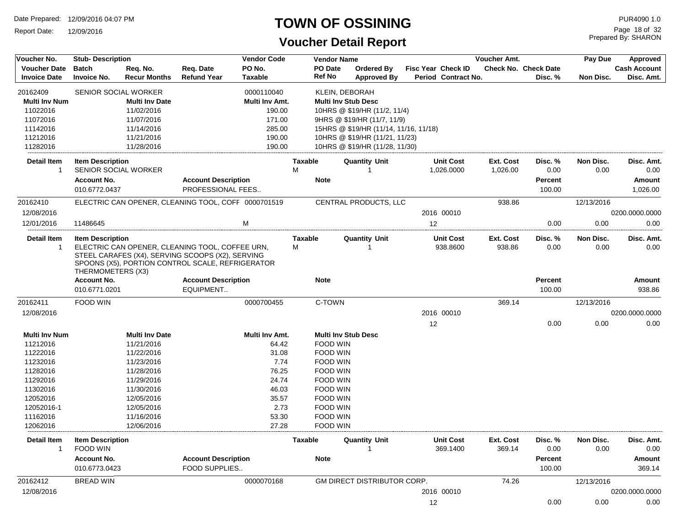Report Date: 12/09/2016

### **TOWN OF OSSINING**

# **Voucher Detail Report**

Prepared By: SHARON Page 18 of 32

| Voucher No.                          | <b>Stub-Description</b>             |                       |                                                     | <b>Vendor Code</b> |                | <b>Vendor Name</b> |                                       |                              | <b>Voucher Amt.</b> |                             | Pay Due           | <b>Approved</b>     |
|--------------------------------------|-------------------------------------|-----------------------|-----------------------------------------------------|--------------------|----------------|--------------------|---------------------------------------|------------------------------|---------------------|-----------------------------|-------------------|---------------------|
| <b>Voucher Date</b>                  | <b>Batch</b>                        | Req. No.              | Req. Date                                           | PO No.             |                | PO Date            | <b>Ordered By</b>                     | <b>Fisc Year Check ID</b>    |                     | <b>Check No. Check Date</b> |                   | <b>Cash Account</b> |
| <b>Invoice Date</b>                  | Invoice No.                         | <b>Recur Months</b>   | <b>Refund Year</b>                                  | <b>Taxable</b>     |                | <b>Ref No</b>      | <b>Approved By</b>                    | Period Contract No.          |                     | Disc. %                     | Non Disc.         | Disc. Amt.          |
| 20162409                             | SENIOR SOCIAL WORKER                |                       |                                                     | 0000110040         |                | KLEIN, DEBORAH     |                                       |                              |                     |                             |                   |                     |
| <b>Multi Inv Num</b>                 |                                     | <b>Multi Inv Date</b> |                                                     | Multi Inv Amt.     |                |                    | <b>Multi Inv Stub Desc</b>            |                              |                     |                             |                   |                     |
| 11022016                             |                                     | 11/02/2016            |                                                     | 190.00             |                |                    | 10HRS @ \$19/HR (11/2, 11/4)          |                              |                     |                             |                   |                     |
| 11072016                             |                                     | 11/07/2016            |                                                     | 171.00             |                |                    | 9HRS @ \$19/HR (11/7, 11/9)           |                              |                     |                             |                   |                     |
| 11142016                             |                                     | 11/14/2016            |                                                     | 285.00             |                |                    | 15HRS @ \$19/HR (11/14, 11/16, 11/18) |                              |                     |                             |                   |                     |
| 11212016                             |                                     | 11/21/2016            |                                                     | 190.00             |                |                    | 10HRS @ \$19/HR (11/21, 11/23)        |                              |                     |                             |                   |                     |
| 11282016                             |                                     | 11/28/2016            |                                                     | 190.00             |                |                    | 10HRS @ \$19/HR (11/28, 11/30)        |                              |                     |                             |                   |                     |
| <b>Detail Item</b>                   | <b>Item Description</b>             |                       |                                                     |                    | <b>Taxable</b> |                    | <b>Quantity Unit</b>                  | <b>Unit Cost</b>             | Ext. Cost           | Disc. %                     | Non Disc.         | Disc. Amt.          |
| -1                                   | <b>SENIOR SOCIAL WORKER</b>         |                       |                                                     |                    | M              |                    |                                       | 1,026.0000                   | 1,026.00            | 0.00                        | 0.00              | 0.00                |
|                                      | <b>Account No.</b>                  |                       | <b>Account Description</b>                          |                    |                | <b>Note</b>        |                                       |                              |                     | <b>Percent</b>              |                   | Amount              |
|                                      | 010.6772.0437                       |                       | PROFESSIONAL FEES                                   |                    |                |                    |                                       |                              |                     | 100.00                      |                   | 1,026.00            |
| 20162410                             |                                     |                       | ELECTRIC CAN OPENER. CLEANING TOOL, COFF 0000701519 |                    |                |                    | CENTRAL PRODUCTS, LLC                 |                              | 938.86              |                             | 12/13/2016        |                     |
| 12/08/2016                           |                                     |                       |                                                     |                    |                |                    |                                       | 2016 00010                   |                     |                             |                   | 0200.0000.0000      |
|                                      |                                     |                       |                                                     |                    |                |                    |                                       |                              |                     |                             |                   |                     |
| 12/01/2016                           | 11486645                            |                       |                                                     | M                  |                |                    |                                       | 12                           |                     | 0.00                        | 0.00              | 0.00                |
| <b>Detail Item</b>                   | <b>Item Description</b>             |                       |                                                     |                    | <b>Taxable</b> |                    | <b>Quantity Unit</b>                  | <b>Unit Cost</b>             | Ext. Cost           | Disc. %                     | Non Disc.         | Disc. Amt.          |
| $\overline{1}$                       |                                     |                       | ELECTRIC CAN OPENER, CLEANING TOOL, COFFEE URN,     |                    | M              |                    | $\overline{1}$                        | 938.8600                     | 938.86              | 0.00                        | 0.00              | 0.00                |
|                                      |                                     |                       | STEEL CARAFES (X4), SERVING SCOOPS (X2), SERVING    |                    |                |                    |                                       |                              |                     |                             |                   |                     |
|                                      |                                     |                       | SPOONS (X5), PORTION CONTROL SCALE, REFRIGERATOR    |                    |                |                    |                                       |                              |                     |                             |                   |                     |
|                                      | THERMOMETERS (X3)                   |                       |                                                     |                    |                |                    |                                       |                              |                     |                             |                   |                     |
|                                      | <b>Account No.</b>                  |                       | <b>Account Description</b>                          |                    |                | <b>Note</b>        |                                       |                              |                     | Percent                     |                   | Amount              |
|                                      | 010.6771.0201                       |                       | EQUIPMENT                                           |                    |                |                    |                                       |                              |                     | 100.00                      |                   | 938.86              |
| 20162411                             | FOOD WIN                            |                       |                                                     | 0000700455         |                | C-TOWN             |                                       |                              | 369.14              |                             | 12/13/2016        |                     |
| 12/08/2016                           |                                     |                       |                                                     |                    |                |                    |                                       | 2016 00010                   |                     |                             |                   | 0200.0000.0000      |
|                                      |                                     |                       |                                                     |                    |                |                    |                                       | 12                           |                     | 0.00                        | 0.00              | 0.00                |
| <b>Multi Inv Num</b>                 |                                     | <b>Multi Inv Date</b> |                                                     | Multi Inv Amt.     |                |                    | <b>Multi Inv Stub Desc</b>            |                              |                     |                             |                   |                     |
| 11212016                             |                                     | 11/21/2016            |                                                     | 64.42              |                | <b>FOOD WIN</b>    |                                       |                              |                     |                             |                   |                     |
| 11222016                             |                                     | 11/22/2016            |                                                     | 31.08              |                | <b>FOOD WIN</b>    |                                       |                              |                     |                             |                   |                     |
| 11232016                             |                                     | 11/23/2016            |                                                     | 7.74               |                | FOOD WIN           |                                       |                              |                     |                             |                   |                     |
| 11282016                             |                                     | 11/28/2016            |                                                     | 76.25              |                | FOOD WIN           |                                       |                              |                     |                             |                   |                     |
| 11292016                             |                                     | 11/29/2016            |                                                     | 24.74              |                | FOOD WIN           |                                       |                              |                     |                             |                   |                     |
| 11302016                             |                                     | 11/30/2016            |                                                     | 46.03              |                | <b>FOOD WIN</b>    |                                       |                              |                     |                             |                   |                     |
| 12052016                             |                                     | 12/05/2016            |                                                     | 35.57              |                | <b>FOOD WIN</b>    |                                       |                              |                     |                             |                   |                     |
| 12052016-1                           |                                     | 12/05/2016            |                                                     | 2.73               |                | FOOD WIN           |                                       |                              |                     |                             |                   |                     |
| 11162016                             |                                     | 11/16/2016            |                                                     | 53.30              |                | <b>FOOD WIN</b>    |                                       |                              |                     |                             |                   |                     |
| 12062016                             |                                     | 12/06/2016            |                                                     | 27.28              |                | <b>FOOD WIN</b>    |                                       |                              |                     |                             |                   |                     |
|                                      |                                     |                       |                                                     |                    |                |                    |                                       |                              |                     |                             |                   |                     |
| <b>Detail Item</b><br>$\overline{1}$ | <b>Item Description</b><br>FOOD WIN |                       |                                                     |                    | <b>Taxable</b> |                    | <b>Quantity Unit</b><br>1             | <b>Unit Cost</b><br>369.1400 | Ext. Cost<br>369.14 | Disc. %<br>0.00             | Non Disc.<br>0.00 | Disc. Amt.<br>0.00  |
|                                      | <b>Account No.</b>                  |                       | <b>Account Description</b>                          |                    |                | <b>Note</b>        |                                       |                              |                     | <b>Percent</b>              |                   | Amount              |
|                                      | 010.6773.0423                       |                       | <b>FOOD SUPPLIES</b>                                |                    |                |                    |                                       |                              |                     | 100.00                      |                   | 369.14              |
| 20162412                             | <b>BREAD WIN</b>                    |                       |                                                     | 0000070168         |                |                    | GM DIRECT DISTRIBUTOR CORP.           |                              | 74.26               |                             | 12/13/2016        |                     |
| 12/08/2016                           |                                     |                       |                                                     |                    |                |                    |                                       | 2016 00010                   |                     |                             |                   | 0200.0000.0000      |
|                                      |                                     |                       |                                                     |                    |                |                    |                                       | 12                           |                     | 0.00                        | 0.00              | 0.00                |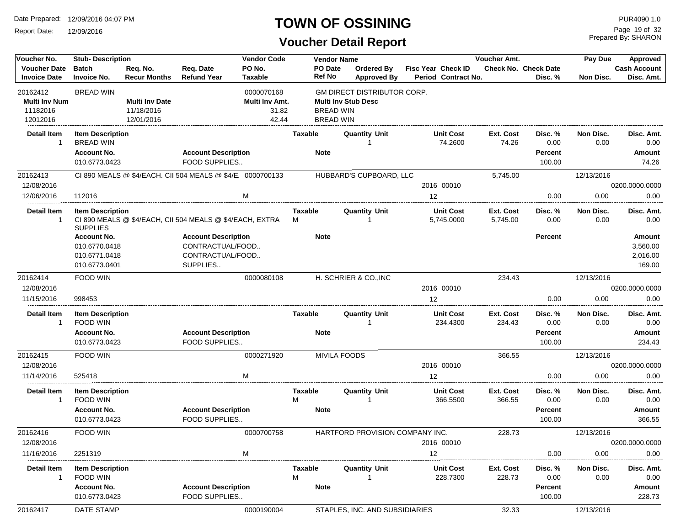Report Date: 12/09/2016

### **TOWN OF OSSINING**

Prepared By: SHARON Page 19 of 32

| Voucher No.                          | <b>Stub- Description</b>                    |                       |                                                            | <b>Vendor Code</b> |                | <b>Vendor Name</b>                 |                              | Voucher Amt.               |                             | Pay Due           | Approved            |
|--------------------------------------|---------------------------------------------|-----------------------|------------------------------------------------------------|--------------------|----------------|------------------------------------|------------------------------|----------------------------|-----------------------------|-------------------|---------------------|
| <b>Voucher Date</b>                  | <b>Batch</b>                                | Reg. No.              | Req. Date                                                  | PO No.             | PO Date        | Ordered By                         | <b>Fisc Year Check ID</b>    |                            | <b>Check No. Check Date</b> |                   | <b>Cash Account</b> |
| <b>Invoice Date</b>                  | <b>Invoice No.</b>                          | <b>Recur Months</b>   | <b>Refund Year</b>                                         | <b>Taxable</b>     | <b>Ref No</b>  | <b>Approved By</b>                 | Period Contract No.          |                            | Disc. %                     | Non Disc.         | Disc. Amt.          |
| 20162412                             | <b>BREAD WIN</b>                            |                       |                                                            | 0000070168         |                | <b>GM DIRECT DISTRIBUTOR CORP.</b> |                              |                            |                             |                   |                     |
| <b>Multi Inv Num</b>                 |                                             | <b>Multi Inv Date</b> |                                                            | Multi Inv Amt.     |                | <b>Multi Inv Stub Desc</b>         |                              |                            |                             |                   |                     |
| 11182016                             |                                             | 11/18/2016            |                                                            | 31.82              |                | <b>BREAD WIN</b>                   |                              |                            |                             |                   |                     |
| 12012016                             |                                             | 12/01/2016            |                                                            | 42.44              |                | <b>BREAD WIN</b>                   |                              |                            |                             |                   |                     |
| <b>Detail Item</b><br>1              | <b>Item Description</b><br><b>BREAD WIN</b> |                       |                                                            |                    | <b>Taxable</b> | <b>Quantity Unit</b>               | <b>Unit Cost</b><br>74.2600  | Ext. Cost<br>74.26         | Disc. %<br>0.00             | Non Disc.<br>0.00 | Disc. Amt.<br>0.00  |
|                                      | <b>Account No.</b><br>010.6773.0423         |                       | <b>Account Description</b><br>FOOD SUPPLIES                |                    | <b>Note</b>    |                                    |                              |                            | <b>Percent</b><br>100.00    |                   | Amount<br>74.26     |
| 20162413                             |                                             |                       | CI 890 MEALS @ \$4/EACH, CII 504 MEALS @ \$4/E, 0000700133 |                    |                | HUBBARD'S CUPBOARD, LLC            |                              | 5,745.00                   |                             | 12/13/2016        |                     |
| 12/08/2016                           |                                             |                       |                                                            |                    |                |                                    | 2016 00010                   |                            |                             |                   | 0200.0000.0000      |
| 12/06/2016                           | 112016                                      |                       |                                                            | M                  |                |                                    | 12                           |                            | 0.00                        | 0.00              | 0.00                |
| <b>Detail Item</b>                   | <b>Item Description</b>                     |                       |                                                            |                    | <b>Taxable</b> | <b>Quantity Unit</b>               | <b>Unit Cost</b>             | Ext. Cost                  | Disc. %                     | Non Disc.         | Disc. Amt.          |
| $\mathbf{1}$                         | <b>SUPPLIES</b>                             |                       | CI 890 MEALS @ \$4/EACH, CII 504 MEALS @ \$4/EACH, EXTRA   |                    | м              |                                    | 5,745.0000                   | 5,745.00                   | 0.00                        | 0.00              | 0.00                |
|                                      | <b>Account No.</b>                          |                       | <b>Account Description</b>                                 |                    | <b>Note</b>    |                                    |                              |                            | <b>Percent</b>              |                   | Amount              |
|                                      | 010.6770.0418                               |                       | CONTRACTUAL/FOOD                                           |                    |                |                                    |                              |                            |                             |                   | 3,560.00            |
|                                      | 010.6771.0418                               |                       | CONTRACTUAL/FOOD                                           |                    |                |                                    |                              |                            |                             |                   | 2,016.00            |
|                                      | 010.6773.0401                               |                       | SUPPLIES                                                   |                    |                |                                    |                              |                            |                             |                   | 169.00              |
| 20162414                             | FOOD WIN                                    |                       |                                                            | 0000080108         |                | H. SCHRIER & CO., INC              |                              | 234.43                     |                             | 12/13/2016        |                     |
| 12/08/2016                           |                                             |                       |                                                            |                    |                |                                    | 2016 00010                   |                            |                             |                   | 0200.0000.0000      |
| 11/15/2016                           | 998453                                      |                       |                                                            |                    |                |                                    | 12                           |                            | 0.00                        | 0.00              | 0.00                |
| <b>Detail Item</b><br>$\overline{1}$ | <b>Item Description</b><br>FOOD WIN         |                       |                                                            |                    | Taxable        | <b>Quantity Unit</b>               | <b>Unit Cost</b><br>234.4300 | Ext. Cost<br>234.43        | Disc. %<br>0.00             | Non Disc.<br>0.00 | Disc. Amt.<br>0.00  |
|                                      | <b>Account No.</b>                          |                       | <b>Account Description</b>                                 |                    | <b>Note</b>    |                                    |                              |                            | <b>Percent</b>              |                   | Amount              |
|                                      | 010.6773.0423                               |                       | FOOD SUPPLIES                                              |                    |                |                                    |                              |                            | 100.00                      |                   | 234.43              |
| 20162415                             | FOOD WIN                                    |                       |                                                            | 0000271920         |                | <b>MIVILA FOODS</b>                |                              | 366.55                     |                             | 12/13/2016        |                     |
| 12/08/2016                           |                                             |                       |                                                            |                    |                |                                    | 2016 00010                   |                            |                             |                   | 0200.0000.0000      |
| 11/14/2016                           | 525418                                      |                       |                                                            | M                  |                |                                    | 12                           |                            | 0.00                        | 0.00              | 0.00                |
| <b>Detail Item</b><br>-1             | <b>Item Description</b><br>FOOD WIN         |                       |                                                            |                    | Taxable<br>M   | <b>Quantity Unit</b>               | <b>Unit Cost</b><br>366.5500 | Ext. Cost<br>366.55        | Disc. %<br>0.00             | Non Disc.<br>0.00 | Disc. Amt.<br>0.00  |
|                                      | <b>Account No.</b>                          |                       | <b>Account Description</b>                                 |                    | <b>Note</b>    |                                    |                              |                            | <b>Percent</b>              |                   | Amount              |
|                                      | 010.6773.0423                               |                       | FOOD SUPPLIES                                              |                    |                |                                    |                              |                            | 100.00                      |                   | 366.55              |
| 20162416                             | FOOD WIN                                    |                       |                                                            | 0000700758         |                | HARTFORD PROVISION COMPANY INC.    |                              | 228.73                     |                             | 12/13/2016        |                     |
| 12/08/2016                           |                                             |                       |                                                            |                    |                |                                    | 2016 00010                   |                            |                             |                   | 0200.0000.0000      |
| 11/16/2016                           | 2251319                                     |                       |                                                            | м                  |                |                                    | 12                           |                            | 0.00                        | 0.00              | 0.00                |
| <b>Detail Item</b><br>$\mathbf{1}$   | <b>Item Description</b><br>FOOD WIN         |                       |                                                            |                    | Taxable<br>м   | <b>Quantity Unit</b>               | <b>Unit Cost</b><br>228.7300 | <b>Ext. Cost</b><br>228.73 | Disc. %<br>0.00             | Non Disc.<br>0.00 | Disc. Amt.<br>0.00  |
|                                      | <b>Account No.</b>                          |                       | <b>Account Description</b>                                 |                    | <b>Note</b>    |                                    |                              |                            | <b>Percent</b>              |                   | Amount              |
|                                      | 010.6773.0423                               |                       | FOOD SUPPLIES                                              |                    |                |                                    |                              |                            | 100.00                      |                   | 228.73              |
| 20162417                             | <b>DATE STAMP</b>                           |                       |                                                            | 0000190004         |                | STAPLES, INC. AND SUBSIDIARIES     |                              | 32.33                      |                             | 12/13/2016        |                     |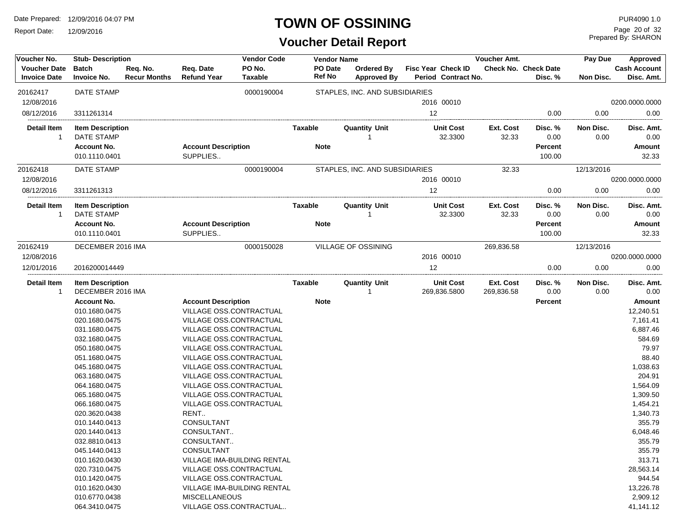Report Date: 12/09/2016

### **TOWN OF OSSINING**

| Voucher No.                                | <b>Stub-Description</b>                      |                                 |                                 | <b>Vendor Code</b>             |                   | <b>Vendor Name</b>                      |                                           | Voucher Amt.            |                                 | Pay Due           | Approved                          |
|--------------------------------------------|----------------------------------------------|---------------------------------|---------------------------------|--------------------------------|-------------------|-----------------------------------------|-------------------------------------------|-------------------------|---------------------------------|-------------------|-----------------------------------|
| <b>Voucher Date</b><br><b>Invoice Date</b> | <b>Batch</b><br><b>Invoice No.</b>           | Req. No.<br><b>Recur Months</b> | Req. Date<br><b>Refund Year</b> | PO No.<br>Taxable              | PO Date<br>Ref No | <b>Ordered By</b><br><b>Approved By</b> | Fisc Year Check ID<br>Period Contract No. |                         | Check No. Check Date<br>Disc. % | Non Disc.         | <b>Cash Account</b><br>Disc. Amt. |
| 20162417                                   | <b>DATE STAMP</b>                            |                                 |                                 | 0000190004                     |                   | STAPLES, INC. AND SUBSIDIARIES          |                                           |                         |                                 |                   |                                   |
| 12/08/2016                                 |                                              |                                 |                                 |                                |                   |                                         | 2016 00010                                |                         |                                 |                   | 0200.0000.0000                    |
| 08/12/2016                                 | 3311261314                                   |                                 |                                 |                                |                   |                                         | 12                                        |                         | 0.00                            | 0.00              | 0.00                              |
| <b>Detail Item</b><br>-1                   | <b>Item Description</b><br>DATE STAMP        |                                 |                                 |                                | Taxable           | <b>Quantity Unit</b>                    | <b>Unit Cost</b><br>32.3300               | Ext. Cost<br>32.33      | Disc. %<br>0.00                 | Non Disc.<br>0.00 | Disc. Amt.<br>0.00                |
|                                            | <b>Account No.</b>                           |                                 | <b>Account Description</b>      |                                | <b>Note</b>       |                                         |                                           |                         | <b>Percent</b>                  |                   | Amount                            |
|                                            | 010.1110.0401                                |                                 | SUPPLIES                        |                                |                   |                                         |                                           |                         | 100.00                          |                   | 32.33                             |
| 20162418                                   | DATE STAMP                                   |                                 |                                 | 0000190004                     |                   | STAPLES, INC. AND SUBSIDIARIES          |                                           | 32.33                   |                                 | 12/13/2016        |                                   |
| 12/08/2016                                 |                                              |                                 |                                 |                                |                   |                                         | 2016 00010                                |                         |                                 |                   | 0200.0000.0000                    |
| 08/12/2016                                 | 3311261313                                   |                                 |                                 |                                |                   |                                         | 12                                        |                         | 0.00                            | 0.00              | 0.00                              |
| <b>Detail Item</b><br>-1                   | <b>Item Description</b><br>DATE STAMP        |                                 |                                 |                                | <b>Taxable</b>    | <b>Quantity Unit</b>                    | <b>Unit Cost</b><br>32.3300               | Ext. Cost<br>32.33      | Disc. %<br>0.00                 | Non Disc.<br>0.00 | Disc. Amt.<br>0.00                |
|                                            | <b>Account No.</b>                           |                                 | <b>Account Description</b>      |                                | <b>Note</b>       |                                         |                                           |                         | <b>Percent</b>                  |                   | Amount                            |
|                                            | 010.1110.0401                                |                                 | SUPPLIES                        |                                |                   |                                         |                                           |                         | 100.00                          |                   | 32.33                             |
| 20162419                                   | DECEMBER 2016 IMA                            |                                 |                                 | 0000150028                     |                   | VILLAGE OF OSSINING                     |                                           | 269,836.58              |                                 | 12/13/2016        |                                   |
| 12/08/2016                                 |                                              |                                 |                                 |                                |                   |                                         | 2016 00010                                |                         |                                 |                   | 0200.0000.0000                    |
| 12/01/2016                                 | 2016200014449                                |                                 |                                 |                                |                   |                                         | 12                                        |                         | 0.00                            | 0.00              | 0.00                              |
| <b>Detail Item</b><br>$\overline{1}$       | <b>Item Description</b><br>DECEMBER 2016 IMA |                                 |                                 |                                | Taxable           | <b>Quantity Unit</b>                    | <b>Unit Cost</b><br>269,836.5800          | Ext. Cost<br>269,836.58 | Disc. %<br>0.00                 | Non Disc.<br>0.00 | Disc. Amt.<br>0.00                |
|                                            | <b>Account No.</b>                           |                                 | <b>Account Description</b>      |                                | <b>Note</b>       |                                         |                                           |                         | <b>Percent</b>                  |                   | Amount                            |
|                                            | 010.1680.0475                                |                                 |                                 | VILLAGE OSS.CONTRACTUAL        |                   |                                         |                                           |                         |                                 |                   | 12,240.51                         |
|                                            | 020.1680.0475                                |                                 |                                 | VILLAGE OSS.CONTRACTUAL        |                   |                                         |                                           |                         |                                 |                   | 7,161.41                          |
|                                            | 031.1680.0475                                |                                 |                                 | VILLAGE OSS.CONTRACTUAL        |                   |                                         |                                           |                         |                                 |                   | 6,887.46                          |
|                                            | 032.1680.0475                                |                                 |                                 | VILLAGE OSS.CONTRACTUAL        |                   |                                         |                                           |                         |                                 |                   | 584.69                            |
|                                            | 050.1680.0475                                |                                 |                                 | <b>VILLAGE OSS.CONTRACTUAL</b> |                   |                                         |                                           |                         |                                 |                   | 79.97                             |
|                                            | 051.1680.0475                                |                                 |                                 | VILLAGE OSS.CONTRACTUAL        |                   |                                         |                                           |                         |                                 |                   | 88.40                             |
|                                            | 045.1680.0475                                |                                 |                                 | VILLAGE OSS.CONTRACTUAL        |                   |                                         |                                           |                         |                                 |                   | 1,038.63                          |
|                                            | 063.1680.0475                                |                                 |                                 | VILLAGE OSS.CONTRACTUAL        |                   |                                         |                                           |                         |                                 |                   | 204.91                            |
|                                            | 064.1680.0475                                |                                 |                                 | VILLAGE OSS.CONTRACTUAL        |                   |                                         |                                           |                         |                                 |                   | 1,564.09                          |
|                                            | 065.1680.0475                                |                                 |                                 | VILLAGE OSS.CONTRACTUAL        |                   |                                         |                                           |                         |                                 |                   | 1,309.50                          |
|                                            | 066.1680.0475                                |                                 |                                 | VILLAGE OSS.CONTRACTUAL        |                   |                                         |                                           |                         |                                 |                   | 1,454.21                          |
|                                            | 020.3620.0438                                |                                 | RENT                            |                                |                   |                                         |                                           |                         |                                 |                   | 1,340.73                          |
|                                            | 010.1440.0413                                |                                 | CONSULTANT                      |                                |                   |                                         |                                           |                         |                                 |                   | 355.79                            |
|                                            | 020.1440.0413                                |                                 | CONSULTANT                      |                                |                   |                                         |                                           |                         |                                 |                   | 6,048.46                          |
|                                            | 032.8810.0413                                |                                 | CONSULTANT                      |                                |                   |                                         |                                           |                         |                                 |                   | 355.79                            |
|                                            | 045.1440.0413                                |                                 | <b>CONSULTANT</b>               |                                |                   |                                         |                                           |                         |                                 |                   | 355.79                            |
|                                            | 010.1620.0430                                |                                 |                                 | VILLAGE IMA-BUILDING RENTAL    |                   |                                         |                                           |                         |                                 |                   | 313.71                            |
|                                            | 020.7310.0475                                |                                 |                                 | VILLAGE OSS.CONTRACTUAL        |                   |                                         |                                           |                         |                                 |                   | 28,563.14                         |
|                                            | 010.1420.0475                                |                                 |                                 | VILLAGE OSS.CONTRACTUAL        |                   |                                         |                                           |                         |                                 |                   | 944.54                            |
|                                            | 010.1620.0430                                |                                 |                                 | VILLAGE IMA-BUILDING RENTAL    |                   |                                         |                                           |                         |                                 |                   | 13,226.78                         |
|                                            | 010.6770.0438                                |                                 | <b>MISCELLANEOUS</b>            |                                |                   |                                         |                                           |                         |                                 |                   | 2,909.12                          |
|                                            | 064.3410.0475                                |                                 |                                 | VILLAGE OSS.CONTRACTUAL        |                   |                                         |                                           |                         |                                 |                   | 41,141.12                         |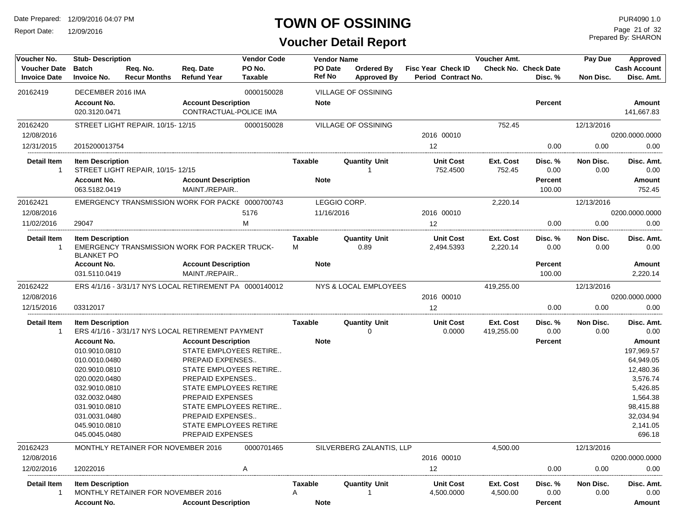Report Date: 12/09/2016

# **TOWN OF OSSINING**

Prepared By: SHARON Page 21 of 32

| Voucher No.                                | <b>Stub-Description</b>                      |                                                         |                                 | <b>Vendor Code</b>       |                     | <b>Vendor Name</b>               |                                                  | Voucher Amt.          |                                        | Pay Due           | Approved                          |
|--------------------------------------------|----------------------------------------------|---------------------------------------------------------|---------------------------------|--------------------------|---------------------|----------------------------------|--------------------------------------------------|-----------------------|----------------------------------------|-------------------|-----------------------------------|
| <b>Voucher Date</b><br><b>Invoice Date</b> | <b>Batch</b><br><b>Invoice No.</b>           | Req. No.<br><b>Recur Months</b>                         | Req. Date<br><b>Refund Year</b> | PO No.<br><b>Taxable</b> | PO Date<br>Ref No   | Ordered By<br><b>Approved By</b> | <b>Fisc Year Check ID</b><br>Period Contract No. |                       | <b>Check No. Check Date</b><br>Disc. % | Non Disc.         | <b>Cash Account</b><br>Disc. Amt. |
| 20162419                                   | DECEMBER 2016 IMA                            |                                                         |                                 | 0000150028               |                     | VILLAGE OF OSSINING              |                                                  |                       |                                        |                   |                                   |
|                                            | <b>Account No.</b>                           |                                                         | <b>Account Description</b>      |                          | <b>Note</b>         |                                  |                                                  |                       | Percent                                |                   | <b>Amount</b>                     |
|                                            | 020.3120.0471                                |                                                         | <b>CONTRACTUAL-POLICE IMA</b>   |                          |                     |                                  |                                                  |                       |                                        |                   | 141.667.83                        |
| 20162420                                   |                                              | STREET LIGHT REPAIR, 10/15-12/15                        |                                 | 0000150028               |                     | <b>VILLAGE OF OSSINING</b>       |                                                  | 752.45                |                                        | 12/13/2016        |                                   |
| 12/08/2016                                 |                                              |                                                         |                                 |                          |                     |                                  | 2016 00010                                       |                       |                                        |                   | 0200.0000.0000                    |
| 12/31/2015                                 | 2015200013754                                |                                                         |                                 |                          |                     |                                  | 12                                               |                       | 0.00                                   | 0.00              | 0.00                              |
| <b>Detail Item</b>                         | <b>Item Description</b>                      |                                                         |                                 |                          | <b>Taxable</b>      | <b>Quantity Unit</b>             | <b>Unit Cost</b>                                 | Ext. Cost             | Disc. %                                | Non Disc.         | Disc. Amt.                        |
| $\mathbf{1}$                               |                                              | STREET LIGHT REPAIR, 10/15-12/15                        |                                 |                          |                     |                                  | 752.4500                                         | 752.45                | 0.00                                   | 0.00              | 0.00                              |
|                                            | <b>Account No.</b>                           |                                                         | <b>Account Description</b>      |                          | <b>Note</b>         |                                  |                                                  |                       | <b>Percent</b>                         |                   | <b>Amount</b>                     |
|                                            | 063.5182.0419                                |                                                         | MAINT./REPAIR                   |                          |                     |                                  |                                                  |                       | 100.00                                 |                   | 752.45                            |
| 20162421                                   |                                              | EMERGENCY TRANSMISSION WORK FOR PACKE 0000700743        |                                 |                          |                     | LEGGIO CORP.                     |                                                  | 2,220.14              |                                        | 12/13/2016        |                                   |
| 12/08/2016                                 |                                              |                                                         |                                 | 5176                     | 11/16/2016          |                                  | 2016 00010                                       |                       |                                        |                   | 0200.0000.0000                    |
| 11/02/2016                                 | 29047                                        |                                                         |                                 | M                        |                     |                                  | $12 \overline{ }$                                |                       | 0.00                                   | 0.00              | 0.00                              |
| <b>Detail Item</b><br>$\mathbf{1}$         | <b>Item Description</b><br><b>BLANKET PO</b> | EMERGENCY TRANSMISSION WORK FOR PACKER TRUCK-           |                                 |                          | <b>Taxable</b><br>м | <b>Quantity Unit</b><br>0.89     | <b>Unit Cost</b><br>2,494.5393                   | Ext. Cost<br>2,220.14 | Disc. %<br>0.00                        | Non Disc.<br>0.00 | Disc. Amt.<br>0.00                |
|                                            | <b>Account No.</b>                           |                                                         | <b>Account Description</b>      |                          | <b>Note</b>         |                                  |                                                  |                       | Percent                                |                   | <b>Amount</b>                     |
|                                            | 031.5110.0419                                |                                                         | MAINT./REPAIR                   |                          |                     |                                  |                                                  |                       | 100.00                                 |                   | 2,220.14                          |
| 20162422                                   |                                              | ERS 4/1/16 - 3/31/17 NYS LOCAL RETIREMENT PA 0000140012 |                                 |                          |                     | NYS & LOCAL EMPLOYEES            |                                                  | 419,255.00            |                                        | 12/13/2016        |                                   |
| 12/08/2016                                 |                                              |                                                         |                                 |                          |                     |                                  | 2016 00010                                       |                       |                                        |                   | 0200.0000.0000                    |
| 12/15/2016                                 | 03312017                                     |                                                         |                                 |                          |                     |                                  | 12                                               |                       | 0.00                                   | 0.00              | 0.00                              |
| <b>Detail Item</b>                         | <b>Item Description</b>                      |                                                         |                                 |                          | <b>Taxable</b>      | <b>Quantity Unit</b>             | <b>Unit Cost</b>                                 | Ext. Cost             | Disc. %                                | Non Disc.         | Disc. Amt.                        |
| $\mathbf{1}$                               |                                              | ERS 4/1/16 - 3/31/17 NYS LOCAL RETIREMENT PAYMENT       |                                 |                          |                     | 0                                | 0.0000                                           | 419,255.00            | 0.00                                   | 0.00              | 0.00                              |
|                                            | <b>Account No.</b>                           |                                                         | <b>Account Description</b>      |                          | <b>Note</b>         |                                  |                                                  |                       | <b>Percent</b>                         |                   | <b>Amount</b>                     |
|                                            | 010.9010.0810                                |                                                         |                                 | STATE EMPLOYEES RETIRE   |                     |                                  |                                                  |                       |                                        |                   | 197,969.57                        |
|                                            | 010.0010.0480                                |                                                         | <b>PREPAID EXPENSES</b>         |                          |                     |                                  |                                                  |                       |                                        |                   | 64,949.05                         |
|                                            | 020.9010.0810                                |                                                         |                                 | STATE EMPLOYEES RETIRE   |                     |                                  |                                                  |                       |                                        |                   | 12,480.36                         |
|                                            | 020.0020.0480                                |                                                         | PREPAID EXPENSES                |                          |                     |                                  |                                                  |                       |                                        |                   | 3,576.74                          |
|                                            | 032.9010.0810                                |                                                         | <b>STATE EMPLOYEES RETIRE</b>   |                          |                     |                                  |                                                  |                       |                                        |                   | 5,426.85                          |
|                                            | 032.0032.0480                                |                                                         | PREPAID EXPENSES                |                          |                     |                                  |                                                  |                       |                                        |                   | 1,564.38                          |
|                                            | 031.9010.0810                                |                                                         |                                 | STATE EMPLOYEES RETIRE   |                     |                                  |                                                  |                       |                                        |                   | 98,415.88                         |
|                                            | 031.0031.0480                                |                                                         | PREPAID EXPENSES                |                          |                     |                                  |                                                  |                       |                                        |                   | 32,034.94                         |
|                                            | 045.9010.0810                                |                                                         | STATE EMPLOYEES RETIRE          |                          |                     |                                  |                                                  |                       |                                        |                   | 2,141.05                          |
|                                            | 045.0045.0480                                |                                                         | PREPAID EXPENSES                |                          |                     |                                  |                                                  |                       |                                        |                   | 696.18                            |
| 20162423                                   |                                              | MONTHLY RETAINER FOR NOVEMBER 2016                      |                                 | 0000701465               |                     | SILVERBERG ZALANTIS, LLP         |                                                  | 4,500.00              |                                        | 12/13/2016        |                                   |
| 12/08/2016                                 |                                              |                                                         |                                 |                          |                     |                                  | 2016 00010                                       |                       |                                        |                   | 0200.0000.0000                    |
| 12/02/2016                                 | 12022016                                     |                                                         |                                 | Α                        |                     |                                  | 12                                               |                       | 0.00                                   | 0.00              | 0.00                              |
| Detail Item                                | <b>Item Description</b>                      |                                                         |                                 |                          | Taxable             | <b>Quantity Unit</b>             | <b>Unit Cost</b>                                 | Ext. Cost             | Disc. %                                | Non Disc.         | Disc. Amt.                        |
| $\mathbf{1}$                               |                                              | MONTHLY RETAINER FOR NOVEMBER 2016                      |                                 |                          | Α                   |                                  | 4,500.0000                                       | 4,500.00              | 0.00                                   | 0.00              | 0.00                              |
|                                            | <b>Account No.</b>                           |                                                         | <b>Account Description</b>      |                          | <b>Note</b>         |                                  |                                                  |                       | Percent                                |                   | Amount                            |
|                                            |                                              |                                                         |                                 |                          |                     |                                  |                                                  |                       |                                        |                   |                                   |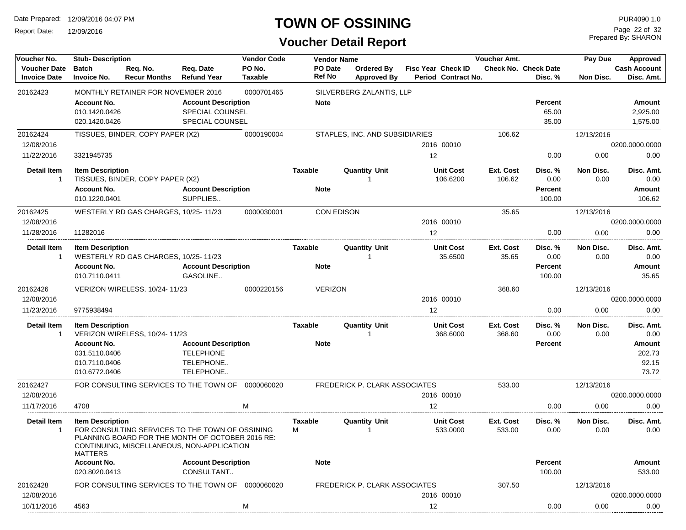Report Date: 12/09/2016

### **TOWN OF OSSINING**

Prepared By: SHARON Page 22 of 32

| Voucher No.                                | <b>Stub- Description</b>                             |                                                                                                                                                   |                                                                         | <b>Vendor Code</b>       |                          | <b>Vendor Name</b>               |                                                  | Voucher Amt.        |                                        | Pay Due           | Approved                          |
|--------------------------------------------|------------------------------------------------------|---------------------------------------------------------------------------------------------------------------------------------------------------|-------------------------------------------------------------------------|--------------------------|--------------------------|----------------------------------|--------------------------------------------------|---------------------|----------------------------------------|-------------------|-----------------------------------|
| <b>Voucher Date</b><br><b>Invoice Date</b> | <b>Batch</b><br><b>Invoice No.</b>                   | Req. No.<br><b>Recur Months</b>                                                                                                                   | Req. Date<br><b>Refund Year</b>                                         | PO No.<br><b>Taxable</b> | <b>PO</b> Date<br>Ref No | Ordered By<br><b>Approved By</b> | <b>Fisc Year Check ID</b><br>Period Contract No. |                     | <b>Check No. Check Date</b><br>Disc. % | Non Disc.         | <b>Cash Account</b><br>Disc. Amt. |
| 20162423                                   |                                                      | MONTHLY RETAINER FOR NOVEMBER 2016                                                                                                                |                                                                         | 0000701465               |                          | SILVERBERG ZALANTIS, LLP         |                                                  |                     |                                        |                   |                                   |
|                                            | <b>Account No.</b><br>010.1420.0426<br>020.1420.0426 |                                                                                                                                                   | <b>Account Description</b><br>SPECIAL COUNSEL<br><b>SPECIAL COUNSEL</b> |                          | <b>Note</b>              |                                  |                                                  |                     | Percent<br>65.00<br>35.00              |                   | Amount<br>2,925.00<br>1,575.00    |
| 20162424                                   |                                                      | TISSUES, BINDER, COPY PAPER (X2)                                                                                                                  |                                                                         | 0000190004               |                          | STAPLES, INC. AND SUBSIDIARIES   |                                                  | 106.62              |                                        | 12/13/2016        |                                   |
| 12/08/2016                                 |                                                      |                                                                                                                                                   |                                                                         |                          |                          |                                  | 2016 00010                                       |                     |                                        |                   | 0200.0000.0000                    |
| 11/22/2016                                 | 3321945735                                           |                                                                                                                                                   |                                                                         |                          |                          |                                  | 12                                               |                     | 0.00                                   | 0.00              | 0.00                              |
| Detail Item<br>$\overline{1}$              | <b>Item Description</b>                              | TISSUES, BINDER, COPY PAPER (X2)                                                                                                                  |                                                                         |                          | Taxable                  | <b>Quantity Unit</b>             | <b>Unit Cost</b><br>106.6200                     | Ext. Cost<br>106.62 | Disc. %<br>0.00                        | Non Disc.<br>0.00 | Disc. Amt.<br>0.00                |
|                                            | <b>Account No.</b><br>010.1220.0401                  |                                                                                                                                                   | <b>Account Description</b><br>SUPPLIES                                  |                          | <b>Note</b>              |                                  |                                                  |                     | Percent<br>100.00                      |                   | Amount<br>106.62                  |
| 20162425                                   |                                                      | WESTERLY RD GAS CHARGES, 10/25-11/23                                                                                                              |                                                                         | 0000030001               |                          | CON EDISON                       |                                                  | 35.65               |                                        | 12/13/2016        |                                   |
| 12/08/2016                                 |                                                      |                                                                                                                                                   |                                                                         |                          |                          |                                  | 2016 00010                                       |                     |                                        |                   | 0200.0000.0000                    |
| 11/28/2016                                 | 11282016                                             |                                                                                                                                                   |                                                                         |                          |                          |                                  | 12                                               |                     | 0.00                                   | 0.00              | 0.00                              |
| Detail Item<br>-1                          | <b>Item Description</b>                              | WESTERLY RD GAS CHARGES, 10/25-11/23                                                                                                              |                                                                         |                          | Taxable                  | <b>Quantity Unit</b><br>1        | <b>Unit Cost</b><br>35.6500                      | Ext. Cost<br>35.65  | Disc. %<br>0.00                        | Non Disc.<br>0.00 | Disc. Amt.<br>0.00                |
|                                            | <b>Account No.</b><br>010.7110.0411                  |                                                                                                                                                   | <b>Account Description</b><br>GASOLINE                                  |                          | <b>Note</b>              |                                  |                                                  |                     | Percent<br>100.00                      |                   | Amount<br>35.65                   |
| 20162426                                   |                                                      | VERIZON WIRELESS, 10/24-11/23                                                                                                                     |                                                                         | 0000220156               | <b>VERIZON</b>           |                                  |                                                  | 368.60              |                                        | 12/13/2016        |                                   |
| 12/08/2016                                 |                                                      |                                                                                                                                                   |                                                                         |                          |                          |                                  | 2016 00010                                       |                     |                                        |                   | 0200.0000.0000                    |
| 11/23/2016                                 | 9775938494                                           |                                                                                                                                                   |                                                                         |                          |                          |                                  | 12                                               |                     | 0.00                                   | 0.00              | 0.00                              |
| <b>Detail Item</b><br>$\overline{1}$       | <b>Item Description</b>                              | VERIZON WIRELESS, 10/24-11/23                                                                                                                     |                                                                         |                          | Taxable                  | <b>Quantity Unit</b>             | <b>Unit Cost</b><br>368.6000                     | Ext. Cost<br>368.60 | Disc. %<br>0.00                        | Non Disc.<br>0.00 | Disc. Amt.<br>0.00                |
|                                            | <b>Account No.</b>                                   |                                                                                                                                                   | <b>Account Description</b>                                              |                          | <b>Note</b>              |                                  |                                                  |                     | <b>Percent</b>                         |                   | Amount                            |
|                                            | 031.5110.0406                                        |                                                                                                                                                   | <b>TELEPHONE</b>                                                        |                          |                          |                                  |                                                  |                     |                                        |                   | 202.73                            |
|                                            | 010.7110.0406                                        |                                                                                                                                                   | TELEPHONE                                                               |                          |                          |                                  |                                                  |                     |                                        |                   | 92.15                             |
|                                            | 010.6772.0406                                        |                                                                                                                                                   | TELEPHONE                                                               |                          |                          |                                  |                                                  |                     |                                        |                   | 73.72                             |
| 20162427                                   |                                                      | FOR CONSULTING SERVICES TO THE TOWN OF                                                                                                            |                                                                         | 0000060020               |                          | FREDERICK P. CLARK ASSOCIATES    |                                                  | 533.00              |                                        | 12/13/2016        |                                   |
| 12/08/2016                                 |                                                      |                                                                                                                                                   |                                                                         |                          |                          |                                  | 2016 00010                                       |                     |                                        |                   | 0200.0000.0000                    |
| 11/17/2016                                 | 4708                                                 |                                                                                                                                                   |                                                                         | м                        |                          |                                  | 12                                               |                     | 0.00                                   | 0.00              | 0.00                              |
| Detail Item<br>-1                          | <b>Item Description</b><br><b>MATTERS</b>            | FOR CONSULTING SERVICES TO THE TOWN OF OSSINING<br>PLANNING BOARD FOR THE MONTH OF OCTOBER 2016 RE:<br>CONTINUING, MISCELLANEOUS, NON-APPLICATION |                                                                         |                          | Taxable<br>М             | <b>Quantity Unit</b>             | <b>Unit Cost</b><br>533.0000                     | Ext. Cost<br>533.00 | Disc. %<br>0.00                        | Non Disc.<br>0.00 | Disc. Amt.<br>0.00                |
|                                            | <b>Account No.</b><br>020.8020.0413                  |                                                                                                                                                   | <b>Account Description</b><br>CONSULTANT                                |                          | <b>Note</b>              |                                  |                                                  |                     | <b>Percent</b><br>100.00               |                   | Amount<br>533.00                  |
| 20162428                                   |                                                      | FOR CONSULTING SERVICES TO THE TOWN OF 0000060020                                                                                                 |                                                                         |                          |                          | FREDERICK P. CLARK ASSOCIATES    |                                                  | 307.50              |                                        | 12/13/2016        |                                   |
| 12/08/2016                                 |                                                      |                                                                                                                                                   |                                                                         |                          |                          |                                  | 2016 00010                                       |                     |                                        |                   | 0200.0000.0000                    |
| 10/11/2016                                 | 4563                                                 |                                                                                                                                                   |                                                                         | M                        |                          |                                  | 12                                               |                     | 0.00                                   | 0.00              | 0.00                              |
|                                            |                                                      |                                                                                                                                                   |                                                                         |                          |                          |                                  |                                                  |                     |                                        |                   |                                   |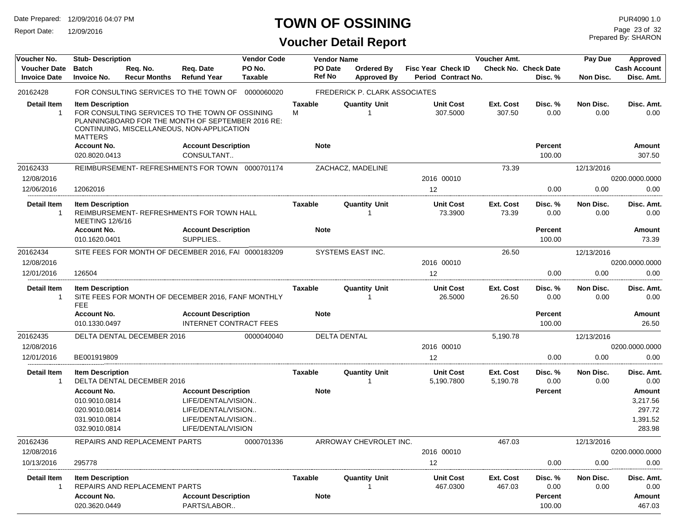Report Date: 12/09/2016

# **TOWN OF OSSINING**

**Voucher Detail Report**

Prepared By: SHARON Page 23 of 32

| Voucher No.                                | <b>Stub-Description</b>                                                                |                                 | <b>Vendor Code</b>                                                                                                                                 | <b>Vendor Name</b>       |                          |                                         | Voucher Amt.                              |                       | Pay Due                                | Approved          |                                                           |
|--------------------------------------------|----------------------------------------------------------------------------------------|---------------------------------|----------------------------------------------------------------------------------------------------------------------------------------------------|--------------------------|--------------------------|-----------------------------------------|-------------------------------------------|-----------------------|----------------------------------------|-------------------|-----------------------------------------------------------|
| <b>Voucher Date</b><br><b>Invoice Date</b> | <b>Batch</b><br><b>Invoice No.</b>                                                     | Req. No.<br><b>Recur Months</b> | Reg. Date<br><b>Refund Year</b>                                                                                                                    | PO No.<br><b>Taxable</b> | PO Date<br><b>Ref No</b> | <b>Ordered By</b><br><b>Approved By</b> | Fisc Year Check ID<br>Period Contract No. |                       | <b>Check No. Check Date</b><br>Disc. % | Non Disc.         | <b>Cash Account</b><br>Disc. Amt.                         |
| 20162428                                   |                                                                                        |                                 | FOR CONSULTING SERVICES TO THE TOWN OF 0000060020                                                                                                  |                          |                          | FREDERICK P. CLARK ASSOCIATES           |                                           |                       |                                        |                   |                                                           |
| <b>Detail Item</b><br>$\mathbf 1$          | <b>Item Description</b><br><b>MATTERS</b>                                              |                                 | FOR CONSULTING SERVICES TO THE TOWN OF OSSINING<br>PLANNINGBOARD FOR THE MONTH OF SEPTEMBER 2016 RE:<br>CONTINUING, MISCELLANEOUS, NON-APPLICATION |                          | <b>Taxable</b><br>м      | <b>Quantity Unit</b><br>-1              | <b>Unit Cost</b><br>307.5000              | Ext. Cost<br>307.50   | Disc. %<br>0.00                        | Non Disc.<br>0.00 | Disc. Amt.<br>0.00                                        |
|                                            | <b>Account No.</b><br>020.8020.0413                                                    |                                 | <b>Account Description</b><br>CONSULTANT                                                                                                           |                          | <b>Note</b>              |                                         |                                           |                       | <b>Percent</b><br>100.00               |                   | Amount<br>307.50                                          |
| 20162433                                   |                                                                                        |                                 | REIMBURSEMENT- REFRESHMENTS FOR TOWN 0000701174                                                                                                    |                          |                          | ZACHACZ, MADELINE                       |                                           | 73.39                 |                                        | 12/13/2016        |                                                           |
| 12/08/2016                                 |                                                                                        |                                 |                                                                                                                                                    |                          |                          |                                         | 2016 00010                                |                       |                                        |                   | 0200.0000.0000                                            |
| 12/06/2016                                 | 12062016                                                                               |                                 |                                                                                                                                                    |                          |                          |                                         | 12                                        |                       | 0.00                                   | 0.00              | 0.00                                                      |
| <b>Detail Item</b><br>-1                   | <b>Item Description</b><br><b>MEETING 12/6/16</b>                                      |                                 | REIMBURSEMENT- REFRESHMENTS FOR TOWN HALL                                                                                                          |                          | Taxable                  | <b>Quantity Unit</b>                    | <b>Unit Cost</b><br>73.3900               | Ext. Cost<br>73.39    | Disc. %<br>0.00                        | Non Disc.<br>0.00 | Disc. Amt.<br>0.00                                        |
|                                            | <b>Account No.</b><br>010.1620.0401                                                    |                                 | <b>Account Description</b><br>SUPPLIES                                                                                                             |                          | <b>Note</b>              |                                         |                                           |                       | Percent<br>100.00                      |                   | <b>Amount</b><br>73.39                                    |
| 20162434                                   |                                                                                        |                                 | SITE FEES FOR MONTH OF DECEMBER 2016, FAI 0000183209                                                                                               |                          |                          | SYSTEMS EAST INC.                       |                                           | 26.50                 |                                        | 12/13/2016        |                                                           |
| 12/08/2016                                 |                                                                                        |                                 |                                                                                                                                                    |                          |                          |                                         | 2016 00010                                |                       |                                        |                   | 0200.0000.0000                                            |
| 12/01/2016                                 | 126504                                                                                 |                                 |                                                                                                                                                    |                          |                          |                                         | 12                                        |                       | 0.00                                   | 0.00              | 0.00                                                      |
| Detail Item<br>$\mathbf 1$                 | <b>Item Description</b><br><b>FEE</b>                                                  |                                 | SITE FEES FOR MONTH OF DECEMBER 2016, FANF MONTHLY                                                                                                 |                          | Taxable                  | <b>Quantity Unit</b><br>-1              | <b>Unit Cost</b><br>26.5000               | Ext. Cost<br>26.50    | Disc. %<br>0.00                        | Non Disc.<br>0.00 | Disc. Amt.<br>0.00                                        |
|                                            | <b>Account No.</b><br>010.1330.0497                                                    |                                 | <b>Account Description</b><br><b>INTERNET CONTRACT FEES</b>                                                                                        |                          | <b>Note</b>              |                                         |                                           |                       | <b>Percent</b><br>100.00               |                   | Amount<br>26.50                                           |
| 20162435                                   |                                                                                        | DELTA DENTAL DECEMBER 2016      |                                                                                                                                                    | 0000040040               |                          | <b>DELTA DENTAL</b>                     |                                           | 5,190.78              |                                        | 12/13/2016        |                                                           |
| 12/08/2016                                 |                                                                                        |                                 |                                                                                                                                                    |                          |                          |                                         | 2016 00010                                |                       |                                        |                   | 0200.0000.0000                                            |
| 12/01/2016                                 | BE001919809                                                                            |                                 |                                                                                                                                                    |                          |                          |                                         | 12                                        |                       | 0.00                                   | 0.00              | 0.00                                                      |
| <b>Detail Item</b><br>$\overline{1}$       | <b>Item Description</b>                                                                | DELTA DENTAL DECEMBER 2016      |                                                                                                                                                    |                          | <b>Taxable</b>           | <b>Quantity Unit</b><br>-1              | <b>Unit Cost</b><br>5,190.7800            | Ext. Cost<br>5,190.78 | Disc. %<br>0.00                        | Non Disc.<br>0.00 | Disc. Amt.<br>0.00                                        |
|                                            | <b>Account No.</b><br>010.9010.0814<br>020.9010.0814<br>031.9010.0814<br>032.9010.0814 |                                 | <b>Account Description</b><br>LIFE/DENTAL/VISION<br>LIFE/DENTAL/VISION<br>LIFE/DENTAL/VISION<br>LIFE/DENTAL/VISION                                 |                          | <b>Note</b>              |                                         |                                           |                       | Percent                                |                   | <b>Amount</b><br>3,217.56<br>297.72<br>1,391.52<br>283.98 |
| 20162436                                   |                                                                                        | REPAIRS AND REPLACEMENT PARTS   |                                                                                                                                                    | 0000701336               |                          | ARROWAY CHEVROLET INC.                  |                                           | 467.03                |                                        | 12/13/2016        |                                                           |
| 12/08/2016                                 |                                                                                        |                                 |                                                                                                                                                    |                          |                          |                                         | 2016 00010                                |                       |                                        |                   | 0200.0000.0000                                            |
| 10/13/2016                                 | 295778                                                                                 |                                 |                                                                                                                                                    |                          |                          |                                         | 12                                        |                       | 0.00                                   | 0.00              | 0.00                                                      |
| Detail Item<br>-1                          | <b>Item Description</b>                                                                | REPAIRS AND REPLACEMENT PARTS   |                                                                                                                                                    |                          | Taxable                  | <b>Quantity Unit</b>                    | Unit Cost<br>467.0300                     | Ext. Cost<br>467.03   | Disc. %<br>0.00                        | Non Disc.<br>0.00 | Disc. Amt.<br>0.00                                        |
|                                            | <b>Account No.</b><br>020.3620.0449                                                    |                                 | <b>Account Description</b><br>PARTS/LABOR                                                                                                          |                          | <b>Note</b>              |                                         |                                           |                       | Percent<br>100.00                      |                   | Amount<br>467.03                                          |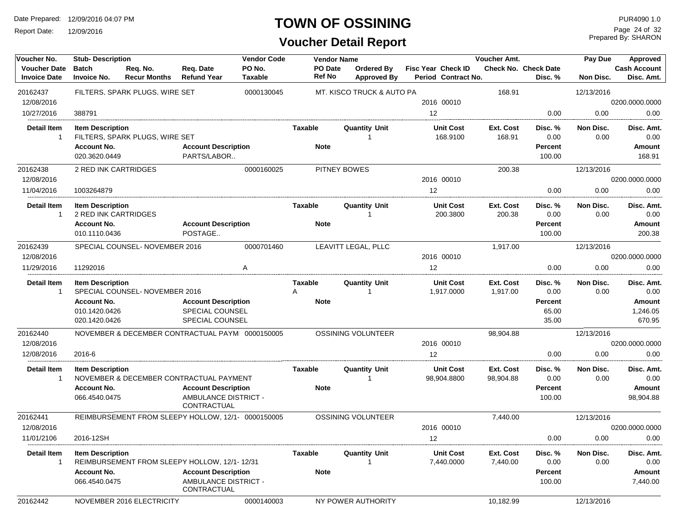Report Date: 12/09/2016

### **TOWN OF OSSINING**

**Voucher Detail Report**

Prepared By: SHARON Page 24 of 32

| Voucher No.                                | <b>Stub-Description</b>                          |                                                                            |                                            | <b>Vendor Code</b> |                          | <b>Vendor Name</b>               |                                           | <b>Voucher Amt.</b>   |                                        | Pay Due           | Approved                          |
|--------------------------------------------|--------------------------------------------------|----------------------------------------------------------------------------|--------------------------------------------|--------------------|--------------------------|----------------------------------|-------------------------------------------|-----------------------|----------------------------------------|-------------------|-----------------------------------|
| <b>Voucher Date</b><br><b>Invoice Date</b> | <b>Batch</b><br><b>Invoice No.</b>               | Req. No.<br><b>Recur Months</b>                                            | Req. Date<br><b>Refund Year</b>            | PO No.<br>Taxable  | PO Date<br><b>Ref No</b> | Ordered By<br><b>Approved By</b> | Fisc Year Check ID<br>Period Contract No. |                       | <b>Check No. Check Date</b><br>Disc. % | Non Disc.         | <b>Cash Account</b><br>Disc. Amt. |
| 20162437                                   |                                                  | FILTERS, SPARK PLUGS, WIRE SET                                             |                                            | 0000130045         |                          | MT. KISCO TRUCK & AUTO PA        |                                           | 168.91                |                                        | 12/13/2016        |                                   |
| 12/08/2016                                 |                                                  |                                                                            |                                            |                    |                          |                                  | 2016 00010                                |                       |                                        |                   | 0200.0000.0000                    |
| 10/27/2016                                 | 388791                                           |                                                                            |                                            |                    |                          |                                  | 12                                        |                       | 0.00                                   | 0.00              | 0.00                              |
| <b>Detail Item</b><br>-1                   | <b>Item Description</b>                          | FILTERS, SPARK PLUGS, WIRE SET                                             |                                            |                    | Taxable                  | <b>Quantity Unit</b>             | <b>Unit Cost</b><br>168.9100              | Ext. Cost<br>168.91   | Disc. %<br>0.00                        | Non Disc.<br>0.00 | Disc. Amt.<br>0.00                |
|                                            | <b>Account No.</b><br>020.3620.0449              |                                                                            | <b>Account Description</b><br>PARTS/LABOR  |                    | <b>Note</b>              |                                  |                                           |                       | Percent<br>100.00                      |                   | Amount<br>168.91                  |
| 20162438<br>12/08/2016                     | 2 RED INK CARTRIDGES                             |                                                                            |                                            | 0000160025         |                          | <b>PITNEY BOWES</b>              | 2016 00010                                | 200.38                |                                        | 12/13/2016        | 0200.0000.0000                    |
| 11/04/2016                                 | 1003264879                                       |                                                                            |                                            |                    |                          |                                  | 12                                        |                       | 0.00                                   | 0.00              | 0.00                              |
| <b>Detail Item</b><br>$\mathbf{1}$         | <b>Item Description</b><br>2 RED INK CARTRIDGES  |                                                                            |                                            |                    | Taxable                  | <b>Quantity Unit</b>             | <b>Unit Cost</b><br>200.3800              | Ext. Cost<br>200.38   | Disc. %<br>0.00                        | Non Disc.<br>0.00 | Disc. Amt.<br>0.00                |
|                                            | <b>Account No.</b><br>010.1110.0436              |                                                                            | <b>Account Description</b><br>POSTAGE      |                    | <b>Note</b>              |                                  |                                           |                       | Percent<br>100.00                      |                   | Amount<br>200.38                  |
| 20162439                                   |                                                  | SPECIAL COUNSEL-NOVEMBER 2016                                              |                                            | 0000701460         |                          | LEAVITT LEGAL, PLLC              |                                           | 1,917.00              |                                        | 12/13/2016        |                                   |
| 12/08/2016                                 |                                                  |                                                                            |                                            |                    |                          |                                  | 2016 00010                                |                       |                                        |                   | 0200.0000.0000                    |
| 11/29/2016                                 | 11292016                                         |                                                                            |                                            | A                  |                          |                                  | 12                                        |                       | 0.00                                   | 0.00              | 0.00                              |
| <b>Detail Item</b><br>$\mathbf 1$          | <b>Item Description</b>                          | SPECIAL COUNSEL- NOVEMBER 2016                                             |                                            |                    | <b>Taxable</b><br>Α      | <b>Quantity Unit</b>             | <b>Unit Cost</b><br>1,917.0000            | Ext. Cost<br>1,917.00 | Disc. %<br>0.00                        | Non Disc.<br>0.00 | Disc. Amt.<br>0.00                |
|                                            | <b>Account No.</b><br><b>Account Description</b> |                                                                            |                                            |                    | <b>Note</b>              |                                  |                                           |                       | Percent                                |                   | Amount                            |
|                                            | 010.1420.0426                                    |                                                                            | SPECIAL COUNSEL                            |                    |                          |                                  |                                           |                       | 65.00                                  |                   | 1,246.05                          |
|                                            | 020.1420.0426                                    |                                                                            | SPECIAL COUNSEL                            |                    |                          |                                  |                                           |                       | 35.00                                  |                   | 670.95                            |
| 20162440                                   |                                                  | NOVEMBER & DECEMBER CONTRACTUAL PAYM 0000150005                            |                                            |                    |                          | OSSINING VOLUNTEER               |                                           | 98,904.88             |                                        | 12/13/2016        |                                   |
| 12/08/2016                                 |                                                  |                                                                            |                                            |                    |                          |                                  | 2016 00010                                |                       |                                        |                   | 0200.0000.0000                    |
| 12/08/2016                                 | 2016-6                                           |                                                                            |                                            |                    |                          |                                  | 12                                        |                       | 0.00                                   | 0.00              | 0.00                              |
| <b>Detail Item</b><br>-1                   | <b>Item Description</b>                          |                                                                            |                                            |                    | Taxable                  | <b>Quantity Unit</b>             | <b>Unit Cost</b>                          | Ext. Cost             | Disc. %                                | Non Disc.         | Disc. Amt.                        |
|                                            | <b>Account No.</b>                               | NOVEMBER & DECEMBER CONTRACTUAL PAYMENT                                    | <b>Account Description</b>                 |                    | <b>Note</b>              |                                  | 98,904.8800                               | 98,904.88             | 0.00<br><b>Percent</b>                 | 0.00              | 0.00<br>Amount                    |
|                                            | 066.4540.0475                                    |                                                                            | AMBULANCE DISTRICT -<br>CONTRACTUAL        |                    |                          |                                  |                                           |                       | 100.00                                 |                   | 98,904.88                         |
| 20162441                                   |                                                  | REIMBURSEMENT FROM SLEEPY HOLLOW, 12/1- 0000150005                         |                                            |                    |                          | OSSINING VOLUNTEER               |                                           | 7,440.00              |                                        | 12/13/2016        |                                   |
| 12/08/2016                                 |                                                  |                                                                            |                                            |                    |                          |                                  | 2016 00010                                |                       |                                        |                   | 0200.0000.0000                    |
| 11/01/2106                                 | 2016-12SH                                        |                                                                            |                                            |                    |                          |                                  | 12                                        |                       | 0.00                                   | 0.00              | 0.00                              |
| Detail Item<br>$\mathbf{1}$                | <b>Item Description</b>                          |                                                                            |                                            |                    | Taxable                  | <b>Quantity Unit</b>             | <b>Unit Cost</b><br>7,440.0000            | Ext. Cost<br>7,440.00 | Disc. %<br>0.00                        | Non Disc.<br>0.00 | Disc. Amt.<br>0.00                |
|                                            | <b>Account No.</b>                               | REIMBURSEMENT FROM SLEEPY HOLLOW, 12/1-12/31<br><b>Account Description</b> |                                            |                    | <b>Note</b>              |                                  |                                           |                       | Percent                                |                   | Amount                            |
|                                            | 066.4540.0475                                    |                                                                            | <b>AMBULANCE DISTRICT -</b><br>CONTRACTUAL |                    |                          |                                  |                                           |                       | 100.00                                 |                   | 7,440.00                          |
| 20162442                                   |                                                  | NOVEMBER 2016 ELECTRICITY                                                  |                                            | 0000140003         |                          | NY POWER AUTHORITY               |                                           | 10,182.99             |                                        | 12/13/2016        |                                   |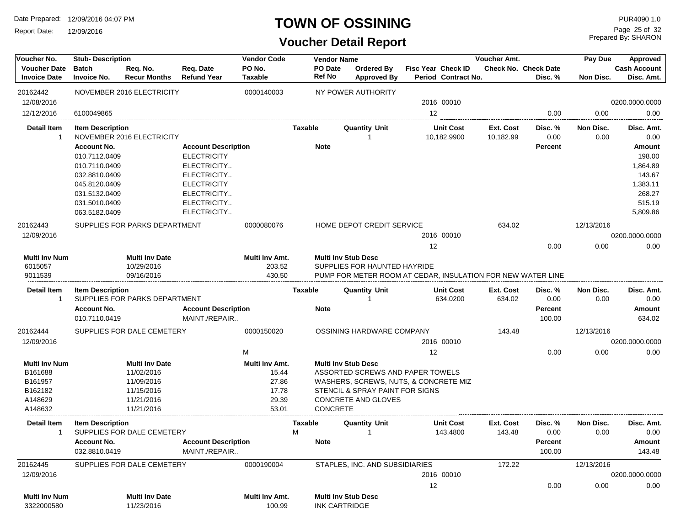Report Date: 12/09/2016

### **TOWN OF OSSINING**

**Voucher Detail Report**

Prepared By: SHARON Page 25 of 32

| Voucher No.                                | <b>Stub-Description</b>             |                                     |                                             | <b>Vendor Code</b>              | <b>Vendor Name</b> |                          |                                         |                                                             | Pay Due                | Approved                               |                   |                                   |
|--------------------------------------------|-------------------------------------|-------------------------------------|---------------------------------------------|---------------------------------|--------------------|--------------------------|-----------------------------------------|-------------------------------------------------------------|------------------------|----------------------------------------|-------------------|-----------------------------------|
| <b>Voucher Date</b><br><b>Invoice Date</b> | <b>Batch</b><br><b>Invoice No.</b>  | Req. No.<br><b>Recur Months</b>     | Req. Date<br><b>Refund Year</b>             | PO No.<br><b>Taxable</b>        |                    | PO Date<br><b>Ref No</b> | <b>Ordered By</b><br><b>Approved By</b> | <b>Fisc Year Check ID</b><br>Period Contract No.            |                        | <b>Check No. Check Date</b><br>Disc. % | Non Disc.         | <b>Cash Account</b><br>Disc. Amt. |
| 20162442                                   |                                     | NOVEMBER 2016 ELECTRICITY           |                                             | 0000140003                      |                    |                          | NY POWER AUTHORITY                      |                                                             |                        |                                        |                   |                                   |
| 12/08/2016                                 |                                     |                                     |                                             |                                 |                    |                          |                                         | 2016 00010                                                  |                        |                                        |                   | 0200.0000.0000                    |
| 12/12/2016                                 | 6100049865                          |                                     |                                             |                                 |                    |                          |                                         | 12                                                          |                        | 0.00                                   | 0.00              | 0.00                              |
| <b>Detail Item</b><br>$\overline{1}$       | <b>Item Description</b>             | NOVEMBER 2016 ELECTRICITY           |                                             |                                 | Taxable            |                          | <b>Quantity Unit</b><br>1               | <b>Unit Cost</b><br>10,182.9900                             | Ext. Cost<br>10,182.99 | Disc. %<br>0.00                        | Non Disc.<br>0.00 | Disc. Amt.<br>0.00                |
|                                            | <b>Account No.</b>                  |                                     | <b>Account Description</b>                  |                                 |                    | <b>Note</b>              |                                         |                                                             |                        | <b>Percent</b>                         |                   | Amount                            |
|                                            | 010.7112.0409                       |                                     | <b>ELECTRICITY</b>                          |                                 |                    |                          |                                         |                                                             |                        |                                        |                   | 198.00                            |
|                                            | 010.7110.0409                       |                                     | ELECTRICITY                                 |                                 |                    |                          |                                         |                                                             |                        |                                        |                   | 1,864.89                          |
|                                            | 032.8810.0409                       |                                     | ELECTRICITY                                 |                                 |                    |                          |                                         |                                                             |                        |                                        |                   | 143.67                            |
|                                            | 045.8120.0409                       |                                     | <b>ELECTRICITY</b>                          |                                 |                    |                          |                                         |                                                             |                        |                                        |                   | 1,383.11                          |
|                                            | 031.5132.0409                       |                                     | ELECTRICITY                                 |                                 |                    |                          |                                         |                                                             |                        |                                        |                   | 268.27                            |
|                                            | 031.5010.0409                       |                                     | ELECTRICITY                                 |                                 |                    |                          |                                         |                                                             |                        |                                        |                   | 515.19                            |
|                                            | 063.5182.0409                       |                                     | ELECTRICITY                                 |                                 |                    |                          |                                         |                                                             |                        |                                        |                   | 5,809.86                          |
| 20162443                                   |                                     | SUPPLIES FOR PARKS DEPARTMENT       |                                             | 0000080076                      |                    |                          | HOME DEPOT CREDIT SERVICE               |                                                             | 634.02                 |                                        | 12/13/2016        |                                   |
| 12/09/2016                                 |                                     |                                     |                                             |                                 |                    |                          |                                         | 2016 00010                                                  |                        |                                        |                   | 0200.0000.0000                    |
|                                            |                                     |                                     |                                             |                                 |                    |                          |                                         | 12                                                          |                        | 0.00                                   | 0.00              | 0.00                              |
| <b>Multi Inv Num</b>                       |                                     | <b>Multi Inv Date</b>               |                                             | Multi Inv Amt.                  |                    |                          | <b>Multi Inv Stub Desc</b>              |                                                             |                        |                                        |                   |                                   |
| 6015057                                    |                                     | 10/29/2016                          |                                             | 203.52                          |                    |                          | SUPPLIES FOR HAUNTED HAYRIDE            |                                                             |                        |                                        |                   |                                   |
| 9011539                                    |                                     | 09/16/2016                          |                                             | 430.50                          |                    |                          |                                         | PUMP FOR METER ROOM AT CEDAR. INSULATION FOR NEW WATER LINE |                        |                                        |                   |                                   |
| Detail Item<br>$\mathbf{1}$                | <b>Item Description</b>             | SUPPLIES FOR PARKS DEPARTMENT       |                                             |                                 | Taxable            |                          | <b>Quantity Unit</b>                    | <b>Unit Cost</b><br>634.0200                                | Ext. Cost<br>634.02    | Disc. %<br>0.00                        | Non Disc.<br>0.00 | Disc. Amt.<br>0.00                |
|                                            | <b>Account No.</b><br>010.7110.0419 |                                     | <b>Account Description</b><br>MAINT./REPAIR |                                 |                    | <b>Note</b>              |                                         |                                                             |                        | <b>Percent</b><br>100.00               |                   | <b>Amount</b><br>634.02           |
| 20162444                                   |                                     | SUPPLIES FOR DALE CEMETERY          |                                             | 0000150020                      |                    |                          | OSSINING HARDWARE COMPANY               |                                                             | 143.48                 |                                        | 12/13/2016        |                                   |
| 12/09/2016                                 |                                     |                                     |                                             |                                 |                    |                          |                                         | 2016 00010                                                  |                        |                                        |                   | 0200.0000.0000                    |
|                                            |                                     |                                     |                                             | м                               |                    |                          |                                         | 12                                                          |                        | 0.00                                   | 0.00              | 0.00                              |
| <b>Multi Inv Num</b>                       |                                     | <b>Multi Inv Date</b>               |                                             | Multi Inv Amt.                  |                    |                          | <b>Multi Inv Stub Desc</b>              |                                                             |                        |                                        |                   |                                   |
| B161688                                    |                                     | 11/02/2016                          |                                             | 15.44                           |                    |                          |                                         | ASSORTED SCREWS AND PAPER TOWELS                            |                        |                                        |                   |                                   |
| B161957                                    |                                     | 11/09/2016                          |                                             | 27.86                           |                    |                          |                                         | WASHERS, SCREWS, NUTS, & CONCRETE MIZ                       |                        |                                        |                   |                                   |
| B162182                                    |                                     | 11/15/2016                          |                                             | 17.78                           |                    |                          | STENCIL & SPRAY PAINT FOR SIGNS         |                                                             |                        |                                        |                   |                                   |
| A148629                                    |                                     | 11/21/2016                          |                                             | 29.39                           |                    |                          | CONCRETE AND GLOVES                     |                                                             |                        |                                        |                   |                                   |
| A148632                                    |                                     | 11/21/2016                          |                                             | 53.01                           |                    | CONCRETE                 |                                         |                                                             |                        |                                        |                   |                                   |
| <b>Detail Item</b><br>$\overline{1}$       | <b>Item Description</b>             | SUPPLIES FOR DALE CEMETERY          |                                             |                                 | Taxable<br>м       |                          | <b>Quantity Unit</b><br>$\mathbf 1$     | <b>Unit Cost</b><br>143.4800                                | Ext. Cost<br>143.48    | Disc. %<br>0.00                        | Non Disc.<br>0.00 | Disc. Amt.<br>0.00                |
|                                            | <b>Account No.</b><br>032.8810.0419 |                                     | <b>Account Description</b><br>MAINT./REPAIR |                                 |                    | <b>Note</b>              |                                         |                                                             |                        | Percent<br>100.00                      |                   | Amount<br>143.48                  |
| 20162445                                   |                                     | SUPPLIES FOR DALE CEMETERY          |                                             | 0000190004                      |                    |                          | STAPLES, INC. AND SUBSIDIARIES          |                                                             | 172.22                 |                                        | 12/13/2016        |                                   |
| 12/09/2016                                 |                                     |                                     |                                             |                                 |                    |                          |                                         | 2016 00010                                                  |                        |                                        |                   | 0200.0000.0000                    |
|                                            |                                     |                                     |                                             |                                 |                    |                          |                                         | 12                                                          |                        | 0.00                                   | 0.00              | 0.00                              |
| <b>Multi Inv Num</b><br>3322000580         |                                     | <b>Multi Inv Date</b><br>11/23/2016 |                                             | <b>Multi Inv Amt.</b><br>100.99 |                    | <b>INK CARTRIDGE</b>     | <b>Multi Inv Stub Desc</b>              |                                                             |                        |                                        |                   |                                   |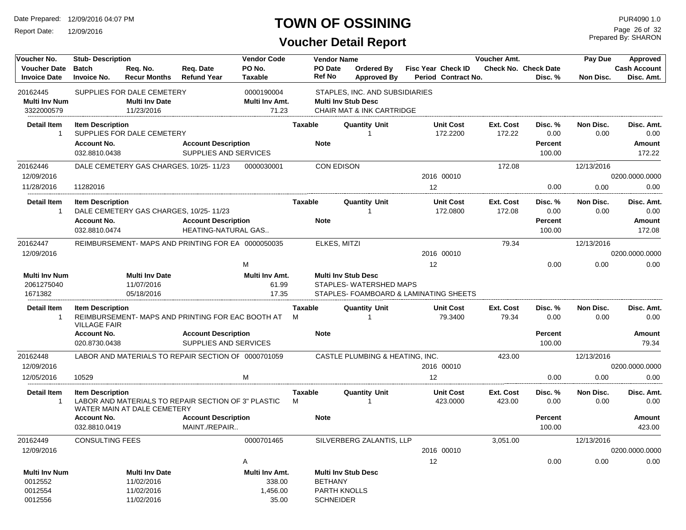Report Date: 12/09/2016

# **TOWN OF OSSINING**

Prepared By: SHARON Page 26 of 32

| Voucher No.                                           | <b>Stub-Description</b>                                        |                                                                   |                                                     | <b>Vendor Code</b>                            |              | <b>Vendor Name</b>                                        |                                                                                                      | Voucher Amt. |                                                  |                            |                                             | Pay Due<br>Approved |                                        |  |
|-------------------------------------------------------|----------------------------------------------------------------|-------------------------------------------------------------------|-----------------------------------------------------|-----------------------------------------------|--------------|-----------------------------------------------------------|------------------------------------------------------------------------------------------------------|--------------|--------------------------------------------------|----------------------------|---------------------------------------------|---------------------|----------------------------------------|--|
| <b>Voucher Date</b><br><b>Invoice Date</b>            | <b>Batch</b><br><b>Invoice No.</b>                             | Req. No.<br><b>Recur Months</b>                                   | Req. Date<br><b>Refund Year</b>                     | PO No.<br><b>Taxable</b>                      |              | PO Date<br><b>Ref No</b>                                  | <b>Ordered By</b><br><b>Approved By</b>                                                              |              | <b>Fisc Year Check ID</b><br>Period Contract No. |                            | Check No. Check Date<br>Disc. %             | Non Disc.           | <b>Cash Account</b><br>Disc. Amt.      |  |
| 20162445<br><b>Multi Inv Num</b><br>3322000579        |                                                                | SUPPLIES FOR DALE CEMETERY<br><b>Multi Inv Date</b><br>11/23/2016 |                                                     | 0000190004<br>Multi Inv Amt.<br>71.23         |              |                                                           | STAPLES, INC. AND SUBSIDIARIES<br><b>Multi Inv Stub Desc</b><br><b>CHAIR MAT &amp; INK CARTRIDGE</b> |              |                                                  |                            |                                             |                     |                                        |  |
| <b>Detail Item</b><br>$\overline{1}$                  | <b>Item Description</b>                                        | SUPPLIES FOR DALE CEMETERY                                        |                                                     |                                               | Taxable      |                                                           | <b>Quantity Unit</b><br>1                                                                            |              | <b>Unit Cost</b><br>172.2200                     | <b>Ext. Cost</b><br>172.22 | Disc. %<br>0.00                             | Non Disc.<br>0.00   | Disc. Amt.<br>0.00                     |  |
|                                                       | <b>Account No.</b><br>032.8810.0438                            |                                                                   | <b>Account Description</b><br>SUPPLIES AND SERVICES |                                               |              | <b>Note</b>                                               |                                                                                                      |              |                                                  |                            | Percent<br>100.00                           |                     | <b>Amount</b><br>172.22                |  |
| 20162446<br>12/09/2016                                |                                                                | DALE CEMETERY GAS CHARGES, 10/25-11/23                            |                                                     | 0000030001                                    |              | <b>CON EDISON</b>                                         |                                                                                                      |              | 2016 00010                                       | 172.08                     |                                             | 12/13/2016          | 0200.0000.0000                         |  |
| 11/28/2016                                            | 11282016                                                       |                                                                   |                                                     |                                               |              |                                                           |                                                                                                      | 12           |                                                  |                            | 0.00                                        | 0.00                | 0.00                                   |  |
| <b>Detail Item</b><br>$\overline{1}$                  | <b>Item Description</b><br><b>Account No.</b><br>032.8810.0474 | DALE CEMETERY GAS CHARGES, 10/25-11/23                            | <b>Account Description</b><br>HEATING-NATURAL GAS   |                                               | Taxable      | <b>Note</b>                                               | <b>Quantity Unit</b><br>1                                                                            |              | <b>Unit Cost</b><br>172.0800                     | <b>Ext. Cost</b><br>172.08 | Disc. %<br>0.00<br><b>Percent</b><br>100.00 | Non Disc.<br>0.00   | Disc. Amt.<br>0.00<br>Amount<br>172.08 |  |
| 20162447                                              |                                                                |                                                                   | REIMBURSEMENT-MAPS AND PRINTING FOR EA 0000050035   |                                               |              | ELKES, MITZI                                              |                                                                                                      |              |                                                  | 79.34                      |                                             | 12/13/2016          |                                        |  |
| 12/09/2016                                            |                                                                |                                                                   |                                                     |                                               |              |                                                           |                                                                                                      |              | 2016 00010                                       |                            |                                             |                     | 0200.0000.0000                         |  |
| <b>Multi Inv Num</b><br>2061275040<br>1671382         |                                                                | <b>Multi Inv Date</b><br>11/07/2016<br>05/18/2016                 |                                                     | M<br>Multi Inv Amt.<br>61.99<br>17.35         |              |                                                           | <b>Multi Inv Stub Desc</b><br>STAPLES-WATERSHED MAPS<br>STAPLES- FOAMBOARD & LAMINATING SHEETS       | 12           |                                                  |                            | 0.00                                        | 0.00                | 0.00                                   |  |
| <b>Detail Item</b><br>$\overline{\mathbf{1}}$         | <b>Item Description</b><br><b>VILLAGE FAIR</b>                 |                                                                   | REIMBURSEMENT- MAPS AND PRINTING FOR EAC BOOTH AT   |                                               | Taxable<br>M |                                                           | <b>Quantity Unit</b>                                                                                 |              | <b>Unit Cost</b><br>79.3400                      | Ext. Cost<br>79.34         | Disc. %<br>0.00                             | Non Disc.<br>0.00   | Disc. Amt.<br>0.00                     |  |
|                                                       | <b>Account No.</b><br>020.8730.0438                            |                                                                   | <b>Account Description</b><br>SUPPLIES AND SERVICES |                                               |              | <b>Note</b>                                               |                                                                                                      |              |                                                  |                            | Percent<br>100.00                           |                     | Amount<br>79.34                        |  |
| 20162448<br>12/09/2016                                |                                                                |                                                                   | LABOR AND MATERIALS TO REPAIR SECTION OF 0000701059 |                                               |              |                                                           | CASTLE PLUMBING & HEATING, INC.                                                                      |              | 2016 00010                                       | 423.00                     |                                             | 12/13/2016          | 0200.0000.0000                         |  |
| 12/05/2016                                            | 10529                                                          |                                                                   |                                                     | м                                             |              |                                                           |                                                                                                      |              | 12                                               |                            | 0.00                                        | 0.00                | 0.00                                   |  |
| <b>Detail Item</b><br>-1                              | <b>Item Description</b>                                        | WATER MAIN AT DALE CEMETERY                                       | LABOR AND MATERIALS TO REPAIR SECTION OF 3" PLASTIC |                                               | Taxable<br>M |                                                           | <b>Quantity Unit</b>                                                                                 |              | <b>Unit Cost</b><br>423.0000                     | <b>Ext. Cost</b><br>423.00 | Disc. %<br>0.00                             | Non Disc.<br>0.00   | Disc. Amt.<br>0.00                     |  |
|                                                       | <b>Account No.</b><br>032.8810.0419                            |                                                                   | <b>Account Description</b><br>MAINT./REPAIR         |                                               |              | <b>Note</b>                                               |                                                                                                      |              |                                                  |                            | Percent<br>100.00                           |                     | Amount<br>423.00                       |  |
| 20162449<br>12/09/2016                                | <b>CONSULTING FEES</b>                                         |                                                                   |                                                     | 0000701465                                    |              |                                                           | SILVERBERG ZALANTIS, LLP                                                                             |              | 2016 00010                                       | 3,051.00                   |                                             | 12/13/2016          | 0200.0000.0000                         |  |
|                                                       |                                                                |                                                                   |                                                     | A                                             |              |                                                           |                                                                                                      | 12           |                                                  |                            | 0.00                                        | 0.00                | 0.00                                   |  |
| <b>Multi Inv Num</b><br>0012552<br>0012554<br>0012556 |                                                                | <b>Multi Inv Date</b><br>11/02/2016<br>11/02/2016<br>11/02/2016   |                                                     | Multi Inv Amt.<br>338.00<br>1,456.00<br>35.00 |              | <b>BETHANY</b><br><b>PARTH KNOLLS</b><br><b>SCHNEIDER</b> | <b>Multi Inv Stub Desc</b>                                                                           |              |                                                  |                            |                                             |                     |                                        |  |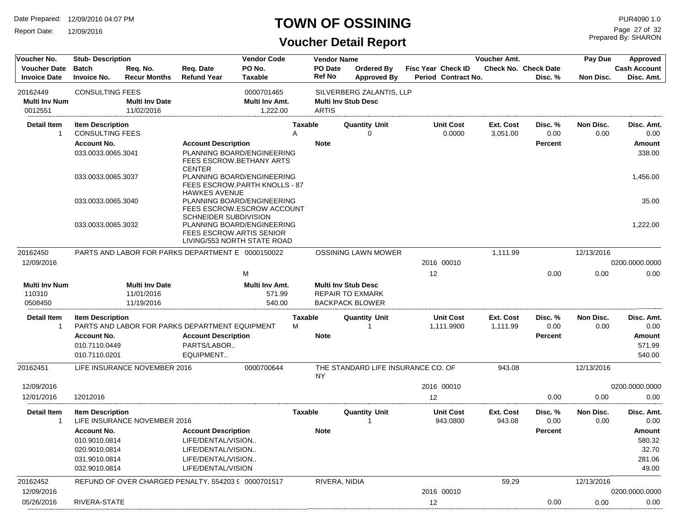Report Date: 12/09/2016

### **TOWN OF OSSINING**

Prepared By: SHARON Page 27 of 32

| Voucher No.                                | <b>Stub-Description</b>                           |                                                   |                                                     | <b>Vendor Code</b>                                                                    |              | <b>Vendor Name</b>       |                                                                                 |                                                  |        | Voucher Amt.                 |                                        | Pay Due           | Approved                          |  |
|--------------------------------------------|---------------------------------------------------|---------------------------------------------------|-----------------------------------------------------|---------------------------------------------------------------------------------------|--------------|--------------------------|---------------------------------------------------------------------------------|--------------------------------------------------|--------|------------------------------|----------------------------------------|-------------------|-----------------------------------|--|
| <b>Voucher Date</b><br><b>Invoice Date</b> | <b>Batch</b><br><b>Invoice No.</b>                | Reg. No.<br><b>Recur Months</b>                   | Req. Date<br><b>Refund Year</b>                     | PO No.<br><b>Taxable</b>                                                              |              | PO Date<br><b>Ref No</b> | Ordered By<br><b>Approved By</b>                                                | <b>Fisc Year Check ID</b><br>Period Contract No. |        |                              | <b>Check No. Check Date</b><br>Disc. % | Non Disc.         | <b>Cash Account</b><br>Disc. Amt. |  |
| 20162449                                   | <b>CONSULTING FEES</b>                            |                                                   |                                                     | 0000701465                                                                            |              |                          | SILVERBERG ZALANTIS, LLP                                                        |                                                  |        |                              |                                        |                   |                                   |  |
| <b>Multi Inv Num</b>                       |                                                   | <b>Multi Inv Date</b>                             |                                                     | Multi Inv Amt.                                                                        |              |                          | <b>Multi Inv Stub Desc</b>                                                      |                                                  |        |                              |                                        |                   |                                   |  |
| 0012551                                    |                                                   | 11/02/2016                                        |                                                     | 1.222.00                                                                              |              | <b>ARTIS</b>             |                                                                                 |                                                  |        |                              |                                        |                   |                                   |  |
| <b>Detail Item</b><br>-1                   | <b>Item Description</b><br><b>CONSULTING FEES</b> |                                                   |                                                     |                                                                                       | Taxable<br>Α |                          | <b>Quantity Unit</b><br>$\Omega$                                                | <b>Unit Cost</b>                                 | 0.0000 | <b>Ext. Cost</b><br>3,051.00 | Disc. %<br>0.00                        | Non Disc.<br>0.00 | Disc. Amt.<br>0.00                |  |
|                                            | <b>Account No.</b>                                |                                                   | <b>Account Description</b>                          |                                                                                       |              | <b>Note</b>              |                                                                                 |                                                  |        |                              | <b>Percent</b>                         |                   | Amount                            |  |
|                                            | 033.0033.0065.3041                                |                                                   | <b>CENTER</b>                                       | PLANNING BOARD/ENGINEERING<br>FEES ESCROW. BETHANY ARTS                               |              |                          |                                                                                 |                                                  |        |                              |                                        |                   | 338.00                            |  |
|                                            | 033.0033.0065.3037                                |                                                   | <b>HAWKES AVENUE</b>                                | PLANNING BOARD/ENGINEERING<br><b>FEES ESCROW.PARTH KNOLLS - 87</b>                    |              |                          |                                                                                 |                                                  |        |                              |                                        |                   | 1,456.00                          |  |
|                                            | 033.0033.0065.3040                                |                                                   | SCHNEIDER SUBDIVISION                               | PLANNING BOARD/ENGINEERING<br>FEES ESCROW.ESCROW ACCOUNT                              |              |                          |                                                                                 |                                                  |        |                              |                                        |                   | 35.00                             |  |
|                                            | 033.0033.0065.3032                                |                                                   |                                                     | PLANNING BOARD/ENGINEERING<br>FEES ESCROW.ARTIS SENIOR<br>LIVING/553 NORTH STATE ROAD |              |                          |                                                                                 |                                                  |        |                              |                                        |                   | 1,222.00                          |  |
| 20162450                                   |                                                   |                                                   | PARTS AND LABOR FOR PARKS DEPARTMENT E 0000150022   |                                                                                       |              |                          | <b>OSSINING LAWN MOWER</b>                                                      |                                                  |        | 1,111.99                     |                                        | 12/13/2016        |                                   |  |
| 12/09/2016                                 |                                                   |                                                   |                                                     |                                                                                       |              |                          |                                                                                 | 2016 00010                                       |        |                              |                                        |                   | 0200.0000.0000                    |  |
|                                            |                                                   |                                                   |                                                     | M                                                                                     |              |                          |                                                                                 | 12                                               |        |                              | 0.00                                   | 0.00              | 0.00                              |  |
| <b>Multi Inv Num</b><br>110310<br>0508450  |                                                   | <b>Multi Inv Date</b><br>11/01/2016<br>11/19/2016 |                                                     | Multi Inv Amt.<br>571.99<br>540.00                                                    |              |                          | <b>Multi Inv Stub Desc</b><br><b>REPAIR TO EXMARK</b><br><b>BACKPACK BLOWER</b> |                                                  |        |                              |                                        |                   |                                   |  |
| Detail Item                                | <b>Item Description</b>                           |                                                   |                                                     |                                                                                       | Taxable      |                          | <b>Quantity Unit</b>                                                            | <b>Unit Cost</b>                                 |        | Ext. Cost                    | Disc. %                                | Non Disc.         | Disc. Amt.                        |  |
| -1                                         |                                                   |                                                   | PARTS AND LABOR FOR PARKS DEPARTMENT EQUIPMENT      |                                                                                       | м            |                          |                                                                                 | 1,111.9900                                       |        | 1,111.99                     | 0.00                                   | 0.00              | 0.00                              |  |
|                                            | <b>Account No.</b>                                |                                                   | <b>Account Description</b>                          |                                                                                       |              | <b>Note</b>              |                                                                                 |                                                  |        |                              | <b>Percent</b>                         |                   | Amount                            |  |
|                                            | 010.7110.0449<br>010.7110.0201                    |                                                   | PARTS/LABOR<br>EQUIPMENT                            |                                                                                       |              |                          |                                                                                 |                                                  |        |                              |                                        |                   | 571.99<br>540.00                  |  |
| 20162451                                   |                                                   | LIFE INSURANCE NOVEMBER 2016                      |                                                     | 0000700644                                                                            |              | NY                       | THE STANDARD LIFE INSURANCE CO. OF                                              |                                                  |        | 943.08                       |                                        | 12/13/2016        |                                   |  |
| 12/09/2016                                 |                                                   |                                                   |                                                     |                                                                                       |              |                          |                                                                                 | 2016 00010                                       |        |                              |                                        |                   | 0200.0000.0000                    |  |
| 12/01/2016                                 | 12012016                                          |                                                   |                                                     |                                                                                       |              |                          |                                                                                 | 12                                               |        |                              | 0.00                                   | 0.00              | 0.00                              |  |
| <b>Detail Item</b><br>-1                   | <b>Item Description</b>                           | LIFE INSURANCE NOVEMBER 2016                      |                                                     |                                                                                       | Taxable      |                          | <b>Quantity Unit</b>                                                            | <b>Unit Cost</b><br>943.0800                     |        | Ext. Cost<br>943.08          | Disc. %<br>0.00                        | Non Disc.<br>0.00 | Disc. Amt.<br>0.00                |  |
|                                            | <b>Account No.</b>                                |                                                   | <b>Account Description</b>                          |                                                                                       |              | <b>Note</b>              |                                                                                 |                                                  |        |                              | <b>Percent</b>                         |                   | Amount                            |  |
|                                            | 010.9010.0814                                     |                                                   | LIFE/DENTAL/VISION                                  |                                                                                       |              |                          |                                                                                 |                                                  |        |                              |                                        |                   | 580.32                            |  |
|                                            | 020.9010.0814                                     |                                                   | LIFE/DENTAL/VISION                                  |                                                                                       |              |                          |                                                                                 |                                                  |        |                              |                                        |                   | 32.70                             |  |
|                                            | 031.9010.0814                                     |                                                   | LIFE/DENTAL/VISION.                                 |                                                                                       |              |                          |                                                                                 |                                                  |        |                              |                                        |                   | 281.06                            |  |
|                                            | 032.9010.0814                                     |                                                   | LIFE/DENTAL/VISION                                  |                                                                                       |              |                          |                                                                                 |                                                  |        |                              |                                        |                   | 49.00                             |  |
| 20162452                                   |                                                   |                                                   | REFUND OF OVER CHARGED PENALTY, 554203 9 0000701517 |                                                                                       |              | RIVERA, NIDIA            |                                                                                 |                                                  |        | 59.29                        |                                        | 12/13/2016        |                                   |  |
| 12/09/2016                                 |                                                   |                                                   |                                                     |                                                                                       |              |                          |                                                                                 | 2016 00010                                       |        |                              |                                        |                   | 0200.0000.0000                    |  |
| 05/26/2016                                 | RIVERA-STATE                                      |                                                   |                                                     |                                                                                       |              |                          |                                                                                 | 12                                               |        |                              | 0.00                                   | 0.00              | 0.00                              |  |
|                                            |                                                   |                                                   |                                                     |                                                                                       |              |                          |                                                                                 |                                                  |        |                              |                                        |                   |                                   |  |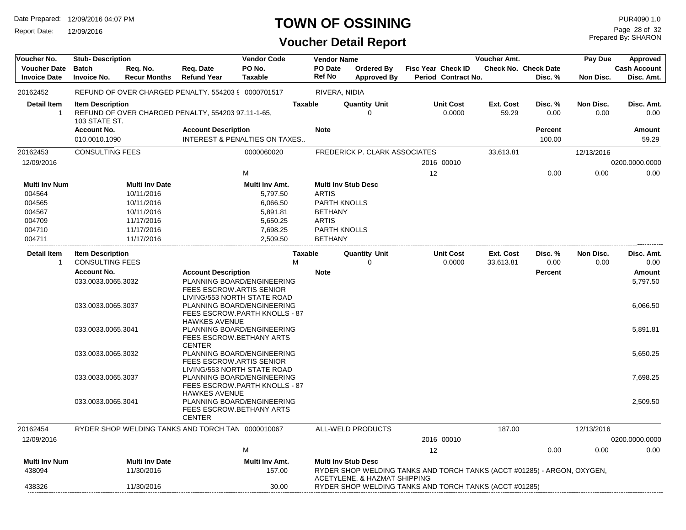Report Date: 12/09/2016

# **TOWN OF OSSINING**

**Voucher Detail Report**

Prepared By: SHARON Page 28 of 32

| Voucher No.                                | <b>Stub-Description</b>                           |                                 |                                                                   | <b>Vendor Code</b>                                                                         | <b>Vendor Name</b>       |                                         |                                                                         | Voucher Amt.           |                                        | Pay Due           | Approved                          |
|--------------------------------------------|---------------------------------------------------|---------------------------------|-------------------------------------------------------------------|--------------------------------------------------------------------------------------------|--------------------------|-----------------------------------------|-------------------------------------------------------------------------|------------------------|----------------------------------------|-------------------|-----------------------------------|
| <b>Voucher Date</b><br><b>Invoice Date</b> | <b>Batch</b><br><b>Invoice No.</b>                | Req. No.<br><b>Recur Months</b> | Req. Date<br><b>Refund Year</b>                                   | PO No.<br><b>Taxable</b>                                                                   | PO Date<br><b>Ref No</b> | <b>Ordered By</b><br><b>Approved By</b> | Fisc Year Check ID<br>Period Contract No.                               |                        | <b>Check No. Check Date</b><br>Disc. % | Non Disc.         | <b>Cash Account</b><br>Disc. Amt. |
| 20162452                                   |                                                   |                                 | REFUND OF OVER CHARGED PENALTY, 554203 9 0000701517               |                                                                                            | RIVERA, NIDIA            |                                         |                                                                         |                        |                                        |                   |                                   |
| <b>Detail Item</b><br>$\overline{1}$       | <b>Item Description</b><br>103 STATE ST.          |                                 | REFUND OF OVER CHARGED PENALTY, 554203 97.11-1-65,                |                                                                                            | <b>Taxable</b>           | <b>Quantity Unit</b><br>$\Omega$        | <b>Unit Cost</b><br>0.0000                                              | Ext. Cost<br>59.29     | Disc. %<br>0.00                        | Non Disc.<br>0.00 | Disc. Amt.<br>0.00                |
|                                            | <b>Account No.</b><br>010.0010.1090               |                                 | <b>Account Description</b>                                        | <b>INTEREST &amp; PENALTIES ON TAXES</b>                                                   | <b>Note</b>              |                                         |                                                                         |                        | <b>Percent</b><br>100.00               |                   | Amount<br>59.29                   |
| 20162453                                   | <b>CONSULTING FEES</b>                            |                                 |                                                                   | 0000060020                                                                                 |                          | FREDERICK P. CLARK ASSOCIATES           |                                                                         | 33,613.81              |                                        | 12/13/2016        |                                   |
| 12/09/2016                                 |                                                   |                                 |                                                                   |                                                                                            |                          |                                         | 2016 00010                                                              |                        |                                        |                   | 0200.0000.0000                    |
|                                            |                                                   |                                 |                                                                   | M                                                                                          |                          |                                         | 12                                                                      |                        | 0.00                                   | 0.00              | 0.00                              |
| <b>Multi Inv Num</b>                       |                                                   | <b>Multi Inv Date</b>           |                                                                   | Multi Inv Amt.                                                                             |                          | <b>Multi Inv Stub Desc</b>              |                                                                         |                        |                                        |                   |                                   |
| 004564                                     |                                                   | 10/11/2016                      |                                                                   | 5,797.50                                                                                   | <b>ARTIS</b>             |                                         |                                                                         |                        |                                        |                   |                                   |
| 004565                                     |                                                   | 10/11/2016                      |                                                                   | 6,066.50                                                                                   | PARTH KNOLLS             |                                         |                                                                         |                        |                                        |                   |                                   |
| 004567                                     |                                                   | 10/11/2016                      |                                                                   | 5,891.81                                                                                   | <b>BETHANY</b>           |                                         |                                                                         |                        |                                        |                   |                                   |
| 004709                                     |                                                   | 11/17/2016                      |                                                                   | 5,650.25                                                                                   | <b>ARTIS</b>             |                                         |                                                                         |                        |                                        |                   |                                   |
| 004710                                     |                                                   | 11/17/2016                      |                                                                   | 7,698.25                                                                                   | PARTH KNOLLS             |                                         |                                                                         |                        |                                        |                   |                                   |
| 004711                                     |                                                   | 11/17/2016                      |                                                                   | 2,509.50                                                                                   | <b>BETHANY</b>           |                                         |                                                                         |                        |                                        |                   |                                   |
| <b>Detail Item</b><br>$\overline{1}$       | <b>Item Description</b><br><b>CONSULTING FEES</b> |                                 |                                                                   | M                                                                                          | <b>Taxable</b>           | <b>Quantity Unit</b><br>$\Omega$        | <b>Unit Cost</b><br>0.0000                                              | Ext. Cost<br>33,613.81 | Disc. %<br>0.00                        | Non Disc.<br>0.00 | Disc. Amt.<br>0.00                |
|                                            | <b>Account No.</b>                                |                                 |                                                                   |                                                                                            |                          |                                         |                                                                         |                        |                                        |                   |                                   |
|                                            | 033.0033.0065.3032                                |                                 | <b>Account Description</b>                                        | PLANNING BOARD/ENGINEERING                                                                 | <b>Note</b>              |                                         |                                                                         |                        | <b>Percent</b>                         |                   | Amount<br>5,797.50                |
|                                            |                                                   |                                 | FEES ESCROW.ARTIS SENIOR<br>LIVING/553 NORTH STATE ROAD           |                                                                                            |                          |                                         |                                                                         |                        |                                        |                   |                                   |
|                                            | 033.0033.0065.3037                                |                                 |                                                                   | PLANNING BOARD/ENGINEERING<br>FEES ESCROW.PARTH KNOLLS - 87                                |                          |                                         |                                                                         |                        |                                        |                   | 6,066.50                          |
|                                            | 033.0033.0065.3041                                |                                 | <b>HAWKES AVENUE</b><br>FEES ESCROW.BETHANY ARTS<br><b>CENTER</b> | PLANNING BOARD/ENGINEERING                                                                 |                          |                                         |                                                                         |                        |                                        |                   | 5,891.81                          |
|                                            | 033.0033.0065.3032                                |                                 | FEES ESCROW.ARTIS SENIOR                                          | PLANNING BOARD/ENGINEERING                                                                 |                          |                                         |                                                                         |                        |                                        |                   | 5,650.25                          |
|                                            | 033.0033.0065.3037                                |                                 |                                                                   | LIVING/553 NORTH STATE ROAD<br>PLANNING BOARD/ENGINEERING<br>FEES ESCROW.PARTH KNOLLS - 87 |                          |                                         |                                                                         |                        |                                        |                   | 7,698.25                          |
|                                            | 033.0033.0065.3041                                |                                 | <b>HAWKES AVENUE</b><br>FEES ESCROW.BETHANY ARTS<br><b>CENTER</b> | PLANNING BOARD/ENGINEERING                                                                 |                          |                                         |                                                                         |                        |                                        |                   | 2,509.50                          |
| 20162454                                   |                                                   |                                 | RYDER SHOP WELDING TANKS AND TORCH TAN 0000010067                 |                                                                                            |                          | ALL-WELD PRODUCTS                       |                                                                         | 187.00                 |                                        | 12/13/2016        |                                   |
| 12/09/2016                                 |                                                   |                                 |                                                                   |                                                                                            |                          |                                         | 2016 00010                                                              |                        |                                        |                   | 0200.0000.0000                    |
|                                            |                                                   |                                 |                                                                   | M                                                                                          |                          |                                         | 12                                                                      |                        | 0.00                                   | 0.00              | 0.00                              |
| <b>Multi Inv Num</b>                       |                                                   | <b>Multi Inv Date</b>           |                                                                   | Multi Inv Amt.                                                                             |                          | <b>Multi Inv Stub Desc</b>              |                                                                         |                        |                                        |                   |                                   |
| 438094                                     |                                                   | 11/30/2016                      |                                                                   | 157.00                                                                                     |                          | ACETYLENE, & HAZMAT SHIPPING            | RYDER SHOP WELDING TANKS AND TORCH TANKS (ACCT #01285) - ARGON, OXYGEN, |                        |                                        |                   |                                   |
| 438326                                     |                                                   | 11/30/2016                      |                                                                   | 30.00                                                                                      |                          |                                         | RYDER SHOP WELDING TANKS AND TORCH TANKS (ACCT #01285)                  |                        |                                        |                   |                                   |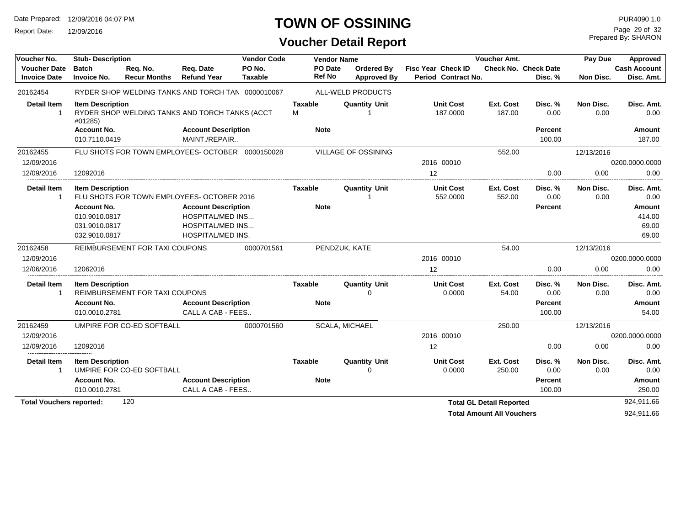Report Date: 12/09/2016

#### **TOWN OF OSSINING**

#### **Voucher Detail Report**

Prepared By: SHARON Page 29 of 32

| Voucher No.                                |                                    | <b>Vendor Code</b><br><b>Stub-Description</b> |                                                   |                          |                          | <b>Vendor Name</b>               | Voucher Amt.                              | Pay Due             | Approved                        |                          |                                   |
|--------------------------------------------|------------------------------------|-----------------------------------------------|---------------------------------------------------|--------------------------|--------------------------|----------------------------------|-------------------------------------------|---------------------|---------------------------------|--------------------------|-----------------------------------|
| <b>Voucher Date</b><br><b>Invoice Date</b> | <b>Batch</b><br><b>Invoice No.</b> | Req. No.<br><b>Recur Months</b>               | Req. Date<br><b>Refund Year</b>                   | PO No.<br><b>Taxable</b> | PO Date<br><b>Ref No</b> | Ordered By<br><b>Approved By</b> | Fisc Year Check ID<br>Period Contract No. |                     | Check No. Check Date<br>Disc. % | Non Disc.                | <b>Cash Account</b><br>Disc. Amt. |
| 20162454                                   |                                    |                                               | RYDER SHOP WELDING TANKS AND TORCH TAN 0000010067 |                          |                          | ALL-WELD PRODUCTS                |                                           |                     |                                 |                          |                                   |
| <b>Detail Item</b><br>$\mathbf{1}$         | <b>Item Description</b><br>#01285) |                                               | RYDER SHOP WELDING TANKS AND TORCH TANKS (ACCT    |                          | <b>Taxable</b><br>M      | <b>Quantity Unit</b>             | <b>Unit Cost</b><br>187.0000              | Ext. Cost<br>187.00 | Disc. %<br>0.00                 | <b>Non Disc.</b><br>0.00 | Disc. Amt.<br>0.00                |
|                                            | <b>Account No.</b>                 |                                               | <b>Account Description</b>                        |                          | <b>Note</b>              |                                  |                                           |                     | Percent                         |                          | Amount                            |
|                                            | 010.7110.0419                      |                                               | MAINT./REPAIR                                     |                          |                          |                                  |                                           |                     | 100.00                          |                          | 187.00                            |
| 20162455                                   |                                    |                                               | FLU SHOTS FOR TOWN EMPLOYEES- OCTOBER 0000150028  |                          |                          | <b>VILLAGE OF OSSINING</b>       |                                           | 552.00              |                                 | 12/13/2016               |                                   |
| 12/09/2016                                 |                                    |                                               |                                                   |                          |                          |                                  | 2016 00010                                |                     |                                 |                          | 0200.0000.0000                    |
| 12/09/2016                                 | 12092016                           |                                               |                                                   |                          |                          |                                  | 12                                        |                     | 0.00                            | 0.00                     | 0.00                              |
| <b>Detail Item</b><br>$\mathbf{1}$         | <b>Item Description</b>            |                                               | FLU SHOTS FOR TOWN EMPLOYEES- OCTOBER 2016        |                          | Taxable                  | <b>Quantity Unit</b>             | <b>Unit Cost</b><br>552.0000              | Ext. Cost<br>552.00 | Disc. %<br>0.00                 | Non Disc.<br>0.00        | Disc. Amt.<br>0.00                |
|                                            | <b>Account No.</b>                 |                                               | <b>Account Description</b>                        |                          | <b>Note</b>              |                                  |                                           |                     | Percent                         |                          | <b>Amount</b>                     |
|                                            | 010.9010.0817                      |                                               | <b>HOSPITAL/MED INS</b>                           |                          |                          |                                  |                                           |                     |                                 |                          | 414.00                            |
|                                            | 031.9010.0817                      |                                               | <b>HOSPITAL/MED INS</b>                           |                          |                          |                                  |                                           |                     |                                 |                          | 69.00                             |
|                                            | 032.9010.0817                      |                                               | HOSPITAL/MED INS.                                 |                          |                          |                                  |                                           |                     |                                 |                          | 69.00                             |
| 20162458                                   |                                    | <b>REIMBURSEMENT FOR TAXI COUPONS</b>         |                                                   | 0000701561               |                          | PENDZUK, KATE                    |                                           | 54.00               |                                 | 12/13/2016               |                                   |
| 12/09/2016                                 |                                    |                                               |                                                   |                          |                          |                                  | 2016 00010                                |                     |                                 |                          | 0200.0000.0000                    |
| 12/06/2016                                 | 12062016                           |                                               |                                                   |                          |                          |                                  | 12                                        |                     | 0.00                            | 0.00                     | 0.00                              |
| <b>Detail Item</b>                         | <b>Item Description</b>            |                                               |                                                   |                          | Taxable                  | <b>Quantity Unit</b>             | <b>Unit Cost</b>                          | Ext. Cost           | Disc. %                         | Non Disc.                | Disc. Amt.                        |
|                                            |                                    | REIMBURSEMENT FOR TAXI COUPONS                |                                                   |                          |                          | U                                | 0.0000                                    | 54.00               | 0.00                            | 0.00                     | 0.00                              |
|                                            | <b>Account No.</b>                 |                                               | <b>Account Description</b>                        |                          | <b>Note</b>              |                                  |                                           |                     | <b>Percent</b>                  |                          | <b>Amount</b>                     |
|                                            | 010.0010.2781                      |                                               | CALL A CAB - FEES                                 |                          |                          |                                  |                                           |                     | 100.00                          |                          | 54.00                             |
| 20162459                                   |                                    | UMPIRE FOR CO-ED SOFTBALL                     |                                                   | 0000701560               |                          | SCALA, MICHAEL                   |                                           | 250.00              |                                 | 12/13/2016               |                                   |
| 12/09/2016                                 |                                    |                                               |                                                   |                          |                          |                                  | 2016 00010                                |                     |                                 |                          | 0200.0000.0000                    |
| 12/09/2016                                 | 12092016                           |                                               |                                                   |                          |                          |                                  | 12                                        |                     | 0.00                            | 0.00                     | 0.00                              |
| <b>Detail Item</b><br>$\mathbf{1}$         | <b>Item Description</b>            | UMPIRE FOR CO-ED SOFTBALL                     |                                                   |                          | Taxable                  | <b>Quantity Unit</b><br>$\Omega$ | <b>Unit Cost</b><br>0.0000                | Ext. Cost<br>250.00 | Disc. %<br>0.00                 | Non Disc.<br>0.00        | Disc. Amt.<br>0.00                |
|                                            | <b>Account No.</b>                 | <b>Account Description</b>                    |                                                   |                          | <b>Note</b>              |                                  |                                           |                     | <b>Percent</b>                  |                          | Amount                            |
|                                            | 010.0010.2781                      |                                               | CALL A CAB - FEES                                 |                          |                          |                                  |                                           |                     | 100.00                          |                          | 250.00                            |
| 120<br><b>Total Vouchers reported:</b>     |                                    |                                               |                                                   |                          |                          |                                  | <b>Total GL Detail Reported</b>           |                     |                                 | 924,911.66               |                                   |

Total Amount All Vouchers **1924,911.66**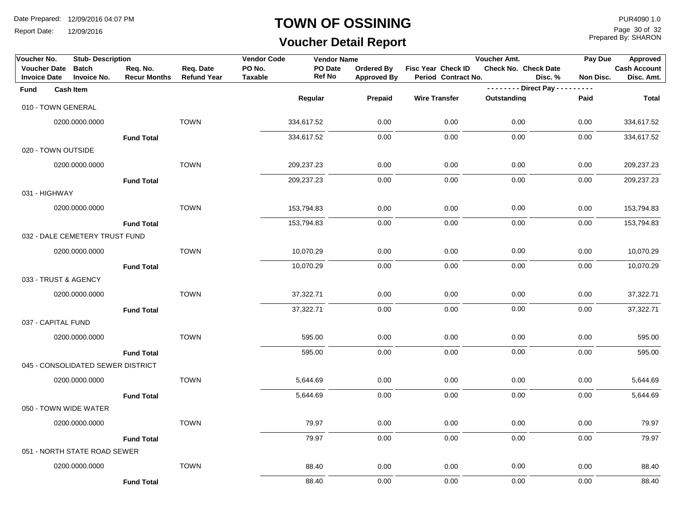Report Date: 12/09/2016

#### **TOWN OF OSSINING**

# **Voucher Detail Report**

Prepared By: SHARON Page 30 of 32

| Voucher No.                                | <b>Stub-Description</b>            |                                 |                                 | <b>Vendor Code</b>       | <b>Vendor Name</b>       |                                  |                                           | Voucher Amt.                    | Pay Due       | Approved                          |
|--------------------------------------------|------------------------------------|---------------------------------|---------------------------------|--------------------------|--------------------------|----------------------------------|-------------------------------------------|---------------------------------|---------------|-----------------------------------|
| <b>Voucher Date</b><br><b>Invoice Date</b> | <b>Batch</b><br><b>Invoice No.</b> | Req. No.<br><b>Recur Months</b> | Req. Date<br><b>Refund Year</b> | PO No.<br><b>Taxable</b> | PO Date<br><b>Ref No</b> | Ordered By<br><b>Approved By</b> | Fisc Year Check ID<br>Period Contract No. | Check No. Check Date<br>Disc. % | Non Disc.     | <b>Cash Account</b><br>Disc. Amt. |
| Fund                                       | <b>Cash Item</b>                   |                                 |                                 |                          |                          |                                  |                                           | -------- Direct Pay ---         | $\frac{1}{2}$ |                                   |
|                                            | 010 - TOWN GENERAL                 |                                 |                                 |                          | Regular                  | Prepaid                          | <b>Wire Transfer</b>                      | Outstanding                     | Paid          | <b>Total</b>                      |
|                                            | 0200.0000.0000                     |                                 | <b>TOWN</b>                     |                          | 334,617.52               | 0.00                             | 0.00                                      | 0.00                            | 0.00          | 334,617.52                        |
|                                            |                                    | <b>Fund Total</b>               |                                 |                          | 334,617.52               | 0.00                             | 0.00                                      | 0.00                            | 0.00          | 334,617.52                        |
|                                            | 020 - TOWN OUTSIDE                 |                                 |                                 |                          |                          |                                  |                                           |                                 |               |                                   |
|                                            | 0200.0000.0000                     |                                 | <b>TOWN</b>                     |                          | 209,237.23               | 0.00                             | 0.00                                      | 0.00                            | 0.00          | 209,237.23                        |
|                                            |                                    | <b>Fund Total</b>               |                                 |                          | 209,237.23               | 0.00                             | 0.00                                      | 0.00                            | 0.00          | 209,237.23                        |
| 031 - HIGHWAY                              |                                    |                                 |                                 |                          |                          |                                  |                                           |                                 |               |                                   |
|                                            | 0200.0000.0000                     |                                 | <b>TOWN</b>                     |                          | 153,794.83               | 0.00                             | 0.00                                      | 0.00                            | 0.00          | 153,794.83                        |
|                                            |                                    | <b>Fund Total</b>               |                                 |                          | 153,794.83               | 0.00                             | 0.00                                      | 0.00                            | 0.00          | 153,794.83                        |
|                                            | 032 - DALE CEMETERY TRUST FUND     |                                 |                                 |                          |                          |                                  |                                           |                                 |               |                                   |
|                                            | 0200.0000.0000                     |                                 | <b>TOWN</b>                     |                          | 10,070.29                | 0.00                             | 0.00                                      | 0.00                            | 0.00          | 10,070.29                         |
|                                            |                                    | <b>Fund Total</b>               |                                 |                          | 10,070.29                | 0.00                             | 0.00                                      | 0.00                            | 0.00          | 10,070.29                         |
|                                            | 033 - TRUST & AGENCY               |                                 |                                 |                          |                          |                                  |                                           |                                 |               |                                   |
|                                            | 0200.0000.0000                     |                                 | <b>TOWN</b>                     |                          | 37,322.71                | 0.00                             | 0.00                                      | 0.00                            | 0.00          | 37,322.71                         |
|                                            |                                    | <b>Fund Total</b>               |                                 |                          | 37,322.71                | 0.00                             | 0.00                                      | 0.00                            | 0.00          | 37,322.71                         |
| 037 - CAPITAL FUND                         |                                    |                                 |                                 |                          |                          |                                  |                                           |                                 |               |                                   |
|                                            | 0200.0000.0000                     |                                 | <b>TOWN</b>                     |                          | 595.00                   | 0.00                             | 0.00                                      | 0.00                            | 0.00          | 595.00                            |
|                                            |                                    | <b>Fund Total</b>               |                                 |                          | 595.00                   | 0.00                             | 0.00                                      | 0.00                            | 0.00          | 595.00                            |
|                                            | 045 - CONSOLIDATED SEWER DISTRICT  |                                 |                                 |                          |                          |                                  |                                           |                                 |               |                                   |
|                                            | 0200.0000.0000                     |                                 | <b>TOWN</b>                     |                          | 5,644.69                 | 0.00                             | 0.00                                      | 0.00                            | 0.00          | 5,644.69                          |
|                                            |                                    | <b>Fund Total</b>               |                                 |                          | 5,644.69                 | 0.00                             | 0.00                                      | 0.00                            | 0.00          | 5,644.69                          |
|                                            | 050 - TOWN WIDE WATER              |                                 |                                 |                          |                          |                                  |                                           |                                 |               |                                   |
|                                            | 0200.0000.0000                     |                                 | <b>TOWN</b>                     |                          | 79.97                    | 0.00                             | 0.00                                      | 0.00                            | 0.00          | 79.97                             |
|                                            |                                    | <b>Fund Total</b>               |                                 |                          | 79.97                    | 0.00                             | 0.00                                      | 0.00                            | 0.00          | 79.97                             |
|                                            | 051 - NORTH STATE ROAD SEWER       |                                 |                                 |                          |                          |                                  |                                           |                                 |               |                                   |
|                                            | 0200.0000.0000                     |                                 | <b>TOWN</b>                     |                          | 88.40                    | 0.00                             | 0.00                                      | 0.00                            | 0.00          | 88.40                             |
|                                            |                                    | <b>Fund Total</b>               |                                 |                          | 88.40                    | 0.00                             | 0.00                                      | 0.00                            | 0.00          | 88.40                             |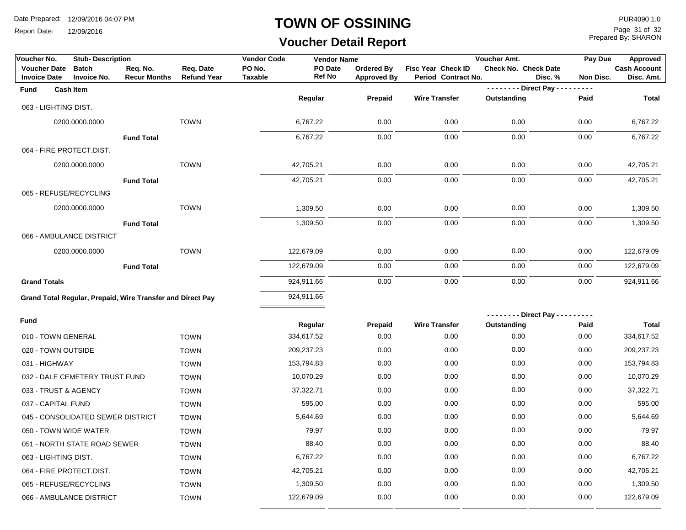Report Date: 12/09/2016

#### **TOWN OF OSSINING**

# **Voucher Detail Report**

Prepared By: SHARON Page 31 of 32

| Voucher No.                                | <b>Stub-Description</b>                                    |                                 |                                 | <b>Vendor Code</b>       | <b>Vendor Name</b> |                                  |                                           | Voucher Amt.                | Pay Due              | Approved                          |
|--------------------------------------------|------------------------------------------------------------|---------------------------------|---------------------------------|--------------------------|--------------------|----------------------------------|-------------------------------------------|-----------------------------|----------------------|-----------------------------------|
| <b>Voucher Date</b><br><b>Invoice Date</b> | <b>Batch</b><br><b>Invoice No.</b>                         | Req. No.<br><b>Recur Months</b> | Req. Date<br><b>Refund Year</b> | PO No.<br><b>Taxable</b> | PO Date<br>Ref No  | Ordered By<br><b>Approved By</b> | Fisc Year Check ID<br>Period Contract No. | <b>Check No. Check Date</b> | Disc. %<br>Non Disc. | <b>Cash Account</b><br>Disc. Amt. |
| Fund                                       | <b>Cash Item</b>                                           |                                 |                                 |                          |                    |                                  |                                           | -------- Direct Pay --      | .                    |                                   |
|                                            |                                                            |                                 |                                 |                          | Regular            | Prepaid                          | <b>Wire Transfer</b>                      | Outstanding                 | Paid                 | <b>Total</b>                      |
|                                            | 063 - LIGHTING DIST.                                       |                                 |                                 |                          |                    |                                  |                                           |                             |                      |                                   |
|                                            | 0200.0000.0000                                             |                                 | <b>TOWN</b>                     |                          | 6,767.22           | 0.00                             | 0.00                                      | 0.00                        | 0.00                 | 6,767.22                          |
|                                            |                                                            | <b>Fund Total</b>               |                                 |                          | 6,767.22           | 0.00                             | 0.00                                      | 0.00                        | 0.00                 | 6,767.22                          |
|                                            | 064 - FIRE PROTECT.DIST.                                   |                                 |                                 |                          |                    |                                  |                                           |                             |                      |                                   |
|                                            | 0200.0000.0000                                             |                                 | <b>TOWN</b>                     |                          | 42,705.21          | 0.00                             | 0.00                                      | 0.00                        | 0.00                 | 42,705.21                         |
|                                            |                                                            | <b>Fund Total</b>               |                                 |                          | 42,705.21          | 0.00                             | 0.00                                      | 0.00                        | 0.00                 | 42,705.21                         |
|                                            | 065 - REFUSE/RECYCLING                                     |                                 |                                 |                          |                    |                                  |                                           |                             |                      |                                   |
|                                            | 0200.0000.0000                                             |                                 | <b>TOWN</b>                     |                          | 1,309.50           | 0.00                             | 0.00                                      | 0.00                        | 0.00                 | 1,309.50                          |
|                                            |                                                            | <b>Fund Total</b>               |                                 |                          | 1,309.50           | 0.00                             | 0.00                                      | 0.00                        | 0.00                 | 1,309.50                          |
|                                            | 066 - AMBULANCE DISTRICT                                   |                                 |                                 |                          |                    |                                  |                                           |                             |                      |                                   |
|                                            | 0200.0000.0000                                             |                                 | <b>TOWN</b>                     |                          | 122,679.09         | 0.00                             | 0.00                                      | 0.00                        | 0.00                 | 122,679.09                        |
|                                            |                                                            | <b>Fund Total</b>               |                                 |                          | 122,679.09         | 0.00                             | 0.00                                      | 0.00                        | 0.00                 | 122,679.09                        |
| <b>Grand Totals</b>                        |                                                            |                                 |                                 |                          | 924,911.66         | 0.00                             | 0.00                                      | 0.00                        | 0.00                 | 924,911.66                        |
|                                            | Grand Total Regular, Prepaid, Wire Transfer and Direct Pay |                                 |                                 |                          | 924,911.66         |                                  |                                           |                             |                      |                                   |
|                                            |                                                            |                                 |                                 |                          |                    |                                  |                                           | -------- Direct Pay ---     |                      |                                   |
| Fund                                       |                                                            |                                 |                                 |                          | Regular            | Prepaid                          | <b>Wire Transfer</b>                      | Outstanding                 | Paid                 | Total                             |
|                                            | 010 - TOWN GENERAL                                         |                                 | <b>TOWN</b>                     |                          | 334,617.52         | 0.00                             | 0.00                                      | 0.00                        | 0.00                 | 334,617.52                        |
|                                            | 020 - TOWN OUTSIDE                                         |                                 | <b>TOWN</b>                     |                          | 209,237.23         | 0.00                             | 0.00                                      | 0.00                        | 0.00                 | 209,237.23                        |
| 031 - HIGHWAY                              |                                                            |                                 | <b>TOWN</b>                     |                          | 153,794.83         | 0.00                             | 0.00                                      | 0.00                        | 0.00                 | 153,794.83                        |
|                                            | 032 - DALE CEMETERY TRUST FUND                             |                                 | <b>TOWN</b>                     |                          | 10,070.29          | 0.00                             | 0.00                                      | 0.00                        | 0.00                 | 10,070.29                         |
|                                            | 033 - TRUST & AGENCY                                       |                                 | <b>TOWN</b>                     |                          | 37,322.71          | 0.00                             | 0.00                                      | 0.00                        | 0.00                 | 37,322.71                         |
| 037 - CAPITAL FUND                         |                                                            |                                 | <b>TOWN</b>                     |                          | 595.00             | 0.00                             | 0.00                                      | 0.00                        | 0.00                 | 595.00                            |
|                                            | 045 - CONSOLIDATED SEWER DISTRICT                          |                                 | <b>TOWN</b>                     |                          | 5,644.69           | 0.00                             | 0.00                                      | 0.00                        | 0.00                 | 5,644.69                          |
|                                            | 050 - TOWN WIDE WATER                                      |                                 | <b>TOWN</b>                     |                          | 79.97              | 0.00                             | 0.00                                      | 0.00                        | 0.00                 | 79.97                             |
|                                            | 051 - NORTH STATE ROAD SEWER                               |                                 | <b>TOWN</b>                     |                          | 88.40              | 0.00                             | 0.00                                      | 0.00                        | 0.00                 | 88.40                             |
|                                            | 063 - LIGHTING DIST.                                       |                                 | <b>TOWN</b>                     |                          | 6,767.22           | 0.00                             | 0.00                                      | 0.00                        | 0.00                 | 6,767.22                          |
|                                            | 064 - FIRE PROTECT.DIST.                                   |                                 | <b>TOWN</b>                     |                          | 42,705.21          | 0.00                             | 0.00                                      | 0.00                        | 0.00                 | 42,705.21                         |
|                                            | 065 - REFUSE/RECYCLING                                     |                                 | <b>TOWN</b>                     |                          | 1,309.50           | 0.00                             | 0.00                                      | 0.00                        | 0.00                 | 1,309.50                          |
|                                            | 066 - AMBULANCE DISTRICT                                   |                                 | <b>TOWN</b>                     |                          | 122,679.09         | 0.00                             | 0.00                                      | 0.00                        | 0.00                 | 122,679.09                        |
|                                            |                                                            |                                 |                                 |                          |                    |                                  |                                           |                             |                      |                                   |